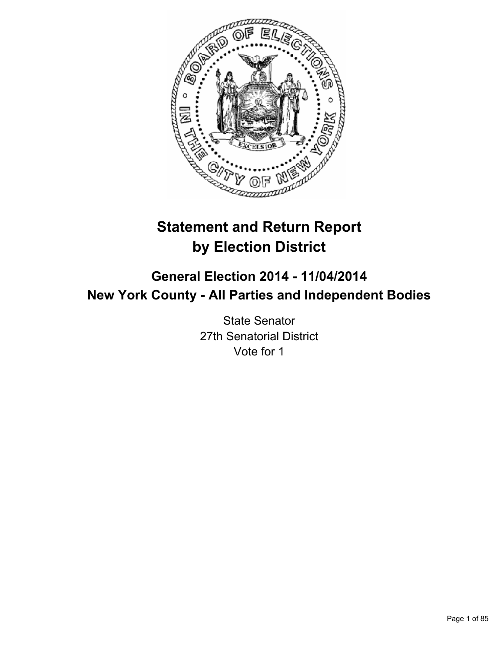

# **Statement and Return Report by Election District**

# **General Election 2014 - 11/04/2014 New York County - All Parties and Independent Bodies**

State Senator 27th Senatorial District Vote for 1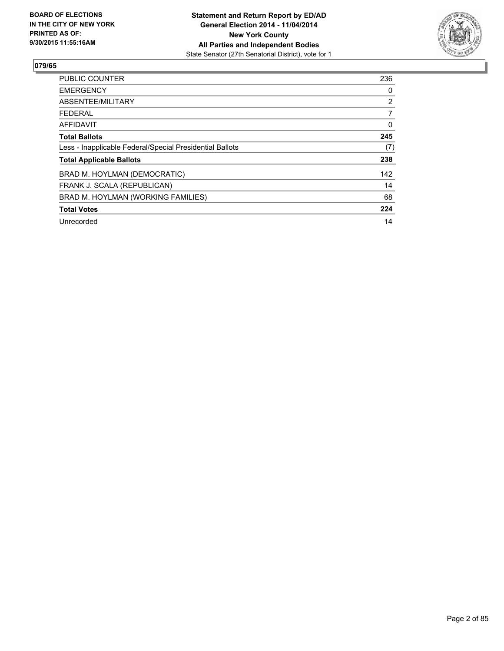

| <b>PUBLIC COUNTER</b>                                    | 236            |
|----------------------------------------------------------|----------------|
| <b>EMERGENCY</b>                                         | 0              |
| ABSENTEE/MILITARY                                        | $\overline{2}$ |
| FEDERAL                                                  | 7              |
| AFFIDAVIT                                                | 0              |
| <b>Total Ballots</b>                                     | 245            |
| Less - Inapplicable Federal/Special Presidential Ballots | (7)            |
| <b>Total Applicable Ballots</b>                          | 238            |
| BRAD M. HOYLMAN (DEMOCRATIC)                             | 142            |
| FRANK J. SCALA (REPUBLICAN)                              | 14             |
| BRAD M. HOYLMAN (WORKING FAMILIES)                       | 68             |
| <b>Total Votes</b>                                       | 224            |
| Unrecorded                                               | 14             |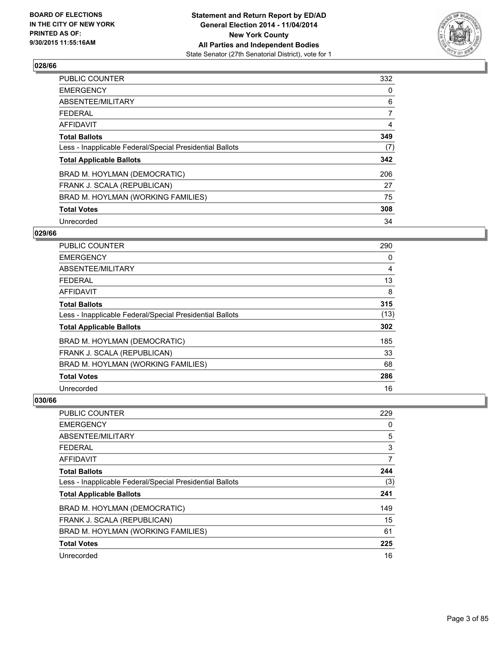

| <b>PUBLIC COUNTER</b>                                    | 332            |
|----------------------------------------------------------|----------------|
| <b>EMERGENCY</b>                                         | 0              |
| ABSENTEE/MILITARY                                        | 6              |
| FEDERAL                                                  | $\overline{7}$ |
| <b>AFFIDAVIT</b>                                         | 4              |
| <b>Total Ballots</b>                                     | 349            |
| Less - Inapplicable Federal/Special Presidential Ballots | (7)            |
| <b>Total Applicable Ballots</b>                          | 342            |
| BRAD M. HOYLMAN (DEMOCRATIC)                             | 206            |
| FRANK J. SCALA (REPUBLICAN)                              | 27             |
| BRAD M. HOYLMAN (WORKING FAMILIES)                       | 75             |
| <b>Total Votes</b>                                       | 308            |
| Unrecorded                                               | 34             |

# **029/66**

| PUBLIC COUNTER                                           | 290  |
|----------------------------------------------------------|------|
| <b>EMERGENCY</b>                                         | 0    |
| ABSENTEE/MILITARY                                        | 4    |
| <b>FEDERAL</b>                                           | 13   |
| <b>AFFIDAVIT</b>                                         | 8    |
| <b>Total Ballots</b>                                     | 315  |
| Less - Inapplicable Federal/Special Presidential Ballots | (13) |
| <b>Total Applicable Ballots</b>                          | 302  |
| BRAD M. HOYLMAN (DEMOCRATIC)                             | 185  |
| FRANK J. SCALA (REPUBLICAN)                              | 33   |
| BRAD M. HOYLMAN (WORKING FAMILIES)                       | 68   |
| <b>Total Votes</b>                                       | 286  |
| Unrecorded                                               | 16   |

| PUBLIC COUNTER                                           | 229 |
|----------------------------------------------------------|-----|
| <b>EMERGENCY</b>                                         | 0   |
| ABSENTEE/MILITARY                                        | 5   |
| <b>FEDERAL</b>                                           | 3   |
| AFFIDAVIT                                                | 7   |
| <b>Total Ballots</b>                                     | 244 |
| Less - Inapplicable Federal/Special Presidential Ballots | (3) |
| <b>Total Applicable Ballots</b>                          | 241 |
| BRAD M. HOYLMAN (DEMOCRATIC)                             | 149 |
| FRANK J. SCALA (REPUBLICAN)                              | 15  |
| BRAD M. HOYLMAN (WORKING FAMILIES)                       | 61  |
| <b>Total Votes</b>                                       | 225 |
| Unrecorded                                               | 16  |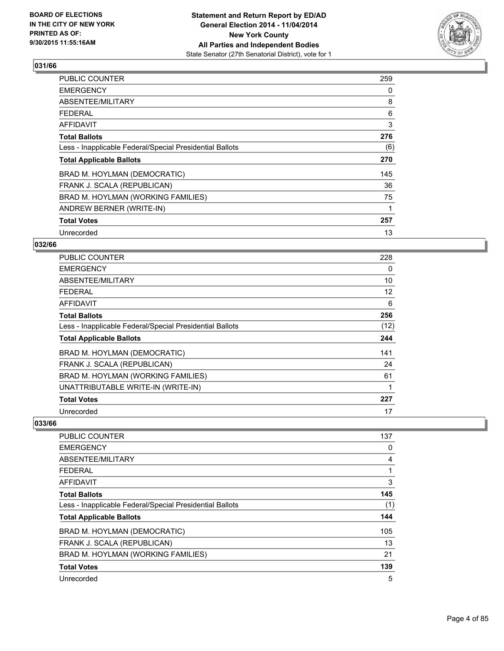

| <b>PUBLIC COUNTER</b>                                    | 259 |
|----------------------------------------------------------|-----|
| <b>EMERGENCY</b>                                         | 0   |
| ABSENTEE/MILITARY                                        | 8   |
| <b>FEDERAL</b>                                           | 6   |
| <b>AFFIDAVIT</b>                                         | 3   |
| <b>Total Ballots</b>                                     | 276 |
| Less - Inapplicable Federal/Special Presidential Ballots | (6) |
| <b>Total Applicable Ballots</b>                          | 270 |
| BRAD M. HOYLMAN (DEMOCRATIC)                             | 145 |
| FRANK J. SCALA (REPUBLICAN)                              | 36  |
| BRAD M. HOYLMAN (WORKING FAMILIES)                       | 75  |
| ANDREW BERNER (WRITE-IN)                                 | 1   |
| <b>Total Votes</b>                                       | 257 |
| Unrecorded                                               | 13  |

# **032/66**

| PUBLIC COUNTER                                           | 228  |
|----------------------------------------------------------|------|
| <b>EMERGENCY</b>                                         | 0    |
| ABSENTEE/MILITARY                                        | 10   |
| <b>FEDERAL</b>                                           | 12   |
| AFFIDAVIT                                                | 6    |
| <b>Total Ballots</b>                                     | 256  |
| Less - Inapplicable Federal/Special Presidential Ballots | (12) |
| <b>Total Applicable Ballots</b>                          | 244  |
| BRAD M. HOYLMAN (DEMOCRATIC)                             | 141  |
| FRANK J. SCALA (REPUBLICAN)                              | 24   |
| BRAD M. HOYLMAN (WORKING FAMILIES)                       | 61   |
| UNATTRIBUTABLE WRITE-IN (WRITE-IN)                       | 1    |
| <b>Total Votes</b>                                       | 227  |
| Unrecorded                                               | 17   |

| <b>PUBLIC COUNTER</b>                                    | 137 |
|----------------------------------------------------------|-----|
| <b>EMERGENCY</b>                                         | 0   |
| ABSENTEE/MILITARY                                        | 4   |
| FEDERAL                                                  | 1   |
| AFFIDAVIT                                                | 3   |
| <b>Total Ballots</b>                                     | 145 |
| Less - Inapplicable Federal/Special Presidential Ballots | (1) |
| <b>Total Applicable Ballots</b>                          | 144 |
| BRAD M. HOYLMAN (DEMOCRATIC)                             | 105 |
| FRANK J. SCALA (REPUBLICAN)                              | 13  |
| BRAD M. HOYLMAN (WORKING FAMILIES)                       | 21  |
| <b>Total Votes</b>                                       | 139 |
| Unrecorded                                               | 5   |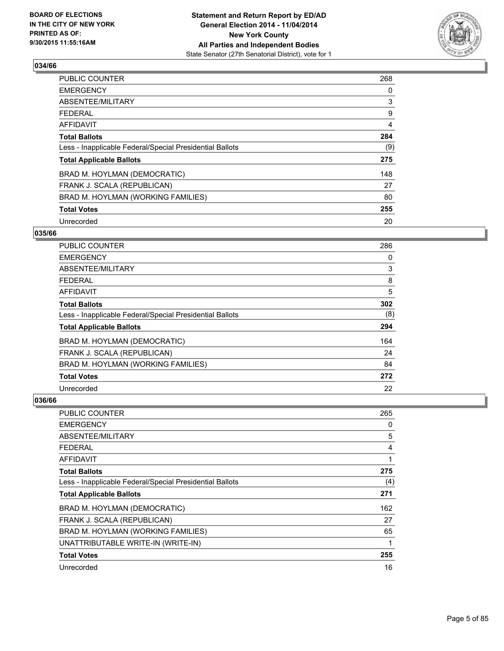

| <b>PUBLIC COUNTER</b>                                    | 268 |
|----------------------------------------------------------|-----|
| <b>EMERGENCY</b>                                         | 0   |
| ABSENTEE/MILITARY                                        | 3   |
| <b>FEDERAL</b>                                           | 9   |
| AFFIDAVIT                                                | 4   |
| <b>Total Ballots</b>                                     | 284 |
| Less - Inapplicable Federal/Special Presidential Ballots | (9) |
| <b>Total Applicable Ballots</b>                          | 275 |
| BRAD M. HOYLMAN (DEMOCRATIC)                             | 148 |
| FRANK J. SCALA (REPUBLICAN)                              | 27  |
| BRAD M. HOYLMAN (WORKING FAMILIES)                       | 80  |
| <b>Total Votes</b>                                       | 255 |
| Unrecorded                                               | 20  |

## **035/66**

| <b>PUBLIC COUNTER</b>                                    | 286 |
|----------------------------------------------------------|-----|
| <b>EMERGENCY</b>                                         | 0   |
| ABSENTEE/MILITARY                                        | 3   |
| <b>FEDERAL</b>                                           | 8   |
| AFFIDAVIT                                                | 5   |
| <b>Total Ballots</b>                                     | 302 |
| Less - Inapplicable Federal/Special Presidential Ballots | (8) |
| <b>Total Applicable Ballots</b>                          | 294 |
| BRAD M. HOYLMAN (DEMOCRATIC)                             | 164 |
| FRANK J. SCALA (REPUBLICAN)                              | 24  |
| BRAD M. HOYLMAN (WORKING FAMILIES)                       | 84  |
| <b>Total Votes</b>                                       | 272 |
| Unrecorded                                               | 22  |

| <b>PUBLIC COUNTER</b>                                    | 265 |
|----------------------------------------------------------|-----|
| <b>EMERGENCY</b>                                         | 0   |
| ABSENTEE/MILITARY                                        | 5   |
| <b>FEDERAL</b>                                           | 4   |
| AFFIDAVIT                                                | 1   |
| <b>Total Ballots</b>                                     | 275 |
| Less - Inapplicable Federal/Special Presidential Ballots | (4) |
| <b>Total Applicable Ballots</b>                          | 271 |
| BRAD M. HOYLMAN (DEMOCRATIC)                             | 162 |
| FRANK J. SCALA (REPUBLICAN)                              | 27  |
| BRAD M. HOYLMAN (WORKING FAMILIES)                       | 65  |
| UNATTRIBUTABLE WRITE-IN (WRITE-IN)                       | 1   |
| <b>Total Votes</b>                                       | 255 |
| Unrecorded                                               | 16  |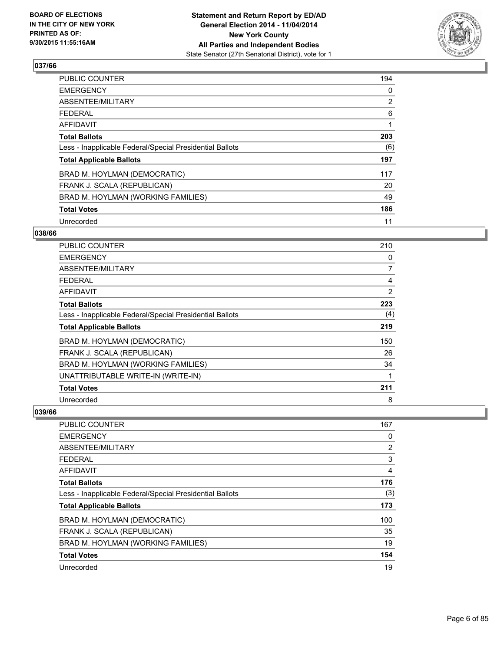

| <b>PUBLIC COUNTER</b>                                    | 194            |
|----------------------------------------------------------|----------------|
| <b>EMERGENCY</b>                                         | 0              |
| ABSENTEE/MILITARY                                        | $\overline{2}$ |
| <b>FEDERAL</b>                                           | 6              |
| AFFIDAVIT                                                |                |
| <b>Total Ballots</b>                                     | 203            |
| Less - Inapplicable Federal/Special Presidential Ballots | (6)            |
| <b>Total Applicable Ballots</b>                          | 197            |
| BRAD M. HOYLMAN (DEMOCRATIC)                             | 117            |
| FRANK J. SCALA (REPUBLICAN)                              | 20             |
| BRAD M. HOYLMAN (WORKING FAMILIES)                       | 49             |
| <b>Total Votes</b>                                       | 186            |
| Unrecorded                                               | 11             |

## **038/66**

| PUBLIC COUNTER                                           | 210 |
|----------------------------------------------------------|-----|
| <b>EMERGENCY</b>                                         | 0   |
| ABSENTEE/MILITARY                                        | 7   |
| FEDERAL                                                  | 4   |
| AFFIDAVIT                                                | 2   |
| <b>Total Ballots</b>                                     | 223 |
| Less - Inapplicable Federal/Special Presidential Ballots | (4) |
| <b>Total Applicable Ballots</b>                          | 219 |
| BRAD M. HOYLMAN (DEMOCRATIC)                             | 150 |
| FRANK J. SCALA (REPUBLICAN)                              | 26  |
| BRAD M. HOYLMAN (WORKING FAMILIES)                       | 34  |
| UNATTRIBUTABLE WRITE-IN (WRITE-IN)                       | 1   |
| <b>Total Votes</b>                                       | 211 |
| Unrecorded                                               | 8   |

| <b>PUBLIC COUNTER</b>                                    | 167            |
|----------------------------------------------------------|----------------|
| <b>EMERGENCY</b>                                         | 0              |
| ABSENTEE/MILITARY                                        | $\overline{2}$ |
| <b>FEDERAL</b>                                           | 3              |
| AFFIDAVIT                                                | 4              |
| <b>Total Ballots</b>                                     | 176            |
| Less - Inapplicable Federal/Special Presidential Ballots | (3)            |
| <b>Total Applicable Ballots</b>                          | 173            |
| BRAD M. HOYLMAN (DEMOCRATIC)                             | 100            |
| FRANK J. SCALA (REPUBLICAN)                              | 35             |
| BRAD M. HOYLMAN (WORKING FAMILIES)                       | 19             |
| <b>Total Votes</b>                                       | 154            |
| Unrecorded                                               | 19             |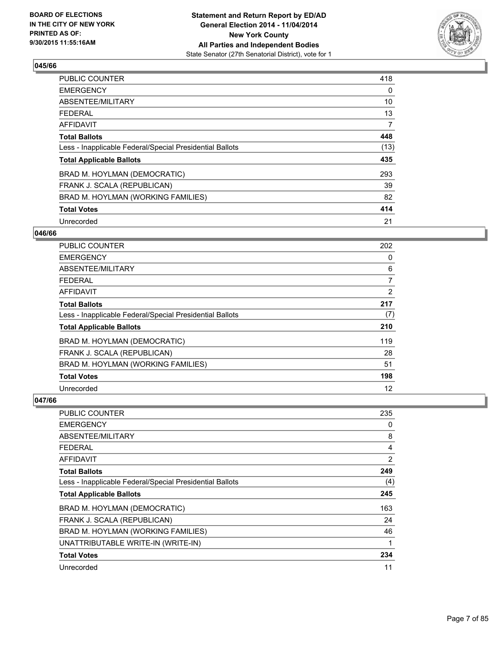

| <b>PUBLIC COUNTER</b>                                    | 418            |
|----------------------------------------------------------|----------------|
| <b>EMERGENCY</b>                                         | 0              |
| ABSENTEE/MILITARY                                        | 10             |
| <b>FEDERAL</b>                                           | 13             |
| AFFIDAVIT                                                | $\overline{7}$ |
| <b>Total Ballots</b>                                     | 448            |
| Less - Inapplicable Federal/Special Presidential Ballots | (13)           |
| <b>Total Applicable Ballots</b>                          | 435            |
| BRAD M. HOYLMAN (DEMOCRATIC)                             | 293            |
| FRANK J. SCALA (REPUBLICAN)                              | 39             |
| BRAD M. HOYLMAN (WORKING FAMILIES)                       | 82             |
| <b>Total Votes</b>                                       | 414            |
| Unrecorded                                               | 21             |

## **046/66**

| <b>PUBLIC COUNTER</b>                                    | 202 |
|----------------------------------------------------------|-----|
| <b>EMERGENCY</b>                                         | 0   |
| ABSENTEE/MILITARY                                        | 6   |
| <b>FEDERAL</b>                                           | 7   |
| <b>AFFIDAVIT</b>                                         | 2   |
| <b>Total Ballots</b>                                     | 217 |
| Less - Inapplicable Federal/Special Presidential Ballots | (7) |
| <b>Total Applicable Ballots</b>                          | 210 |
| BRAD M. HOYLMAN (DEMOCRATIC)                             | 119 |
| FRANK J. SCALA (REPUBLICAN)                              | 28  |
| BRAD M. HOYLMAN (WORKING FAMILIES)                       | 51  |
| <b>Total Votes</b>                                       | 198 |
| Unrecorded                                               | 12  |

| <b>PUBLIC COUNTER</b>                                    | 235 |
|----------------------------------------------------------|-----|
| <b>EMERGENCY</b>                                         | 0   |
| ABSENTEE/MILITARY                                        | 8   |
| <b>FEDERAL</b>                                           | 4   |
| AFFIDAVIT                                                | 2   |
| <b>Total Ballots</b>                                     | 249 |
| Less - Inapplicable Federal/Special Presidential Ballots | (4) |
| <b>Total Applicable Ballots</b>                          | 245 |
| BRAD M. HOYLMAN (DEMOCRATIC)                             | 163 |
| FRANK J. SCALA (REPUBLICAN)                              | 24  |
| BRAD M. HOYLMAN (WORKING FAMILIES)                       | 46  |
| UNATTRIBUTABLE WRITE-IN (WRITE-IN)                       | 1   |
| <b>Total Votes</b>                                       | 234 |
| Unrecorded                                               | 11  |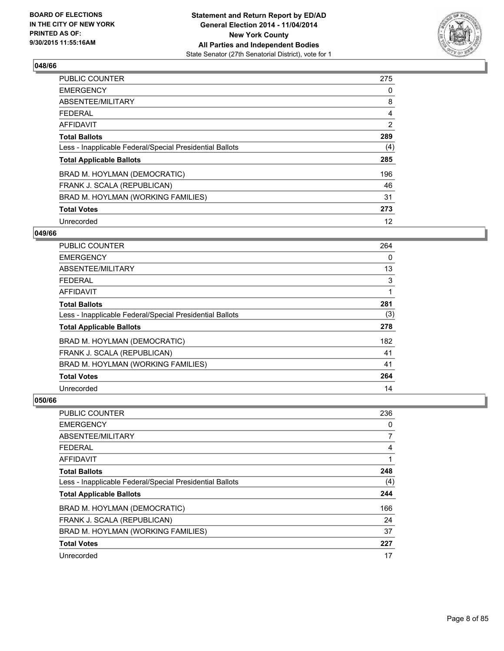

| <b>PUBLIC COUNTER</b>                                    | 275 |
|----------------------------------------------------------|-----|
| <b>EMERGENCY</b>                                         | 0   |
| ABSENTEE/MILITARY                                        | 8   |
| <b>FEDERAL</b>                                           | 4   |
| AFFIDAVIT                                                | 2   |
| <b>Total Ballots</b>                                     | 289 |
| Less - Inapplicable Federal/Special Presidential Ballots | (4) |
| <b>Total Applicable Ballots</b>                          | 285 |
| BRAD M. HOYLMAN (DEMOCRATIC)                             | 196 |
| FRANK J. SCALA (REPUBLICAN)                              | 46  |
| BRAD M. HOYLMAN (WORKING FAMILIES)                       | 31  |
| <b>Total Votes</b>                                       | 273 |
| Unrecorded                                               | 12  |

## **049/66**

| <b>PUBLIC COUNTER</b>                                    | 264 |
|----------------------------------------------------------|-----|
| <b>EMERGENCY</b>                                         | 0   |
| ABSENTEE/MILITARY                                        | 13  |
| <b>FEDERAL</b>                                           | 3   |
| AFFIDAVIT                                                | 1   |
| <b>Total Ballots</b>                                     | 281 |
| Less - Inapplicable Federal/Special Presidential Ballots | (3) |
| <b>Total Applicable Ballots</b>                          | 278 |
| BRAD M. HOYLMAN (DEMOCRATIC)                             | 182 |
| FRANK J. SCALA (REPUBLICAN)                              | 41  |
| BRAD M. HOYLMAN (WORKING FAMILIES)                       | 41  |
| <b>Total Votes</b>                                       | 264 |
| Unrecorded                                               | 14  |

| PUBLIC COUNTER                                           | 236 |
|----------------------------------------------------------|-----|
| <b>EMERGENCY</b>                                         | 0   |
| ABSENTEE/MILITARY                                        | 7   |
| FEDERAL                                                  | 4   |
| <b>AFFIDAVIT</b>                                         | 1   |
| <b>Total Ballots</b>                                     | 248 |
| Less - Inapplicable Federal/Special Presidential Ballots | (4) |
| <b>Total Applicable Ballots</b>                          | 244 |
| BRAD M. HOYLMAN (DEMOCRATIC)                             | 166 |
| FRANK J. SCALA (REPUBLICAN)                              | 24  |
| BRAD M. HOYLMAN (WORKING FAMILIES)                       | 37  |
| <b>Total Votes</b>                                       | 227 |
| Unrecorded                                               | 17  |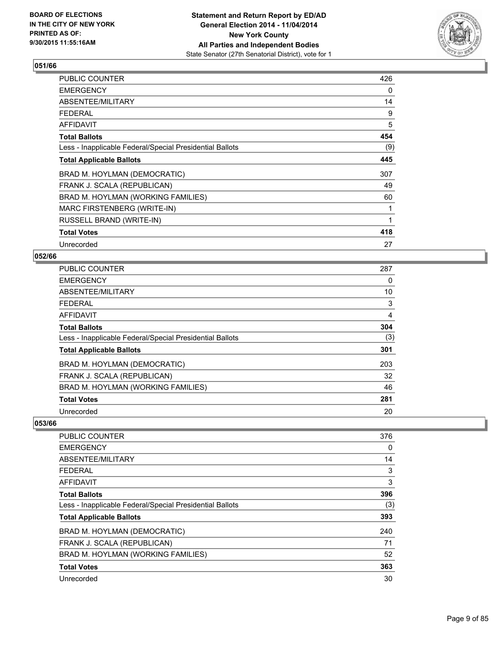

| <b>PUBLIC COUNTER</b>                                    | 426 |
|----------------------------------------------------------|-----|
| <b>EMERGENCY</b>                                         | 0   |
| ABSENTEE/MILITARY                                        | 14  |
| <b>FEDERAL</b>                                           | 9   |
| <b>AFFIDAVIT</b>                                         | 5   |
| <b>Total Ballots</b>                                     | 454 |
| Less - Inapplicable Federal/Special Presidential Ballots | (9) |
| <b>Total Applicable Ballots</b>                          | 445 |
| BRAD M. HOYLMAN (DEMOCRATIC)                             | 307 |
| FRANK J. SCALA (REPUBLICAN)                              | 49  |
| BRAD M. HOYLMAN (WORKING FAMILIES)                       | 60  |
| MARC FIRSTENBERG (WRITE-IN)                              | 1   |
| RUSSELL BRAND (WRITE-IN)                                 | 1   |
| <b>Total Votes</b>                                       | 418 |
| Unrecorded                                               | 27  |

#### **052/66**

| <b>PUBLIC COUNTER</b>                                    | 287 |
|----------------------------------------------------------|-----|
| <b>EMERGENCY</b>                                         | 0   |
| ABSENTEE/MILITARY                                        | 10  |
| <b>FEDERAL</b>                                           | 3   |
| AFFIDAVIT                                                | 4   |
| <b>Total Ballots</b>                                     | 304 |
| Less - Inapplicable Federal/Special Presidential Ballots | (3) |
| <b>Total Applicable Ballots</b>                          | 301 |
| BRAD M. HOYLMAN (DEMOCRATIC)                             | 203 |
| FRANK J. SCALA (REPUBLICAN)                              | 32  |
| BRAD M. HOYLMAN (WORKING FAMILIES)                       | 46  |
| <b>Total Votes</b>                                       | 281 |
| Unrecorded                                               | 20  |

| <b>PUBLIC COUNTER</b>                                    | 376 |
|----------------------------------------------------------|-----|
| <b>EMERGENCY</b>                                         | 0   |
| ABSENTEE/MILITARY                                        | 14  |
| <b>FEDERAL</b>                                           | 3   |
| AFFIDAVIT                                                | 3   |
| <b>Total Ballots</b>                                     | 396 |
| Less - Inapplicable Federal/Special Presidential Ballots | (3) |
| <b>Total Applicable Ballots</b>                          | 393 |
| BRAD M. HOYLMAN (DEMOCRATIC)                             | 240 |
| FRANK J. SCALA (REPUBLICAN)                              | 71  |
| BRAD M. HOYLMAN (WORKING FAMILIES)                       | 52  |
| <b>Total Votes</b>                                       | 363 |
| Unrecorded                                               | 30  |
|                                                          |     |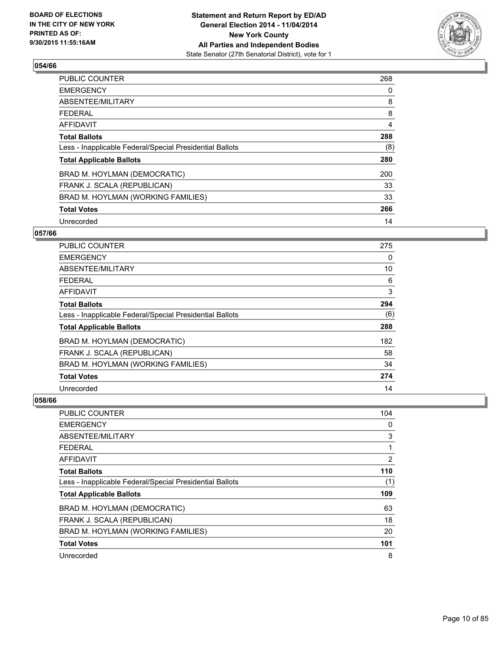

| <b>PUBLIC COUNTER</b>                                    | 268 |
|----------------------------------------------------------|-----|
| <b>EMERGENCY</b>                                         | 0   |
| ABSENTEE/MILITARY                                        | 8   |
| <b>FEDERAL</b>                                           | 8   |
| <b>AFFIDAVIT</b>                                         | 4   |
| <b>Total Ballots</b>                                     | 288 |
| Less - Inapplicable Federal/Special Presidential Ballots | (8) |
| <b>Total Applicable Ballots</b>                          | 280 |
| BRAD M. HOYLMAN (DEMOCRATIC)                             | 200 |
| FRANK J. SCALA (REPUBLICAN)                              | 33  |
| BRAD M. HOYLMAN (WORKING FAMILIES)                       | 33  |
| <b>Total Votes</b>                                       | 266 |
| Unrecorded                                               | 14  |

# **057/66**

| PUBLIC COUNTER                                           | 275 |
|----------------------------------------------------------|-----|
| <b>EMERGENCY</b>                                         | 0   |
| ABSENTEE/MILITARY                                        | 10  |
| <b>FEDERAL</b>                                           | 6   |
| <b>AFFIDAVIT</b>                                         | 3   |
| <b>Total Ballots</b>                                     | 294 |
| Less - Inapplicable Federal/Special Presidential Ballots | (6) |
| <b>Total Applicable Ballots</b>                          | 288 |
| BRAD M. HOYLMAN (DEMOCRATIC)                             | 182 |
| FRANK J. SCALA (REPUBLICAN)                              | 58  |
| BRAD M. HOYLMAN (WORKING FAMILIES)                       | 34  |
| <b>Total Votes</b>                                       | 274 |
| Unrecorded                                               | 14  |

| <b>PUBLIC COUNTER</b>                                    | 104 |
|----------------------------------------------------------|-----|
| <b>EMERGENCY</b>                                         | 0   |
| ABSENTEE/MILITARY                                        | 3   |
| <b>FEDERAL</b>                                           | 1   |
| <b>AFFIDAVIT</b>                                         | 2   |
| <b>Total Ballots</b>                                     | 110 |
| Less - Inapplicable Federal/Special Presidential Ballots | (1) |
| <b>Total Applicable Ballots</b>                          | 109 |
| BRAD M. HOYLMAN (DEMOCRATIC)                             | 63  |
| FRANK J. SCALA (REPUBLICAN)                              | 18  |
| BRAD M. HOYLMAN (WORKING FAMILIES)                       | 20  |
| <b>Total Votes</b>                                       | 101 |
| Unrecorded                                               | 8   |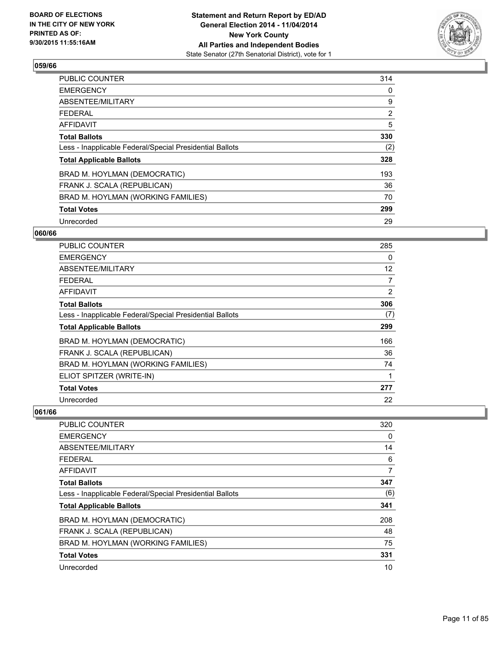

| <b>PUBLIC COUNTER</b>                                    | 314            |
|----------------------------------------------------------|----------------|
| <b>EMERGENCY</b>                                         | 0              |
| ABSENTEE/MILITARY                                        | 9              |
| <b>FEDERAL</b>                                           | $\overline{2}$ |
| AFFIDAVIT                                                | 5              |
| <b>Total Ballots</b>                                     | 330            |
| Less - Inapplicable Federal/Special Presidential Ballots | (2)            |
| <b>Total Applicable Ballots</b>                          | 328            |
| BRAD M. HOYLMAN (DEMOCRATIC)                             | 193            |
| FRANK J. SCALA (REPUBLICAN)                              | 36             |
| BRAD M. HOYLMAN (WORKING FAMILIES)                       | 70             |
| <b>Total Votes</b>                                       | 299            |
| Unrecorded                                               | 29             |

## **060/66**

| PUBLIC COUNTER                                           | 285 |
|----------------------------------------------------------|-----|
| <b>EMERGENCY</b>                                         | 0   |
| ABSENTEE/MILITARY                                        | 12  |
| <b>FEDERAL</b>                                           | 7   |
| AFFIDAVIT                                                | 2   |
| <b>Total Ballots</b>                                     | 306 |
| Less - Inapplicable Federal/Special Presidential Ballots | (7) |
| <b>Total Applicable Ballots</b>                          | 299 |
| BRAD M. HOYLMAN (DEMOCRATIC)                             | 166 |
| FRANK J. SCALA (REPUBLICAN)                              | 36  |
| BRAD M. HOYLMAN (WORKING FAMILIES)                       | 74  |
| ELIOT SPITZER (WRITE-IN)                                 | 1   |
| <b>Total Votes</b>                                       | 277 |
| Unrecorded                                               | 22  |

| <b>PUBLIC COUNTER</b>                                    | 320 |
|----------------------------------------------------------|-----|
| <b>EMERGENCY</b>                                         | 0   |
| ABSENTEE/MILITARY                                        | 14  |
| FFDFRAI                                                  | 6   |
| AFFIDAVIT                                                | 7   |
| <b>Total Ballots</b>                                     | 347 |
| Less - Inapplicable Federal/Special Presidential Ballots | (6) |
| <b>Total Applicable Ballots</b>                          | 341 |
| BRAD M. HOYLMAN (DEMOCRATIC)                             | 208 |
| FRANK J. SCALA (REPUBLICAN)                              | 48  |
| BRAD M. HOYLMAN (WORKING FAMILIES)                       | 75  |
| <b>Total Votes</b>                                       | 331 |
| Unrecorded                                               | 10  |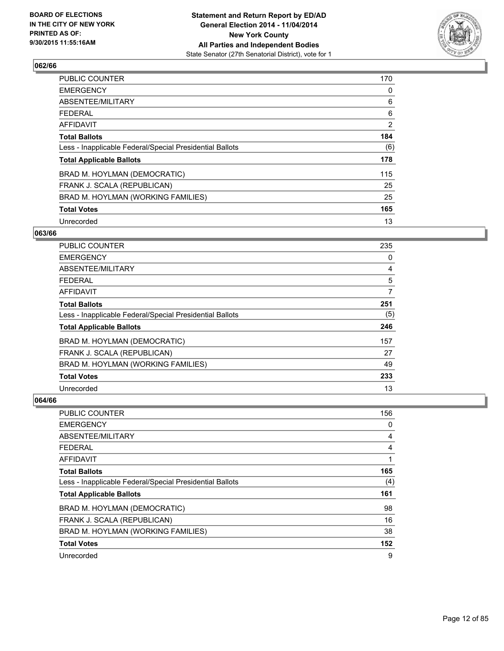

| <b>PUBLIC COUNTER</b>                                    | 170 |
|----------------------------------------------------------|-----|
| <b>EMERGENCY</b>                                         | 0   |
| ABSENTEE/MILITARY                                        | 6   |
| <b>FEDERAL</b>                                           | 6   |
| AFFIDAVIT                                                | 2   |
| <b>Total Ballots</b>                                     | 184 |
| Less - Inapplicable Federal/Special Presidential Ballots | (6) |
| <b>Total Applicable Ballots</b>                          | 178 |
| BRAD M. HOYLMAN (DEMOCRATIC)                             | 115 |
| FRANK J. SCALA (REPUBLICAN)                              | 25  |
| BRAD M. HOYLMAN (WORKING FAMILIES)                       | 25  |
| <b>Total Votes</b>                                       | 165 |
| Unrecorded                                               | 13  |

## **063/66**

| <b>PUBLIC COUNTER</b>                                    | 235 |
|----------------------------------------------------------|-----|
| <b>EMERGENCY</b>                                         | 0   |
| ABSENTEE/MILITARY                                        | 4   |
| <b>FEDERAL</b>                                           | 5   |
| <b>AFFIDAVIT</b>                                         | 7   |
| <b>Total Ballots</b>                                     | 251 |
| Less - Inapplicable Federal/Special Presidential Ballots | (5) |
| <b>Total Applicable Ballots</b>                          | 246 |
| BRAD M. HOYLMAN (DEMOCRATIC)                             | 157 |
| FRANK J. SCALA (REPUBLICAN)                              | 27  |
| BRAD M. HOYLMAN (WORKING FAMILIES)                       | 49  |
| <b>Total Votes</b>                                       | 233 |
| Unrecorded                                               | 13  |

| <b>PUBLIC COUNTER</b>                                    | 156 |
|----------------------------------------------------------|-----|
| <b>EMERGENCY</b>                                         | 0   |
| ABSENTEE/MILITARY                                        | 4   |
| <b>FEDERAL</b>                                           | 4   |
| AFFIDAVIT                                                | 1   |
| <b>Total Ballots</b>                                     | 165 |
| Less - Inapplicable Federal/Special Presidential Ballots | (4) |
| <b>Total Applicable Ballots</b>                          | 161 |
| BRAD M. HOYLMAN (DEMOCRATIC)                             | 98  |
| FRANK J. SCALA (REPUBLICAN)                              | 16  |
| BRAD M. HOYLMAN (WORKING FAMILIES)                       | 38  |
| <b>Total Votes</b>                                       | 152 |
| Unrecorded                                               | 9   |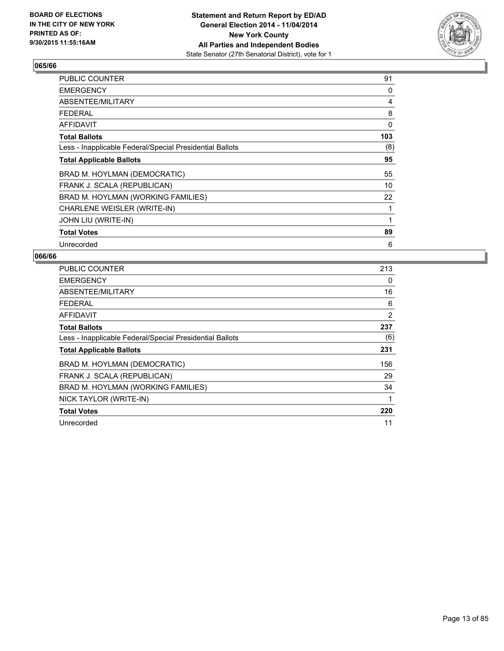

| PUBLIC COUNTER                                           | 91  |
|----------------------------------------------------------|-----|
| <b>EMERGENCY</b>                                         | 0   |
| ABSENTEE/MILITARY                                        | 4   |
| <b>FEDERAL</b>                                           | 8   |
| <b>AFFIDAVIT</b>                                         | 0   |
| <b>Total Ballots</b>                                     | 103 |
| Less - Inapplicable Federal/Special Presidential Ballots | (8) |
| <b>Total Applicable Ballots</b>                          | 95  |
| BRAD M. HOYLMAN (DEMOCRATIC)                             | 55  |
| FRANK J. SCALA (REPUBLICAN)                              | 10  |
| BRAD M. HOYLMAN (WORKING FAMILIES)                       | 22  |
| CHARLENE WEISLER (WRITE-IN)                              |     |
| JOHN LIU (WRITE-IN)                                      |     |
| <b>Total Votes</b>                                       | 89  |
| Unrecorded                                               | 6   |

| <b>PUBLIC COUNTER</b>                                    | 213 |
|----------------------------------------------------------|-----|
| <b>EMERGENCY</b>                                         | 0   |
| <b>ABSENTEE/MILITARY</b>                                 | 16  |
| FEDERAL                                                  | 6   |
| AFFIDAVIT                                                | 2   |
| <b>Total Ballots</b>                                     | 237 |
| Less - Inapplicable Federal/Special Presidential Ballots | (6) |
| <b>Total Applicable Ballots</b>                          | 231 |
|                                                          |     |
| BRAD M. HOYLMAN (DEMOCRATIC)                             | 156 |
| FRANK J. SCALA (REPUBLICAN)                              | 29  |
| BRAD M. HOYLMAN (WORKING FAMILIES)                       | 34  |
| NICK TAYLOR (WRITE-IN)                                   | 1   |
| <b>Total Votes</b>                                       | 220 |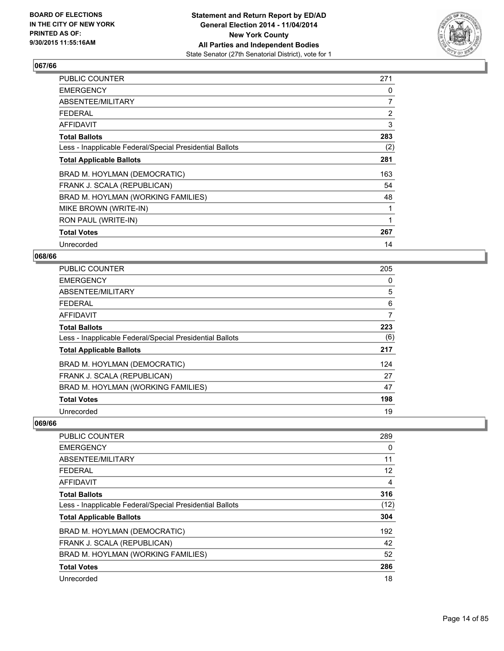

| <b>PUBLIC COUNTER</b>                                    | 271            |
|----------------------------------------------------------|----------------|
| <b>EMERGENCY</b>                                         | 0              |
| ABSENTEE/MILITARY                                        | 7              |
| <b>FEDERAL</b>                                           | $\overline{2}$ |
| <b>AFFIDAVIT</b>                                         | 3              |
| <b>Total Ballots</b>                                     | 283            |
| Less - Inapplicable Federal/Special Presidential Ballots | (2)            |
| <b>Total Applicable Ballots</b>                          | 281            |
| BRAD M. HOYLMAN (DEMOCRATIC)                             | 163            |
| FRANK J. SCALA (REPUBLICAN)                              | 54             |
| BRAD M. HOYLMAN (WORKING FAMILIES)                       | 48             |
| MIKE BROWN (WRITE-IN)                                    |                |
| RON PAUL (WRITE-IN)                                      | 1              |
| <b>Total Votes</b>                                       | 267            |
| Unrecorded                                               | 14             |

#### **068/66**

| <b>PUBLIC COUNTER</b>                                    | 205 |
|----------------------------------------------------------|-----|
| <b>EMERGENCY</b>                                         | 0   |
| ABSENTEE/MILITARY                                        | 5   |
| <b>FEDERAL</b>                                           | 6   |
| AFFIDAVIT                                                | 7   |
| <b>Total Ballots</b>                                     | 223 |
| Less - Inapplicable Federal/Special Presidential Ballots | (6) |
| <b>Total Applicable Ballots</b>                          | 217 |
| BRAD M. HOYLMAN (DEMOCRATIC)                             | 124 |
| FRANK J. SCALA (REPUBLICAN)                              | 27  |
| BRAD M. HOYLMAN (WORKING FAMILIES)                       | 47  |
| <b>Total Votes</b>                                       | 198 |
| Unrecorded                                               | 19  |

| 289  |
|------|
| 0    |
| 11   |
| 12   |
| 4    |
| 316  |
| (12) |
| 304  |
| 192  |
| 42   |
| 52   |
| 286  |
| 18   |
|      |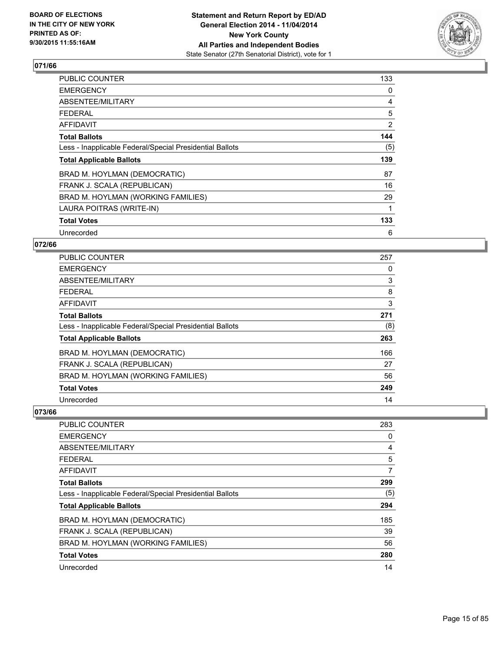

| <b>PUBLIC COUNTER</b>                                    | 133 |
|----------------------------------------------------------|-----|
| <b>EMERGENCY</b>                                         | 0   |
| ABSENTEE/MILITARY                                        | 4   |
| <b>FEDERAL</b>                                           | 5   |
| AFFIDAVIT                                                | 2   |
| <b>Total Ballots</b>                                     | 144 |
| Less - Inapplicable Federal/Special Presidential Ballots | (5) |
| <b>Total Applicable Ballots</b>                          | 139 |
| BRAD M. HOYLMAN (DEMOCRATIC)                             | 87  |
| FRANK J. SCALA (REPUBLICAN)                              | 16  |
| BRAD M. HOYLMAN (WORKING FAMILIES)                       | 29  |
| LAURA POITRAS (WRITE-IN)                                 |     |
| <b>Total Votes</b>                                       | 133 |
| Unrecorded                                               | 6   |

## **072/66**

| PUBLIC COUNTER                                           | 257 |
|----------------------------------------------------------|-----|
| <b>EMERGENCY</b>                                         | 0   |
| ABSENTEE/MILITARY                                        | 3   |
| <b>FEDERAL</b>                                           | 8   |
| <b>AFFIDAVIT</b>                                         | 3   |
| <b>Total Ballots</b>                                     | 271 |
| Less - Inapplicable Federal/Special Presidential Ballots | (8) |
| <b>Total Applicable Ballots</b>                          | 263 |
| BRAD M. HOYLMAN (DEMOCRATIC)                             | 166 |
| FRANK J. SCALA (REPUBLICAN)                              | 27  |
| BRAD M. HOYLMAN (WORKING FAMILIES)                       | 56  |
| <b>Total Votes</b>                                       | 249 |
| Unrecorded                                               | 14  |

| <b>PUBLIC COUNTER</b>                                    | 283 |
|----------------------------------------------------------|-----|
| <b>EMERGENCY</b>                                         | 0   |
| ABSENTEE/MILITARY                                        | 4   |
| <b>FEDERAL</b>                                           | 5   |
| AFFIDAVIT                                                | 7   |
| <b>Total Ballots</b>                                     | 299 |
| Less - Inapplicable Federal/Special Presidential Ballots | (5) |
| <b>Total Applicable Ballots</b>                          | 294 |
| BRAD M. HOYLMAN (DEMOCRATIC)                             | 185 |
| FRANK J. SCALA (REPUBLICAN)                              | 39  |
| BRAD M. HOYLMAN (WORKING FAMILIES)                       | 56  |
| <b>Total Votes</b>                                       | 280 |
| Unrecorded                                               | 14  |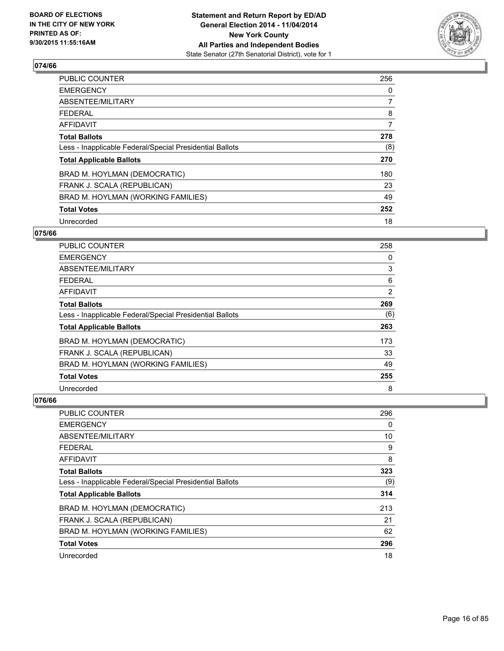

| PUBLIC COUNTER                                           | 256 |
|----------------------------------------------------------|-----|
| <b>EMERGENCY</b>                                         | 0   |
| ABSENTEE/MILITARY                                        | 7   |
| <b>FEDERAL</b>                                           | 8   |
| AFFIDAVIT                                                | 7   |
| <b>Total Ballots</b>                                     | 278 |
| Less - Inapplicable Federal/Special Presidential Ballots | (8) |
| <b>Total Applicable Ballots</b>                          | 270 |
| BRAD M. HOYLMAN (DEMOCRATIC)                             | 180 |
| FRANK J. SCALA (REPUBLICAN)                              | 23  |
| BRAD M. HOYLMAN (WORKING FAMILIES)                       | 49  |
| <b>Total Votes</b>                                       | 252 |
| Unrecorded                                               | 18  |

# **075/66**

| PUBLIC COUNTER                                           | 258            |
|----------------------------------------------------------|----------------|
| <b>EMERGENCY</b>                                         | 0              |
| ABSENTEE/MILITARY                                        | 3              |
| <b>FEDERAL</b>                                           | 6              |
| AFFIDAVIT                                                | $\overline{2}$ |
| <b>Total Ballots</b>                                     | 269            |
| Less - Inapplicable Federal/Special Presidential Ballots | (6)            |
| <b>Total Applicable Ballots</b>                          | 263            |
| BRAD M. HOYLMAN (DEMOCRATIC)                             | 173            |
| FRANK J. SCALA (REPUBLICAN)                              | 33             |
| BRAD M. HOYLMAN (WORKING FAMILIES)                       | 49             |
| <b>Total Votes</b>                                       | 255            |
| Unrecorded                                               | 8              |

| PUBLIC COUNTER                                           | 296 |
|----------------------------------------------------------|-----|
| <b>EMERGENCY</b>                                         | 0   |
| ABSENTEE/MILITARY                                        | 10  |
| <b>FEDERAL</b>                                           | 9   |
| <b>AFFIDAVIT</b>                                         | 8   |
| <b>Total Ballots</b>                                     | 323 |
| Less - Inapplicable Federal/Special Presidential Ballots | (9) |
| <b>Total Applicable Ballots</b>                          | 314 |
| BRAD M. HOYLMAN (DEMOCRATIC)                             | 213 |
| FRANK J. SCALA (REPUBLICAN)                              | 21  |
| BRAD M. HOYLMAN (WORKING FAMILIES)                       | 62  |
| <b>Total Votes</b>                                       | 296 |
| Unrecorded                                               | 18  |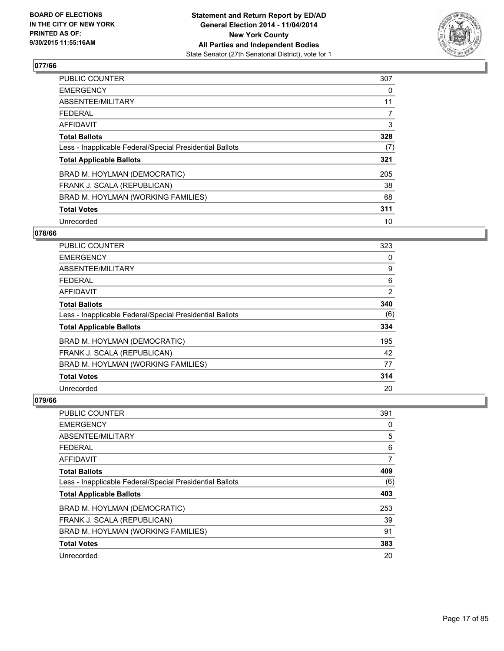

| PUBLIC COUNTER                                           | 307            |
|----------------------------------------------------------|----------------|
| <b>EMERGENCY</b>                                         | 0              |
| ABSENTEE/MILITARY                                        | 11             |
| <b>FEDERAL</b>                                           | $\overline{7}$ |
| <b>AFFIDAVIT</b>                                         | 3              |
| <b>Total Ballots</b>                                     | 328            |
| Less - Inapplicable Federal/Special Presidential Ballots | (7)            |
| <b>Total Applicable Ballots</b>                          | 321            |
| BRAD M. HOYLMAN (DEMOCRATIC)                             | 205            |
| FRANK J. SCALA (REPUBLICAN)                              | 38             |
| BRAD M. HOYLMAN (WORKING FAMILIES)                       | 68             |
| <b>Total Votes</b>                                       | 311            |
| Unrecorded                                               | 10             |

## **078/66**

| <b>PUBLIC COUNTER</b>                                    | 323 |
|----------------------------------------------------------|-----|
| <b>EMERGENCY</b>                                         | 0   |
| ABSENTEE/MILITARY                                        | 9   |
| <b>FEDERAL</b>                                           | 6   |
| <b>AFFIDAVIT</b>                                         | 2   |
| <b>Total Ballots</b>                                     | 340 |
| Less - Inapplicable Federal/Special Presidential Ballots | (6) |
| <b>Total Applicable Ballots</b>                          | 334 |
| BRAD M. HOYLMAN (DEMOCRATIC)                             | 195 |
| FRANK J. SCALA (REPUBLICAN)                              | 42  |
| BRAD M. HOYLMAN (WORKING FAMILIES)                       | 77  |
| <b>Total Votes</b>                                       | 314 |
| Unrecorded                                               | 20  |

| PUBLIC COUNTER                                           | 391 |
|----------------------------------------------------------|-----|
| <b>EMERGENCY</b>                                         | 0   |
| ABSENTEE/MILITARY                                        | 5   |
| FEDERAL                                                  | 6   |
| <b>AFFIDAVIT</b>                                         | 7   |
| <b>Total Ballots</b>                                     | 409 |
| Less - Inapplicable Federal/Special Presidential Ballots | (6) |
| <b>Total Applicable Ballots</b>                          | 403 |
| BRAD M. HOYLMAN (DEMOCRATIC)                             | 253 |
| FRANK J. SCALA (REPUBLICAN)                              | 39  |
| BRAD M. HOYLMAN (WORKING FAMILIES)                       | 91  |
| <b>Total Votes</b>                                       | 383 |
| Unrecorded                                               | 20  |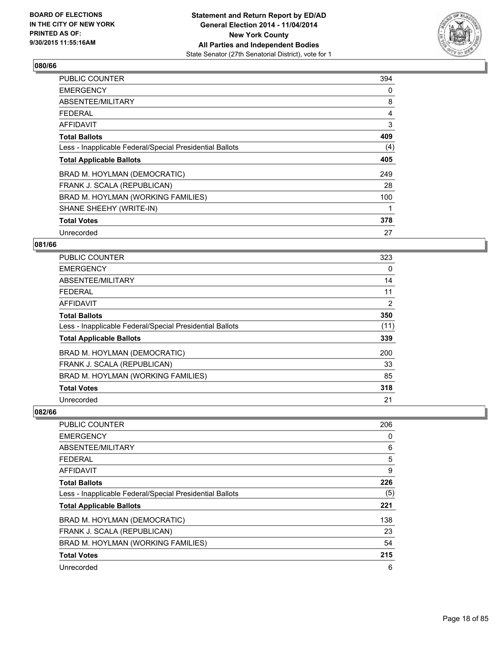

| <b>PUBLIC COUNTER</b>                                    | 394 |
|----------------------------------------------------------|-----|
| <b>EMERGENCY</b>                                         | 0   |
| ABSENTEE/MILITARY                                        | 8   |
| <b>FEDERAL</b>                                           | 4   |
| AFFIDAVIT                                                | 3   |
| <b>Total Ballots</b>                                     | 409 |
| Less - Inapplicable Federal/Special Presidential Ballots | (4) |
| <b>Total Applicable Ballots</b>                          | 405 |
| BRAD M. HOYLMAN (DEMOCRATIC)                             | 249 |
| FRANK J. SCALA (REPUBLICAN)                              | 28  |
| BRAD M. HOYLMAN (WORKING FAMILIES)                       | 100 |
| SHANE SHEEHY (WRITE-IN)                                  |     |
| <b>Total Votes</b>                                       | 378 |
| Unrecorded                                               | 27  |

# **081/66**

| PUBLIC COUNTER                                           | 323  |
|----------------------------------------------------------|------|
| <b>EMERGENCY</b>                                         | 0    |
| ABSENTEE/MILITARY                                        | 14   |
| <b>FEDERAL</b>                                           | 11   |
| <b>AFFIDAVIT</b>                                         | 2    |
| <b>Total Ballots</b>                                     | 350  |
| Less - Inapplicable Federal/Special Presidential Ballots | (11) |
| <b>Total Applicable Ballots</b>                          | 339  |
| BRAD M. HOYLMAN (DEMOCRATIC)                             | 200  |
| FRANK J. SCALA (REPUBLICAN)                              | 33   |
| BRAD M. HOYLMAN (WORKING FAMILIES)                       | 85   |
| <b>Total Votes</b>                                       | 318  |
| Unrecorded                                               | 21   |

| PUBLIC COUNTER                                           | 206 |
|----------------------------------------------------------|-----|
| <b>EMERGENCY</b>                                         | 0   |
| ABSENTEE/MILITARY                                        | 6   |
| <b>FEDERAL</b>                                           | 5   |
| AFFIDAVIT                                                | 9   |
| <b>Total Ballots</b>                                     | 226 |
| Less - Inapplicable Federal/Special Presidential Ballots | (5) |
| <b>Total Applicable Ballots</b>                          | 221 |
| BRAD M. HOYLMAN (DEMOCRATIC)                             | 138 |
| FRANK J. SCALA (REPUBLICAN)                              | 23  |
| BRAD M. HOYLMAN (WORKING FAMILIES)                       | 54  |
| <b>Total Votes</b>                                       | 215 |
| Unrecorded                                               | 6   |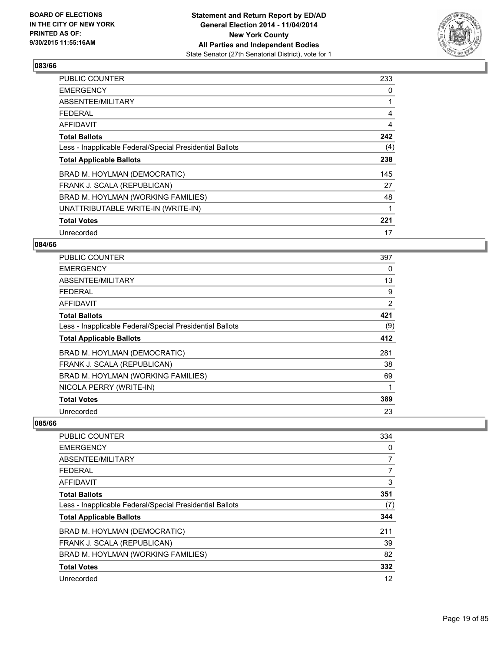

| PUBLIC COUNTER                                           | 233 |
|----------------------------------------------------------|-----|
| <b>EMERGENCY</b>                                         | 0   |
| ABSENTEE/MILITARY                                        |     |
| <b>FEDERAL</b>                                           | 4   |
| <b>AFFIDAVIT</b>                                         | 4   |
| <b>Total Ballots</b>                                     | 242 |
| Less - Inapplicable Federal/Special Presidential Ballots | (4) |
| <b>Total Applicable Ballots</b>                          | 238 |
| BRAD M. HOYLMAN (DEMOCRATIC)                             | 145 |
| FRANK J. SCALA (REPUBLICAN)                              | 27  |
| BRAD M. HOYLMAN (WORKING FAMILIES)                       | 48  |
| UNATTRIBUTABLE WRITE-IN (WRITE-IN)                       | 1   |
| <b>Total Votes</b>                                       | 221 |
| Unrecorded                                               | 17  |

# **084/66**

| <b>PUBLIC COUNTER</b>                                    | 397 |
|----------------------------------------------------------|-----|
| <b>EMERGENCY</b>                                         | 0   |
| ABSENTEE/MILITARY                                        | 13  |
| <b>FEDERAL</b>                                           | 9   |
| AFFIDAVIT                                                | 2   |
| <b>Total Ballots</b>                                     | 421 |
| Less - Inapplicable Federal/Special Presidential Ballots | (9) |
| <b>Total Applicable Ballots</b>                          | 412 |
| BRAD M. HOYLMAN (DEMOCRATIC)                             | 281 |
| FRANK J. SCALA (REPUBLICAN)                              | 38  |
| BRAD M. HOYLMAN (WORKING FAMILIES)                       | 69  |
| NICOLA PERRY (WRITE-IN)                                  |     |
| <b>Total Votes</b>                                       | 389 |
| Unrecorded                                               | 23  |

| <b>PUBLIC COUNTER</b>                                    | 334 |
|----------------------------------------------------------|-----|
| <b>EMERGENCY</b>                                         | 0   |
| ABSENTEE/MILITARY                                        | 7   |
| <b>FEDERAL</b>                                           | 7   |
| AFFIDAVIT                                                | 3   |
| <b>Total Ballots</b>                                     | 351 |
| Less - Inapplicable Federal/Special Presidential Ballots | (7) |
| <b>Total Applicable Ballots</b>                          | 344 |
| BRAD M. HOYLMAN (DEMOCRATIC)                             | 211 |
| FRANK J. SCALA (REPUBLICAN)                              | 39  |
| BRAD M. HOYLMAN (WORKING FAMILIES)                       | 82  |
| <b>Total Votes</b>                                       | 332 |
| Unrecorded                                               | 12  |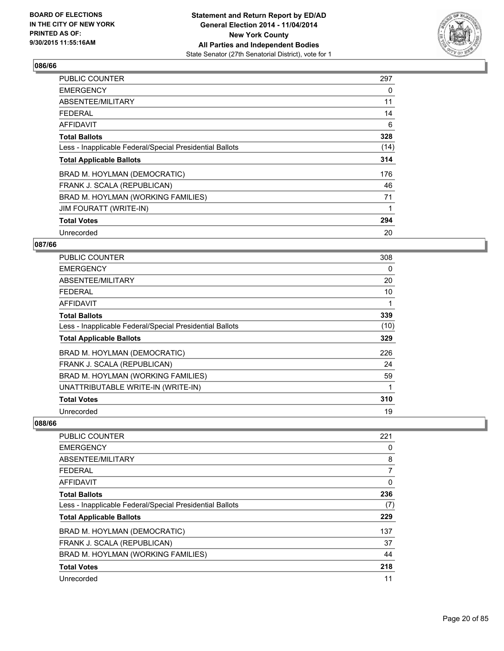

| <b>PUBLIC COUNTER</b>                                    | 297  |
|----------------------------------------------------------|------|
| <b>EMERGENCY</b>                                         | 0    |
| ABSENTEE/MILITARY                                        | 11   |
| <b>FEDERAL</b>                                           | 14   |
| AFFIDAVIT                                                | 6    |
| <b>Total Ballots</b>                                     | 328  |
| Less - Inapplicable Federal/Special Presidential Ballots | (14) |
| <b>Total Applicable Ballots</b>                          | 314  |
| BRAD M. HOYLMAN (DEMOCRATIC)                             | 176  |
| FRANK J. SCALA (REPUBLICAN)                              | 46   |
| BRAD M. HOYLMAN (WORKING FAMILIES)                       | 71   |
| <b>JIM FOURATT (WRITE-IN)</b>                            | 1    |
| <b>Total Votes</b>                                       | 294  |
| Unrecorded                                               | 20   |

# **087/66**

| PUBLIC COUNTER                                           | 308  |
|----------------------------------------------------------|------|
| <b>EMERGENCY</b>                                         | 0    |
| ABSENTEE/MILITARY                                        | 20   |
| <b>FEDERAL</b>                                           | 10   |
| <b>AFFIDAVIT</b>                                         | 1    |
| <b>Total Ballots</b>                                     | 339  |
| Less - Inapplicable Federal/Special Presidential Ballots | (10) |
| <b>Total Applicable Ballots</b>                          | 329  |
| BRAD M. HOYLMAN (DEMOCRATIC)                             | 226  |
| FRANK J. SCALA (REPUBLICAN)                              | 24   |
| BRAD M. HOYLMAN (WORKING FAMILIES)                       | 59   |
| UNATTRIBUTABLE WRITE-IN (WRITE-IN)                       |      |
| <b>Total Votes</b>                                       | 310  |
| Unrecorded                                               | 19   |

| <b>PUBLIC COUNTER</b>                                    | 221 |
|----------------------------------------------------------|-----|
| <b>EMERGENCY</b>                                         | 0   |
| ABSENTEE/MILITARY                                        | 8   |
| <b>FEDERAL</b>                                           | 7   |
| AFFIDAVIT                                                | 0   |
| <b>Total Ballots</b>                                     | 236 |
| Less - Inapplicable Federal/Special Presidential Ballots | (7) |
| <b>Total Applicable Ballots</b>                          | 229 |
| BRAD M. HOYLMAN (DEMOCRATIC)                             | 137 |
| FRANK J. SCALA (REPUBLICAN)                              | 37  |
| BRAD M. HOYLMAN (WORKING FAMILIES)                       | 44  |
| <b>Total Votes</b>                                       | 218 |
| Unrecorded                                               | 11  |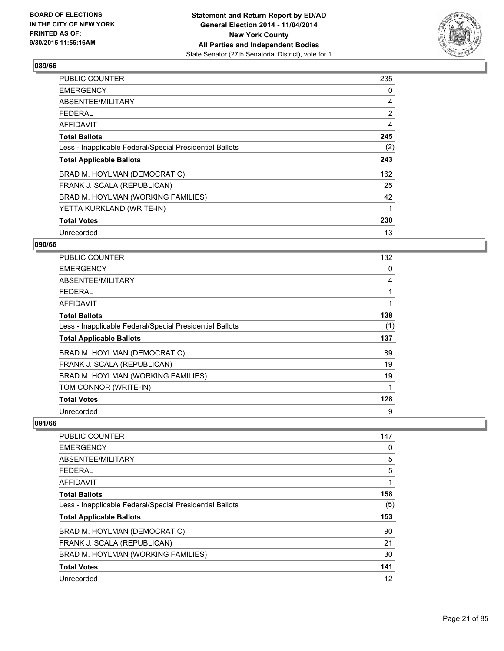

| <b>PUBLIC COUNTER</b>                                    | 235            |
|----------------------------------------------------------|----------------|
| <b>EMERGENCY</b>                                         | 0              |
| ABSENTEE/MILITARY                                        | 4              |
| <b>FEDERAL</b>                                           | $\overline{2}$ |
| <b>AFFIDAVIT</b>                                         | 4              |
| <b>Total Ballots</b>                                     | 245            |
| Less - Inapplicable Federal/Special Presidential Ballots | (2)            |
| <b>Total Applicable Ballots</b>                          | 243            |
| BRAD M. HOYLMAN (DEMOCRATIC)                             | 162            |
| FRANK J. SCALA (REPUBLICAN)                              | 25             |
| BRAD M. HOYLMAN (WORKING FAMILIES)                       | 42             |
| YETTA KURKLAND (WRITE-IN)                                | 1              |
| <b>Total Votes</b>                                       | 230            |
| Unrecorded                                               | 13             |

# **090/66**

| <b>PUBLIC COUNTER</b>                                    | 132 |
|----------------------------------------------------------|-----|
| <b>EMERGENCY</b>                                         | 0   |
| ABSENTEE/MILITARY                                        | 4   |
| <b>FEDERAL</b>                                           | 1   |
| AFFIDAVIT                                                | 1   |
| <b>Total Ballots</b>                                     | 138 |
| Less - Inapplicable Federal/Special Presidential Ballots | (1) |
| <b>Total Applicable Ballots</b>                          | 137 |
| BRAD M. HOYLMAN (DEMOCRATIC)                             | 89  |
| FRANK J. SCALA (REPUBLICAN)                              | 19  |
| BRAD M. HOYLMAN (WORKING FAMILIES)                       | 19  |
| TOM CONNOR (WRITE-IN)                                    | 1   |
| <b>Total Votes</b>                                       | 128 |
| Unrecorded                                               | 9   |

| <b>PUBLIC COUNTER</b>                                    | 147 |
|----------------------------------------------------------|-----|
| <b>EMERGENCY</b>                                         | 0   |
| ABSENTEE/MILITARY                                        | 5   |
| <b>FEDERAL</b>                                           | 5   |
| AFFIDAVIT                                                | 1   |
| <b>Total Ballots</b>                                     | 158 |
| Less - Inapplicable Federal/Special Presidential Ballots | (5) |
| <b>Total Applicable Ballots</b>                          | 153 |
| BRAD M. HOYLMAN (DEMOCRATIC)                             | 90  |
| FRANK J. SCALA (REPUBLICAN)                              | 21  |
| BRAD M. HOYLMAN (WORKING FAMILIES)                       | 30  |
| <b>Total Votes</b>                                       | 141 |
| Unrecorded                                               | 12  |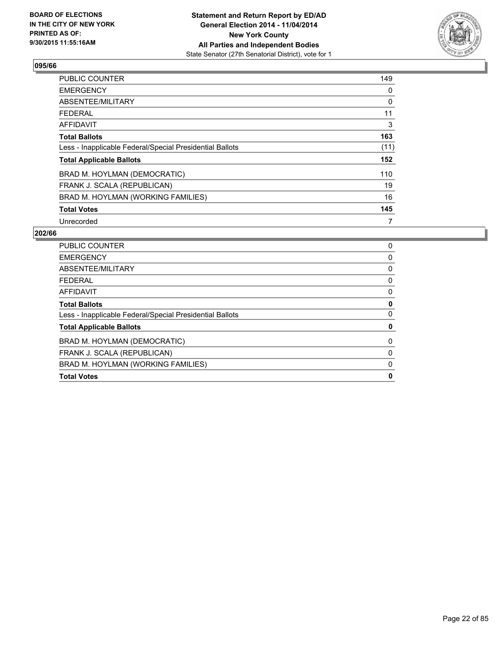

| <b>PUBLIC COUNTER</b>                                    | 149  |
|----------------------------------------------------------|------|
| <b>EMERGENCY</b>                                         | 0    |
| ABSENTEE/MILITARY                                        | 0    |
| FEDERAL                                                  | 11   |
| AFFIDAVIT                                                | 3    |
| <b>Total Ballots</b>                                     | 163  |
| Less - Inapplicable Federal/Special Presidential Ballots | (11) |
| <b>Total Applicable Ballots</b>                          | 152  |
| BRAD M. HOYLMAN (DEMOCRATIC)                             | 110  |
| FRANK J. SCALA (REPUBLICAN)                              | 19   |
| BRAD M. HOYLMAN (WORKING FAMILIES)                       | 16   |
| <b>Total Votes</b>                                       | 145  |
| Unrecorded                                               | 7    |

| PUBLIC COUNTER                                           | 0 |
|----------------------------------------------------------|---|
| <b>EMERGENCY</b>                                         | 0 |
| ABSENTEE/MILITARY                                        | 0 |
| <b>FEDERAL</b>                                           | 0 |
| <b>AFFIDAVIT</b>                                         | 0 |
| <b>Total Ballots</b>                                     | 0 |
| Less - Inapplicable Federal/Special Presidential Ballots | 0 |
| <b>Total Applicable Ballots</b>                          | 0 |
| BRAD M. HOYLMAN (DEMOCRATIC)                             | 0 |
| FRANK J. SCALA (REPUBLICAN)                              | 0 |
| BRAD M. HOYLMAN (WORKING FAMILIES)                       | 0 |
| <b>Total Votes</b>                                       | 0 |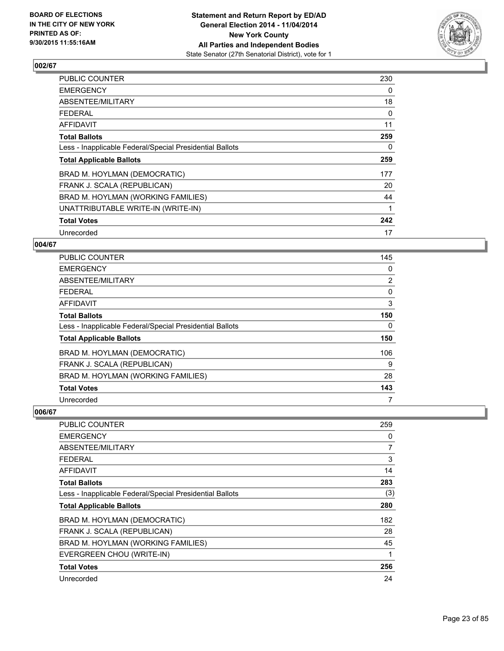

| PUBLIC COUNTER                                           | 230 |
|----------------------------------------------------------|-----|
| <b>EMERGENCY</b>                                         | 0   |
| ABSENTEE/MILITARY                                        | 18  |
| FEDERAL                                                  | 0   |
| <b>AFFIDAVIT</b>                                         | 11  |
| <b>Total Ballots</b>                                     | 259 |
| Less - Inapplicable Federal/Special Presidential Ballots | 0   |
| <b>Total Applicable Ballots</b>                          | 259 |
| BRAD M. HOYLMAN (DEMOCRATIC)                             | 177 |
| FRANK J. SCALA (REPUBLICAN)                              | 20  |
| BRAD M. HOYLMAN (WORKING FAMILIES)                       | 44  |
| UNATTRIBUTABLE WRITE-IN (WRITE-IN)                       | 1   |
| <b>Total Votes</b>                                       | 242 |
| Unrecorded                                               | 17  |

## **004/67**

| PUBLIC COUNTER                                           | 145            |
|----------------------------------------------------------|----------------|
| <b>EMERGENCY</b>                                         | 0              |
| ABSENTEE/MILITARY                                        | $\overline{2}$ |
| <b>FEDERAL</b>                                           | 0              |
| <b>AFFIDAVIT</b>                                         | 3              |
| <b>Total Ballots</b>                                     | 150            |
| Less - Inapplicable Federal/Special Presidential Ballots | 0              |
| <b>Total Applicable Ballots</b>                          | 150            |
| BRAD M. HOYLMAN (DEMOCRATIC)                             | 106            |
| FRANK J. SCALA (REPUBLICAN)                              | 9              |
| BRAD M. HOYLMAN (WORKING FAMILIES)                       | 28             |
| <b>Total Votes</b>                                       | 143            |
| Unrecorded                                               | 7              |

| <b>PUBLIC COUNTER</b>                                    | 259            |
|----------------------------------------------------------|----------------|
| <b>EMERGENCY</b>                                         | 0              |
| ABSENTEE/MILITARY                                        | $\overline{7}$ |
| <b>FEDERAL</b>                                           | 3              |
| <b>AFFIDAVIT</b>                                         | 14             |
| <b>Total Ballots</b>                                     | 283            |
| Less - Inapplicable Federal/Special Presidential Ballots | (3)            |
| <b>Total Applicable Ballots</b>                          | 280            |
| BRAD M. HOYLMAN (DEMOCRATIC)                             | 182            |
| FRANK J. SCALA (REPUBLICAN)                              | 28             |
| BRAD M. HOYLMAN (WORKING FAMILIES)                       | 45             |
| EVERGREEN CHOU (WRITE-IN)                                | 1              |
| <b>Total Votes</b>                                       | 256            |
| Unrecorded                                               | 24             |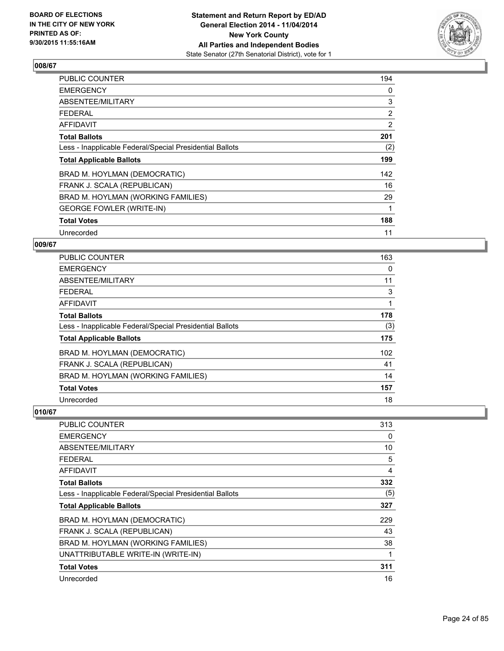

| PUBLIC COUNTER                                           | 194            |
|----------------------------------------------------------|----------------|
| <b>EMERGENCY</b>                                         | 0              |
| ABSENTEE/MILITARY                                        | 3              |
| <b>FEDERAL</b>                                           | $\overline{2}$ |
| <b>AFFIDAVIT</b>                                         | 2              |
| <b>Total Ballots</b>                                     | 201            |
| Less - Inapplicable Federal/Special Presidential Ballots | (2)            |
| <b>Total Applicable Ballots</b>                          | 199            |
| BRAD M. HOYLMAN (DEMOCRATIC)                             | 142            |
| FRANK J. SCALA (REPUBLICAN)                              | 16             |
| BRAD M. HOYLMAN (WORKING FAMILIES)                       | 29             |
| <b>GEORGE FOWLER (WRITE-IN)</b>                          | 1              |
| <b>Total Votes</b>                                       | 188            |
| Unrecorded                                               | 11             |

# **009/67**

| PUBLIC COUNTER                                           | 163 |
|----------------------------------------------------------|-----|
| <b>EMERGENCY</b>                                         | 0   |
| ABSENTEE/MILITARY                                        | 11  |
| FEDERAL                                                  | 3   |
| <b>AFFIDAVIT</b>                                         | 1   |
| <b>Total Ballots</b>                                     | 178 |
| Less - Inapplicable Federal/Special Presidential Ballots | (3) |
| <b>Total Applicable Ballots</b>                          | 175 |
| BRAD M. HOYLMAN (DEMOCRATIC)                             | 102 |
| FRANK J. SCALA (REPUBLICAN)                              | 41  |
| BRAD M. HOYLMAN (WORKING FAMILIES)                       | 14  |
| <b>Total Votes</b>                                       | 157 |
| Unrecorded                                               | 18  |

| PUBLIC COUNTER                                           | 313 |
|----------------------------------------------------------|-----|
| <b>EMERGENCY</b>                                         | 0   |
| ABSENTEE/MILITARY                                        | 10  |
| <b>FEDERAL</b>                                           | 5   |
| AFFIDAVIT                                                | 4   |
| <b>Total Ballots</b>                                     | 332 |
| Less - Inapplicable Federal/Special Presidential Ballots | (5) |
| <b>Total Applicable Ballots</b>                          | 327 |
| BRAD M. HOYLMAN (DEMOCRATIC)                             | 229 |
| FRANK J. SCALA (REPUBLICAN)                              | 43  |
| BRAD M. HOYLMAN (WORKING FAMILIES)                       | 38  |
| UNATTRIBUTABLE WRITE-IN (WRITE-IN)                       | 1   |
| <b>Total Votes</b>                                       | 311 |
| Unrecorded                                               | 16  |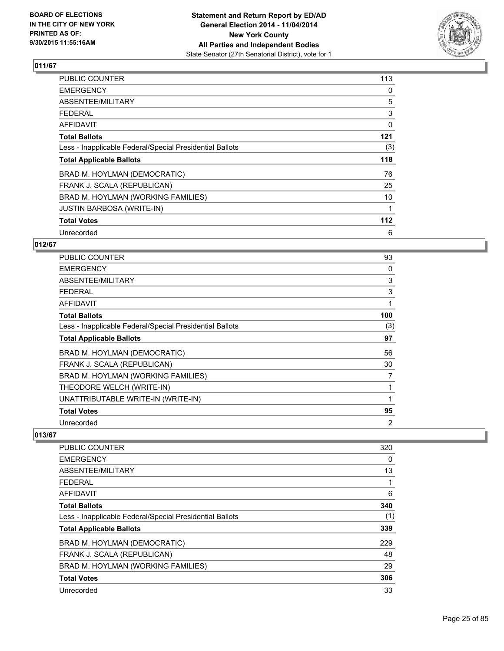

| <b>PUBLIC COUNTER</b>                                    | 113 |
|----------------------------------------------------------|-----|
| <b>EMERGENCY</b>                                         | 0   |
| ABSENTEE/MILITARY                                        | 5   |
| <b>FEDERAL</b>                                           | 3   |
| <b>AFFIDAVIT</b>                                         | 0   |
| <b>Total Ballots</b>                                     | 121 |
| Less - Inapplicable Federal/Special Presidential Ballots | (3) |
| <b>Total Applicable Ballots</b>                          | 118 |
| BRAD M. HOYLMAN (DEMOCRATIC)                             | 76  |
| FRANK J. SCALA (REPUBLICAN)                              | 25  |
| BRAD M. HOYLMAN (WORKING FAMILIES)                       | 10  |
| <b>JUSTIN BARBOSA (WRITE-IN)</b>                         |     |
| <b>Total Votes</b>                                       | 112 |
| Unrecorded                                               | 6   |

# **012/67**

| <b>PUBLIC COUNTER</b>                                    | 93  |
|----------------------------------------------------------|-----|
| <b>EMERGENCY</b>                                         | 0   |
| ABSENTEE/MILITARY                                        | 3   |
| <b>FEDERAL</b>                                           | 3   |
| AFFIDAVIT                                                | 1   |
| <b>Total Ballots</b>                                     | 100 |
| Less - Inapplicable Federal/Special Presidential Ballots | (3) |
| <b>Total Applicable Ballots</b>                          | 97  |
| BRAD M. HOYLMAN (DEMOCRATIC)                             | 56  |
| FRANK J. SCALA (REPUBLICAN)                              | 30  |
| BRAD M. HOYLMAN (WORKING FAMILIES)                       | 7   |
| THEODORE WELCH (WRITE-IN)                                | 1   |
| UNATTRIBUTABLE WRITE-IN (WRITE-IN)                       | 1   |
| <b>Total Votes</b>                                       | 95  |
| Unrecorded                                               | 2   |

| <b>PUBLIC COUNTER</b>                                    | 320 |
|----------------------------------------------------------|-----|
| <b>EMERGENCY</b>                                         | 0   |
| ABSENTEE/MILITARY                                        | 13  |
| <b>FEDERAL</b>                                           | 1   |
| AFFIDAVIT                                                | 6   |
| <b>Total Ballots</b>                                     | 340 |
| Less - Inapplicable Federal/Special Presidential Ballots | (1) |
| <b>Total Applicable Ballots</b>                          | 339 |
| BRAD M. HOYLMAN (DEMOCRATIC)                             | 229 |
| FRANK J. SCALA (REPUBLICAN)                              | 48  |
| BRAD M. HOYLMAN (WORKING FAMILIES)                       | 29  |
| <b>Total Votes</b>                                       | 306 |
| Unrecorded                                               | 33  |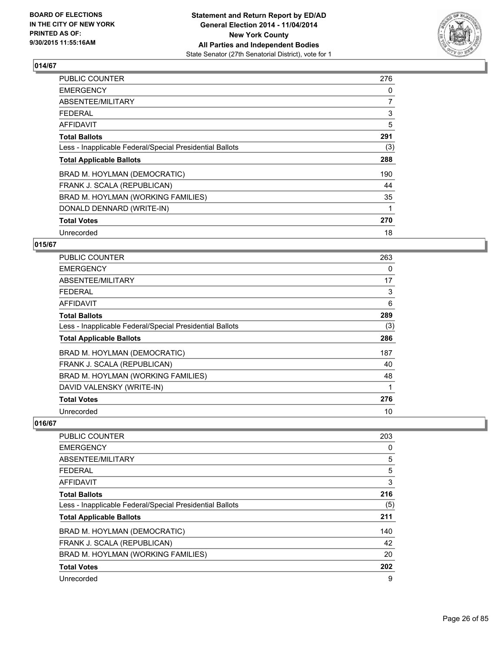

| <b>PUBLIC COUNTER</b>                                    | 276            |
|----------------------------------------------------------|----------------|
| <b>EMERGENCY</b>                                         | 0              |
| ABSENTEE/MILITARY                                        | $\overline{7}$ |
| <b>FEDERAL</b>                                           | 3              |
| <b>AFFIDAVIT</b>                                         | 5              |
| <b>Total Ballots</b>                                     | 291            |
| Less - Inapplicable Federal/Special Presidential Ballots | (3)            |
| <b>Total Applicable Ballots</b>                          | 288            |
| BRAD M. HOYLMAN (DEMOCRATIC)                             | 190            |
| FRANK J. SCALA (REPUBLICAN)                              | 44             |
| BRAD M. HOYLMAN (WORKING FAMILIES)                       | 35             |
| DONALD DENNARD (WRITE-IN)                                | 1              |
| <b>Total Votes</b>                                       | 270            |
| Unrecorded                                               | 18             |

## **015/67**

| <b>PUBLIC COUNTER</b>                                    | 263 |
|----------------------------------------------------------|-----|
| <b>EMERGENCY</b>                                         | 0   |
| ABSENTEE/MILITARY                                        | 17  |
| <b>FEDERAL</b>                                           | 3   |
| AFFIDAVIT                                                | 6   |
| <b>Total Ballots</b>                                     | 289 |
| Less - Inapplicable Federal/Special Presidential Ballots | (3) |
| <b>Total Applicable Ballots</b>                          | 286 |
| BRAD M. HOYLMAN (DEMOCRATIC)                             | 187 |
| FRANK J. SCALA (REPUBLICAN)                              | 40  |
| BRAD M. HOYLMAN (WORKING FAMILIES)                       | 48  |
| DAVID VALENSKY (WRITE-IN)                                |     |
| <b>Total Votes</b>                                       | 276 |
| Unrecorded                                               | 10  |

| 203 |
|-----|
| 0   |
| 5   |
| 5   |
| 3   |
| 216 |
| (5) |
| 211 |
| 140 |
| 42  |
| 20  |
| 202 |
| 9   |
|     |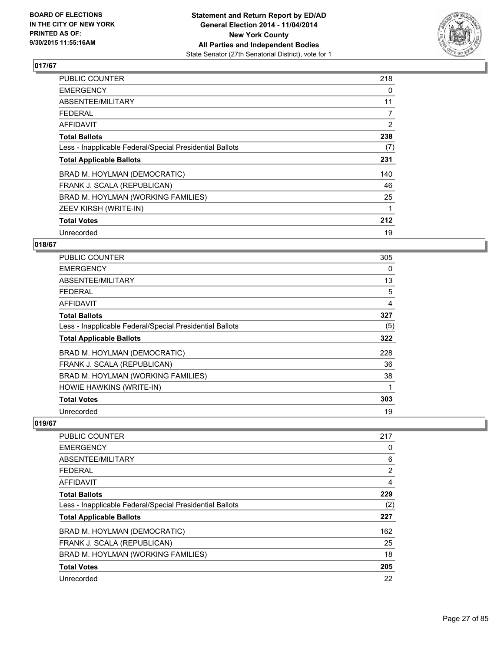

| <b>PUBLIC COUNTER</b>                                    | 218 |
|----------------------------------------------------------|-----|
| <b>EMERGENCY</b>                                         | 0   |
| ABSENTEE/MILITARY                                        | 11  |
| <b>FEDERAL</b>                                           | 7   |
| AFFIDAVIT                                                | 2   |
| <b>Total Ballots</b>                                     | 238 |
| Less - Inapplicable Federal/Special Presidential Ballots | (7) |
| <b>Total Applicable Ballots</b>                          | 231 |
| BRAD M. HOYLMAN (DEMOCRATIC)                             | 140 |
| FRANK J. SCALA (REPUBLICAN)                              | 46  |
| BRAD M. HOYLMAN (WORKING FAMILIES)                       | 25  |
| ZEEV KIRSH (WRITE-IN)                                    | 1   |
| <b>Total Votes</b>                                       | 212 |
| Unrecorded                                               | 19  |

## **018/67**

| <b>PUBLIC COUNTER</b>                                    | 305 |
|----------------------------------------------------------|-----|
| <b>EMERGENCY</b>                                         | 0   |
| ABSENTEE/MILITARY                                        | 13  |
| <b>FEDERAL</b>                                           | 5   |
| AFFIDAVIT                                                | 4   |
| <b>Total Ballots</b>                                     | 327 |
| Less - Inapplicable Federal/Special Presidential Ballots | (5) |
| <b>Total Applicable Ballots</b>                          | 322 |
| BRAD M. HOYLMAN (DEMOCRATIC)                             | 228 |
| FRANK J. SCALA (REPUBLICAN)                              | 36  |
| BRAD M. HOYLMAN (WORKING FAMILIES)                       | 38  |
| HOWIE HAWKINS (WRITE-IN)                                 |     |
| <b>Total Votes</b>                                       | 303 |
| Unrecorded                                               | 19  |

| <b>PUBLIC COUNTER</b>                                    | 217            |
|----------------------------------------------------------|----------------|
| <b>EMERGENCY</b>                                         | 0              |
| ABSENTEE/MILITARY                                        | 6              |
| <b>FEDERAL</b>                                           | $\overline{2}$ |
| AFFIDAVIT                                                | 4              |
| <b>Total Ballots</b>                                     | 229            |
| Less - Inapplicable Federal/Special Presidential Ballots | (2)            |
| <b>Total Applicable Ballots</b>                          | 227            |
| BRAD M. HOYLMAN (DEMOCRATIC)                             | 162            |
| FRANK J. SCALA (REPUBLICAN)                              | 25             |
| BRAD M. HOYLMAN (WORKING FAMILIES)                       | 18             |
| <b>Total Votes</b>                                       | 205            |
| Unrecorded                                               | 22             |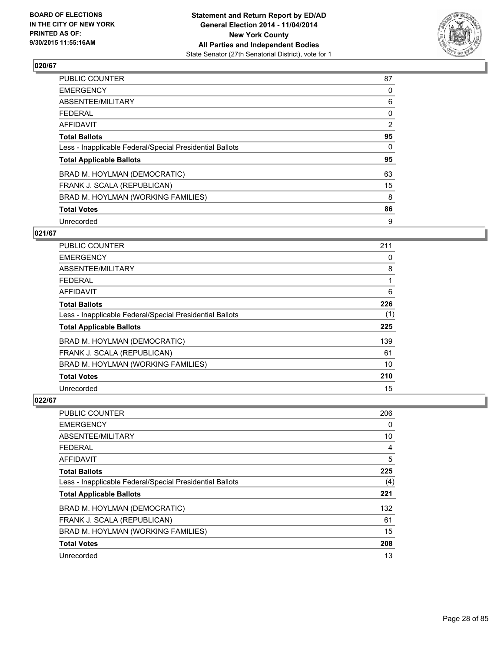

| <b>PUBLIC COUNTER</b>                                    | 87             |
|----------------------------------------------------------|----------------|
| <b>EMERGENCY</b>                                         | 0              |
| ABSENTEE/MILITARY                                        | 6              |
| <b>FEDERAL</b>                                           | 0              |
| AFFIDAVIT                                                | $\overline{2}$ |
| <b>Total Ballots</b>                                     | 95             |
| Less - Inapplicable Federal/Special Presidential Ballots | 0              |
| <b>Total Applicable Ballots</b>                          | 95             |
| BRAD M. HOYLMAN (DEMOCRATIC)                             | 63             |
| FRANK J. SCALA (REPUBLICAN)                              | 15             |
| BRAD M. HOYLMAN (WORKING FAMILIES)                       | 8              |
| <b>Total Votes</b>                                       | 86             |
| Unrecorded                                               | 9              |

# **021/67**

| <b>PUBLIC COUNTER</b>                                    | 211 |
|----------------------------------------------------------|-----|
| <b>EMERGENCY</b>                                         | 0   |
| ABSENTEE/MILITARY                                        | 8   |
| <b>FEDERAL</b>                                           |     |
| AFFIDAVIT                                                | 6   |
| <b>Total Ballots</b>                                     | 226 |
| Less - Inapplicable Federal/Special Presidential Ballots | (1) |
| <b>Total Applicable Ballots</b>                          | 225 |
| BRAD M. HOYLMAN (DEMOCRATIC)                             | 139 |
| FRANK J. SCALA (REPUBLICAN)                              | 61  |
| BRAD M. HOYLMAN (WORKING FAMILIES)                       | 10  |
| <b>Total Votes</b>                                       | 210 |
| Unrecorded                                               | 15  |

| PUBLIC COUNTER                                           | 206 |
|----------------------------------------------------------|-----|
| <b>EMERGENCY</b>                                         | 0   |
| ABSENTEE/MILITARY                                        | 10  |
| FEDERAL                                                  | 4   |
| AFFIDAVIT                                                | 5   |
| <b>Total Ballots</b>                                     | 225 |
| Less - Inapplicable Federal/Special Presidential Ballots | (4) |
| <b>Total Applicable Ballots</b>                          | 221 |
| BRAD M. HOYLMAN (DEMOCRATIC)                             | 132 |
| FRANK J. SCALA (REPUBLICAN)                              | 61  |
| BRAD M. HOYLMAN (WORKING FAMILIES)                       | 15  |
| <b>Total Votes</b>                                       | 208 |
| Unrecorded                                               | 13  |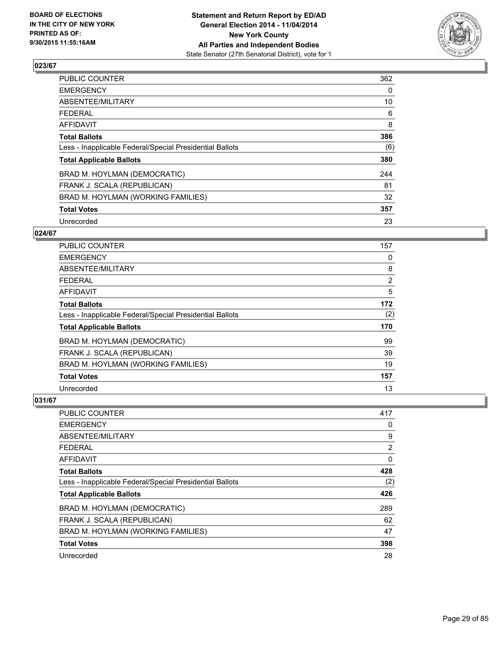

| PUBLIC COUNTER                                           | 362 |
|----------------------------------------------------------|-----|
| <b>EMERGENCY</b>                                         | 0   |
| ABSENTEE/MILITARY                                        | 10  |
| <b>FEDERAL</b>                                           | 6   |
| <b>AFFIDAVIT</b>                                         | 8   |
| <b>Total Ballots</b>                                     | 386 |
| Less - Inapplicable Federal/Special Presidential Ballots | (6) |
| <b>Total Applicable Ballots</b>                          | 380 |
| BRAD M. HOYLMAN (DEMOCRATIC)                             | 244 |
| FRANK J. SCALA (REPUBLICAN)                              | 81  |
| BRAD M. HOYLMAN (WORKING FAMILIES)                       | 32  |
| <b>Total Votes</b>                                       | 357 |
| Unrecorded                                               | 23  |

## **024/67**

| PUBLIC COUNTER                                           | 157            |
|----------------------------------------------------------|----------------|
| <b>EMERGENCY</b>                                         | 0              |
| ABSENTEE/MILITARY                                        | 8              |
| <b>FEDERAL</b>                                           | $\overline{2}$ |
| <b>AFFIDAVIT</b>                                         | 5              |
| <b>Total Ballots</b>                                     | 172            |
| Less - Inapplicable Federal/Special Presidential Ballots | (2)            |
| <b>Total Applicable Ballots</b>                          | 170            |
| BRAD M. HOYLMAN (DEMOCRATIC)                             | 99             |
| FRANK J. SCALA (REPUBLICAN)                              | 39             |
| BRAD M. HOYLMAN (WORKING FAMILIES)                       | 19             |
| <b>Total Votes</b>                                       | 157            |
| Unrecorded                                               | 13             |

| PUBLIC COUNTER                                           | 417 |
|----------------------------------------------------------|-----|
| <b>EMERGENCY</b>                                         | 0   |
| ABSENTEE/MILITARY                                        | 9   |
| <b>FEDERAL</b>                                           | 2   |
| AFFIDAVIT                                                | 0   |
| <b>Total Ballots</b>                                     | 428 |
| Less - Inapplicable Federal/Special Presidential Ballots | (2) |
| <b>Total Applicable Ballots</b>                          | 426 |
| BRAD M. HOYLMAN (DEMOCRATIC)                             | 289 |
| FRANK J. SCALA (REPUBLICAN)                              | 62  |
| BRAD M. HOYLMAN (WORKING FAMILIES)                       | 47  |
| <b>Total Votes</b>                                       | 398 |
| Unrecorded                                               | 28  |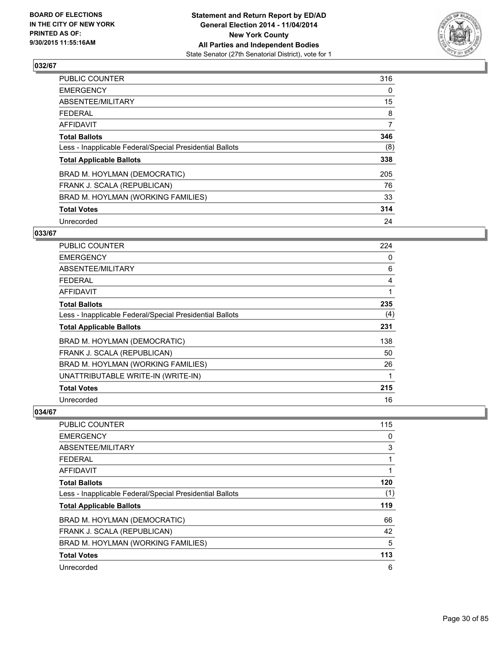

| PUBLIC COUNTER                                           | 316            |
|----------------------------------------------------------|----------------|
| <b>EMERGENCY</b>                                         | 0              |
| ABSENTEE/MILITARY                                        | 15             |
| <b>FEDERAL</b>                                           | 8              |
| <b>AFFIDAVIT</b>                                         | $\overline{7}$ |
| <b>Total Ballots</b>                                     | 346            |
| Less - Inapplicable Federal/Special Presidential Ballots | (8)            |
| <b>Total Applicable Ballots</b>                          | 338            |
| BRAD M. HOYLMAN (DEMOCRATIC)                             | 205            |
| FRANK J. SCALA (REPUBLICAN)                              | 76             |
| BRAD M. HOYLMAN (WORKING FAMILIES)                       | 33             |
| <b>Total Votes</b>                                       | 314            |
| Unrecorded                                               | 24             |

# **033/67**

| <b>PUBLIC COUNTER</b>                                    | 224 |
|----------------------------------------------------------|-----|
| <b>EMERGENCY</b>                                         | 0   |
| ABSENTEE/MILITARY                                        | 6   |
| <b>FEDERAL</b>                                           | 4   |
| AFFIDAVIT                                                | 1   |
| <b>Total Ballots</b>                                     | 235 |
| Less - Inapplicable Federal/Special Presidential Ballots | (4) |
| <b>Total Applicable Ballots</b>                          | 231 |
| BRAD M. HOYLMAN (DEMOCRATIC)                             | 138 |
| FRANK J. SCALA (REPUBLICAN)                              | 50  |
| BRAD M. HOYLMAN (WORKING FAMILIES)                       | 26  |
| UNATTRIBUTABLE WRITE-IN (WRITE-IN)                       | 1   |
| <b>Total Votes</b>                                       | 215 |
| Unrecorded                                               | 16  |

| <b>PUBLIC COUNTER</b>                                    | 115 |
|----------------------------------------------------------|-----|
| <b>EMERGENCY</b>                                         | 0   |
| ABSENTEE/MILITARY                                        | 3   |
| <b>FEDERAL</b>                                           |     |
| AFFIDAVIT                                                |     |
| <b>Total Ballots</b>                                     | 120 |
| Less - Inapplicable Federal/Special Presidential Ballots | (1) |
| <b>Total Applicable Ballots</b>                          | 119 |
| BRAD M. HOYLMAN (DEMOCRATIC)                             | 66  |
| FRANK J. SCALA (REPUBLICAN)                              | 42  |
| BRAD M. HOYLMAN (WORKING FAMILIES)                       | 5   |
| <b>Total Votes</b>                                       | 113 |
| Unrecorded                                               | 6   |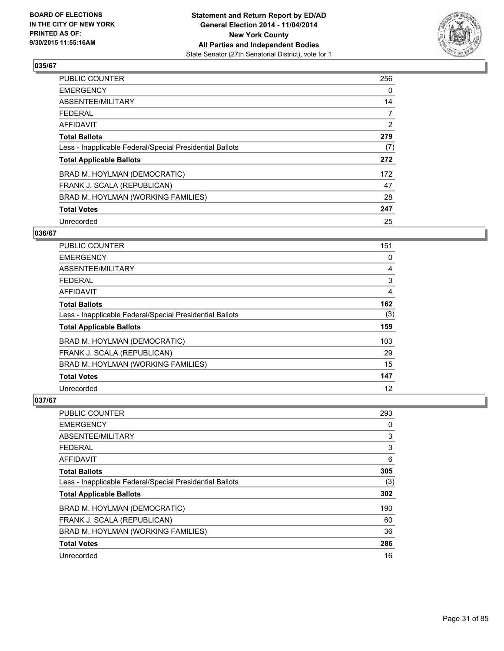

| <b>PUBLIC COUNTER</b>                                    | 256            |
|----------------------------------------------------------|----------------|
| <b>EMERGENCY</b>                                         | 0              |
| ABSENTEE/MILITARY                                        | 14             |
| <b>FEDERAL</b>                                           | $\overline{7}$ |
| <b>AFFIDAVIT</b>                                         | $\overline{2}$ |
| <b>Total Ballots</b>                                     | 279            |
| Less - Inapplicable Federal/Special Presidential Ballots | (7)            |
| <b>Total Applicable Ballots</b>                          | 272            |
| BRAD M. HOYLMAN (DEMOCRATIC)                             | 172            |
| FRANK J. SCALA (REPUBLICAN)                              | 47             |
| BRAD M. HOYLMAN (WORKING FAMILIES)                       | 28             |
| <b>Total Votes</b>                                       | 247            |
| Unrecorded                                               | 25             |

## **036/67**

| <b>PUBLIC COUNTER</b>                                    | 151 |
|----------------------------------------------------------|-----|
| <b>EMERGENCY</b>                                         | 0   |
| ABSENTEE/MILITARY                                        | 4   |
| <b>FEDERAL</b>                                           | 3   |
| AFFIDAVIT                                                | 4   |
| <b>Total Ballots</b>                                     | 162 |
| Less - Inapplicable Federal/Special Presidential Ballots | (3) |
| <b>Total Applicable Ballots</b>                          | 159 |
| BRAD M. HOYLMAN (DEMOCRATIC)                             | 103 |
| FRANK J. SCALA (REPUBLICAN)                              | 29  |
| BRAD M. HOYLMAN (WORKING FAMILIES)                       | 15  |
| <b>Total Votes</b>                                       | 147 |
| Unrecorded                                               | 12  |

| PUBLIC COUNTER                                           | 293 |
|----------------------------------------------------------|-----|
| <b>EMERGENCY</b>                                         | 0   |
| ABSENTEE/MILITARY                                        | 3   |
| FEDERAL                                                  | 3   |
| <b>AFFIDAVIT</b>                                         | 6   |
| <b>Total Ballots</b>                                     | 305 |
| Less - Inapplicable Federal/Special Presidential Ballots | (3) |
| <b>Total Applicable Ballots</b>                          | 302 |
| BRAD M. HOYLMAN (DEMOCRATIC)                             | 190 |
| FRANK J. SCALA (REPUBLICAN)                              | 60  |
| BRAD M. HOYLMAN (WORKING FAMILIES)                       | 36  |
| <b>Total Votes</b>                                       | 286 |
| Unrecorded                                               | 16  |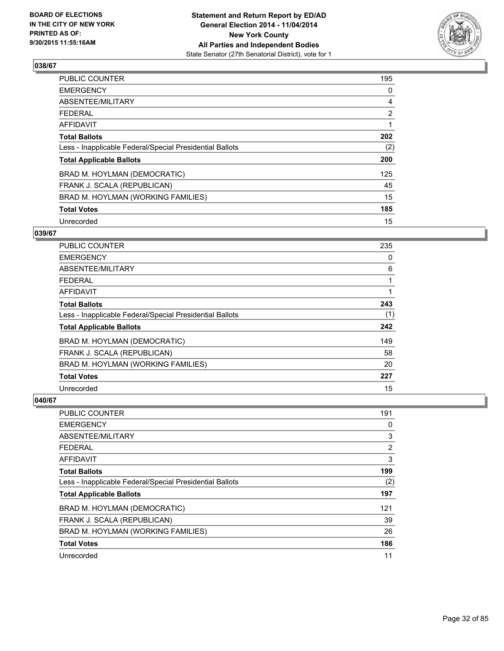

| PUBLIC COUNTER                                           | 195            |
|----------------------------------------------------------|----------------|
| <b>EMERGENCY</b>                                         | 0              |
| ABSENTEE/MILITARY                                        | 4              |
| <b>FEDERAL</b>                                           | $\overline{2}$ |
| <b>AFFIDAVIT</b>                                         | 1              |
| <b>Total Ballots</b>                                     | 202            |
| Less - Inapplicable Federal/Special Presidential Ballots | (2)            |
| <b>Total Applicable Ballots</b>                          | 200            |
| BRAD M. HOYLMAN (DEMOCRATIC)                             | 125            |
| FRANK J. SCALA (REPUBLICAN)                              | 45             |
| BRAD M. HOYLMAN (WORKING FAMILIES)                       | 15             |
| <b>Total Votes</b>                                       | 185            |
| Unrecorded                                               | 15             |

## **039/67**

| <b>PUBLIC COUNTER</b>                                    | 235 |
|----------------------------------------------------------|-----|
| <b>EMERGENCY</b>                                         | 0   |
| ABSENTEE/MILITARY                                        | 6   |
| <b>FEDERAL</b>                                           |     |
| AFFIDAVIT                                                |     |
| <b>Total Ballots</b>                                     | 243 |
| Less - Inapplicable Federal/Special Presidential Ballots | (1) |
| <b>Total Applicable Ballots</b>                          | 242 |
| BRAD M. HOYLMAN (DEMOCRATIC)                             | 149 |
| FRANK J. SCALA (REPUBLICAN)                              | 58  |
| BRAD M. HOYLMAN (WORKING FAMILIES)                       | 20  |
| <b>Total Votes</b>                                       | 227 |
| Unrecorded                                               | 15  |

| PUBLIC COUNTER                                           | 191 |
|----------------------------------------------------------|-----|
| <b>EMERGENCY</b>                                         | 0   |
| ABSENTEE/MILITARY                                        | 3   |
| <b>FEDERAL</b>                                           | 2   |
| AFFIDAVIT                                                | 3   |
| <b>Total Ballots</b>                                     | 199 |
| Less - Inapplicable Federal/Special Presidential Ballots | (2) |
| <b>Total Applicable Ballots</b>                          | 197 |
| BRAD M. HOYLMAN (DEMOCRATIC)                             | 121 |
| FRANK J. SCALA (REPUBLICAN)                              | 39  |
| BRAD M. HOYLMAN (WORKING FAMILIES)                       | 26  |
| <b>Total Votes</b>                                       | 186 |
| Unrecorded                                               | 11  |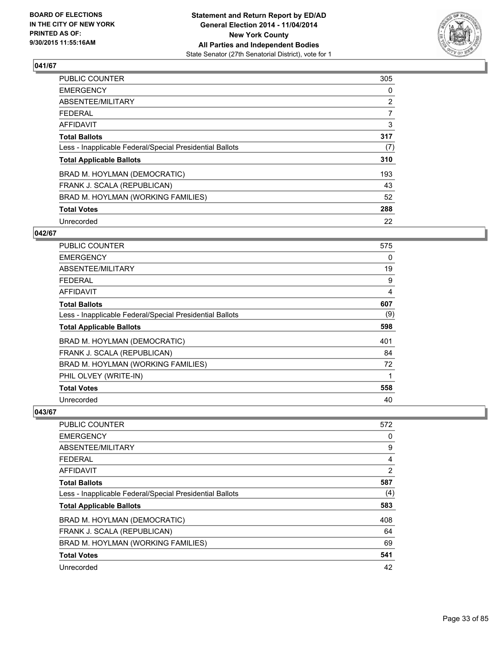

| <b>PUBLIC COUNTER</b>                                    | 305            |
|----------------------------------------------------------|----------------|
| <b>EMERGENCY</b>                                         | 0              |
| ABSENTEE/MILITARY                                        | $\overline{2}$ |
| <b>FEDERAL</b>                                           | $\overline{7}$ |
| AFFIDAVIT                                                | 3              |
| <b>Total Ballots</b>                                     | 317            |
| Less - Inapplicable Federal/Special Presidential Ballots | (7)            |
| <b>Total Applicable Ballots</b>                          | 310            |
| BRAD M. HOYLMAN (DEMOCRATIC)                             | 193            |
| FRANK J. SCALA (REPUBLICAN)                              | 43             |
| BRAD M. HOYLMAN (WORKING FAMILIES)                       | 52             |
| <b>Total Votes</b>                                       | 288            |
| Unrecorded                                               | 22             |

## **042/67**

| <b>PUBLIC COUNTER</b>                                    | 575 |
|----------------------------------------------------------|-----|
| <b>EMERGENCY</b>                                         | 0   |
| ABSENTEE/MILITARY                                        | 19  |
| <b>FEDERAL</b>                                           | 9   |
| <b>AFFIDAVIT</b>                                         | 4   |
| <b>Total Ballots</b>                                     | 607 |
| Less - Inapplicable Federal/Special Presidential Ballots | (9) |
| <b>Total Applicable Ballots</b>                          | 598 |
| BRAD M. HOYLMAN (DEMOCRATIC)                             | 401 |
| FRANK J. SCALA (REPUBLICAN)                              | 84  |
| BRAD M. HOYLMAN (WORKING FAMILIES)                       | 72  |
| PHIL OLVEY (WRITE-IN)                                    | 1   |
| <b>Total Votes</b>                                       | 558 |
| Unrecorded                                               | 40  |

| <b>PUBLIC COUNTER</b>                                    | 572 |
|----------------------------------------------------------|-----|
| <b>EMERGENCY</b>                                         | 0   |
| ABSENTEE/MILITARY                                        | 9   |
| <b>FEDERAL</b>                                           | 4   |
| AFFIDAVIT                                                | 2   |
| <b>Total Ballots</b>                                     | 587 |
| Less - Inapplicable Federal/Special Presidential Ballots | (4) |
| <b>Total Applicable Ballots</b>                          | 583 |
| BRAD M. HOYLMAN (DEMOCRATIC)                             | 408 |
| FRANK J. SCALA (REPUBLICAN)                              | 64  |
| BRAD M. HOYLMAN (WORKING FAMILIES)                       | 69  |
| <b>Total Votes</b>                                       | 541 |
| Unrecorded                                               | 42  |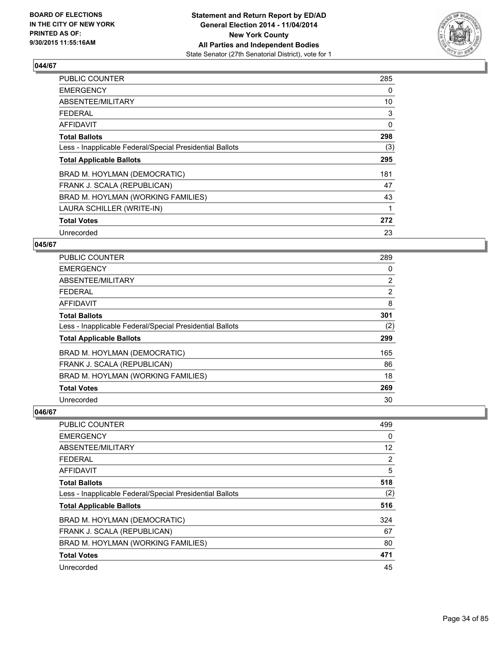

| <b>PUBLIC COUNTER</b>                                    | 285 |
|----------------------------------------------------------|-----|
| <b>EMERGENCY</b>                                         | 0   |
| ABSENTEE/MILITARY                                        | 10  |
| <b>FEDERAL</b>                                           | 3   |
| <b>AFFIDAVIT</b>                                         | 0   |
| <b>Total Ballots</b>                                     | 298 |
| Less - Inapplicable Federal/Special Presidential Ballots | (3) |
| <b>Total Applicable Ballots</b>                          | 295 |
| BRAD M. HOYLMAN (DEMOCRATIC)                             | 181 |
| FRANK J. SCALA (REPUBLICAN)                              | 47  |
| BRAD M. HOYLMAN (WORKING FAMILIES)                       | 43  |
| LAURA SCHILLER (WRITE-IN)                                | 1   |
| <b>Total Votes</b>                                       | 272 |
| Unrecorded                                               | 23  |

## **045/67**

| <b>PUBLIC COUNTER</b>                                    | 289 |
|----------------------------------------------------------|-----|
| <b>EMERGENCY</b>                                         | 0   |
| ABSENTEE/MILITARY                                        | 2   |
| <b>FEDERAL</b>                                           | 2   |
| AFFIDAVIT                                                | 8   |
| <b>Total Ballots</b>                                     | 301 |
| Less - Inapplicable Federal/Special Presidential Ballots | (2) |
| <b>Total Applicable Ballots</b>                          | 299 |
| BRAD M. HOYLMAN (DEMOCRATIC)                             | 165 |
| FRANK J. SCALA (REPUBLICAN)                              | 86  |
| BRAD M. HOYLMAN (WORKING FAMILIES)                       | 18  |
| <b>Total Votes</b>                                       | 269 |
| Unrecorded                                               | 30  |

| <b>PUBLIC COUNTER</b>                                    | 499 |
|----------------------------------------------------------|-----|
| <b>EMERGENCY</b>                                         | 0   |
| ABSENTEE/MILITARY                                        | 12  |
| <b>FEDERAL</b>                                           | 2   |
| AFFIDAVIT                                                | 5   |
| <b>Total Ballots</b>                                     | 518 |
| Less - Inapplicable Federal/Special Presidential Ballots | (2) |
| <b>Total Applicable Ballots</b>                          | 516 |
| BRAD M. HOYLMAN (DEMOCRATIC)                             | 324 |
| FRANK J. SCALA (REPUBLICAN)                              | 67  |
| BRAD M. HOYLMAN (WORKING FAMILIES)                       | 80  |
| <b>Total Votes</b>                                       | 471 |
| Unrecorded                                               | 45  |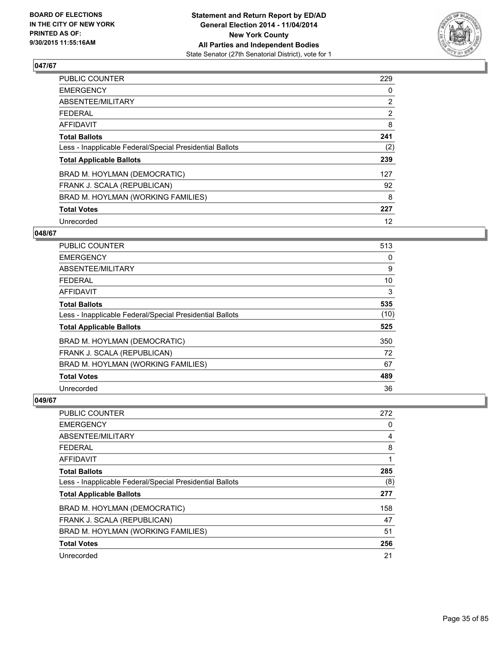

| PUBLIC COUNTER                                           | 229            |
|----------------------------------------------------------|----------------|
| <b>EMERGENCY</b>                                         | 0              |
| ABSENTEE/MILITARY                                        | $\overline{2}$ |
| <b>FEDERAL</b>                                           | $\overline{2}$ |
| AFFIDAVIT                                                | 8              |
| <b>Total Ballots</b>                                     | 241            |
| Less - Inapplicable Federal/Special Presidential Ballots | (2)            |
| <b>Total Applicable Ballots</b>                          | 239            |
| BRAD M. HOYLMAN (DEMOCRATIC)                             | 127            |
| FRANK J. SCALA (REPUBLICAN)                              | 92             |
| BRAD M. HOYLMAN (WORKING FAMILIES)                       | 8              |
| <b>Total Votes</b>                                       | 227            |
| Unrecorded                                               | 12             |

## **048/67**

| <b>PUBLIC COUNTER</b>                                    | 513  |
|----------------------------------------------------------|------|
| <b>EMERGENCY</b>                                         | 0    |
| ABSENTEE/MILITARY                                        | 9    |
| <b>FEDERAL</b>                                           | 10   |
| <b>AFFIDAVIT</b>                                         | 3    |
| <b>Total Ballots</b>                                     | 535  |
| Less - Inapplicable Federal/Special Presidential Ballots | (10) |
| <b>Total Applicable Ballots</b>                          | 525  |
| BRAD M. HOYLMAN (DEMOCRATIC)                             | 350  |
| FRANK J. SCALA (REPUBLICAN)                              | 72   |
| BRAD M. HOYLMAN (WORKING FAMILIES)                       | 67   |
| <b>Total Votes</b>                                       | 489  |
| Unrecorded                                               | 36   |

| PUBLIC COUNTER                                           | 272 |
|----------------------------------------------------------|-----|
| <b>EMERGENCY</b>                                         | 0   |
| ABSENTEE/MILITARY                                        | 4   |
| <b>FEDERAL</b>                                           | 8   |
| <b>AFFIDAVIT</b>                                         | 1   |
| <b>Total Ballots</b>                                     | 285 |
| Less - Inapplicable Federal/Special Presidential Ballots | (8) |
| <b>Total Applicable Ballots</b>                          | 277 |
| BRAD M. HOYLMAN (DEMOCRATIC)                             | 158 |
| FRANK J. SCALA (REPUBLICAN)                              | 47  |
| BRAD M. HOYLMAN (WORKING FAMILIES)                       | 51  |
| <b>Total Votes</b>                                       | 256 |
| Unrecorded                                               | 21  |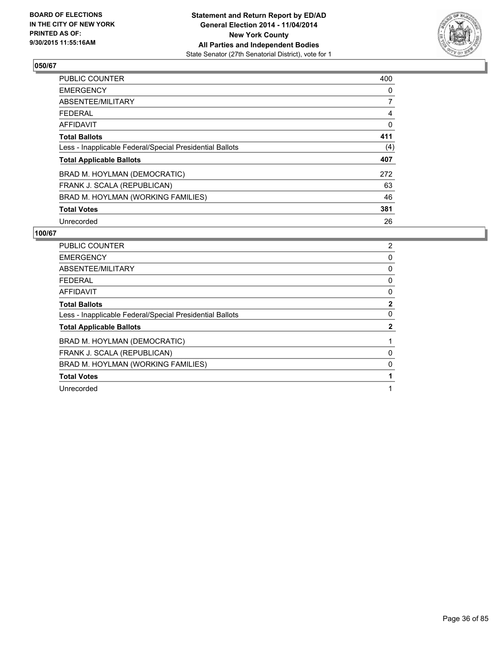

| <b>PUBLIC COUNTER</b>                                    | 400      |
|----------------------------------------------------------|----------|
| <b>EMERGENCY</b>                                         | 0        |
| ABSENTEE/MILITARY                                        | 7        |
| <b>FEDERAL</b>                                           | 4        |
| AFFIDAVIT                                                | $\Omega$ |
| <b>Total Ballots</b>                                     | 411      |
| Less - Inapplicable Federal/Special Presidential Ballots | (4)      |
| <b>Total Applicable Ballots</b>                          | 407      |
| BRAD M. HOYLMAN (DEMOCRATIC)                             | 272      |
| FRANK J. SCALA (REPUBLICAN)                              | 63       |
| BRAD M. HOYLMAN (WORKING FAMILIES)                       | 46       |
| <b>Total Votes</b>                                       | 381      |
| Unrecorded                                               | 26       |

| <b>PUBLIC COUNTER</b>                                    | 2            |
|----------------------------------------------------------|--------------|
| <b>EMERGENCY</b>                                         | 0            |
| ABSENTEE/MILITARY                                        | 0            |
| FEDERAL                                                  | 0            |
| <b>AFFIDAVIT</b>                                         | 0            |
| <b>Total Ballots</b>                                     | $\mathbf{2}$ |
| Less - Inapplicable Federal/Special Presidential Ballots | 0            |
| <b>Total Applicable Ballots</b>                          | $\mathbf{2}$ |
| BRAD M. HOYLMAN (DEMOCRATIC)                             |              |
| FRANK J. SCALA (REPUBLICAN)                              | 0            |
| BRAD M. HOYLMAN (WORKING FAMILIES)                       | 0            |
| <b>Total Votes</b>                                       |              |
| Unrecorded                                               | 1            |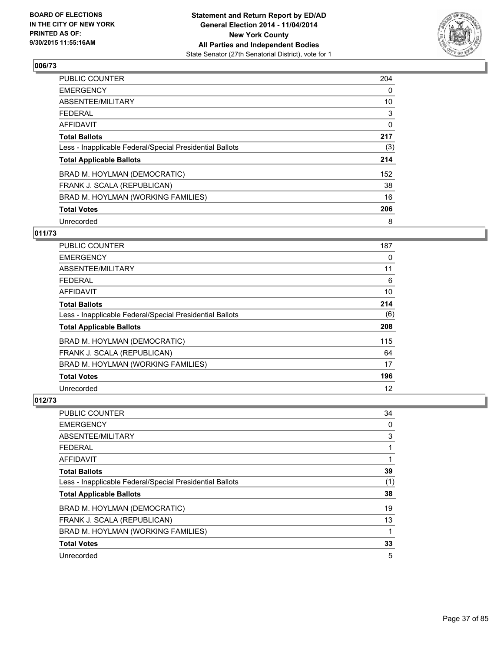

| <b>PUBLIC COUNTER</b>                                    | 204 |
|----------------------------------------------------------|-----|
| <b>EMERGENCY</b>                                         | 0   |
| ABSENTEE/MILITARY                                        | 10  |
| <b>FEDERAL</b>                                           | 3   |
| <b>AFFIDAVIT</b>                                         | 0   |
| <b>Total Ballots</b>                                     | 217 |
| Less - Inapplicable Federal/Special Presidential Ballots | (3) |
| <b>Total Applicable Ballots</b>                          | 214 |
| BRAD M. HOYLMAN (DEMOCRATIC)                             | 152 |
| FRANK J. SCALA (REPUBLICAN)                              | 38  |
| BRAD M. HOYLMAN (WORKING FAMILIES)                       | 16  |
| <b>Total Votes</b>                                       | 206 |
| Unrecorded                                               | 8   |

# **011/73**

| <b>PUBLIC COUNTER</b>                                    | 187 |
|----------------------------------------------------------|-----|
| <b>EMERGENCY</b>                                         | 0   |
| ABSENTEE/MILITARY                                        | 11  |
| <b>FEDERAL</b>                                           | 6   |
| AFFIDAVIT                                                | 10  |
| <b>Total Ballots</b>                                     | 214 |
| Less - Inapplicable Federal/Special Presidential Ballots | (6) |
| <b>Total Applicable Ballots</b>                          | 208 |
| BRAD M. HOYLMAN (DEMOCRATIC)                             | 115 |
| FRANK J. SCALA (REPUBLICAN)                              | 64  |
| BRAD M. HOYLMAN (WORKING FAMILIES)                       | 17  |
| <b>Total Votes</b>                                       | 196 |
| Unrecorded                                               | 12  |

| PUBLIC COUNTER                                           | 34  |
|----------------------------------------------------------|-----|
| <b>EMERGENCY</b>                                         | 0   |
| ABSENTEE/MILITARY                                        | 3   |
| <b>FEDERAL</b>                                           | 1   |
| <b>AFFIDAVIT</b>                                         | 1   |
| <b>Total Ballots</b>                                     | 39  |
| Less - Inapplicable Federal/Special Presidential Ballots | (1) |
| <b>Total Applicable Ballots</b>                          | 38  |
| BRAD M. HOYLMAN (DEMOCRATIC)                             | 19  |
| FRANK J. SCALA (REPUBLICAN)                              | 13  |
| BRAD M. HOYLMAN (WORKING FAMILIES)                       | 1   |
| <b>Total Votes</b>                                       | 33  |
| Unrecorded                                               | 5   |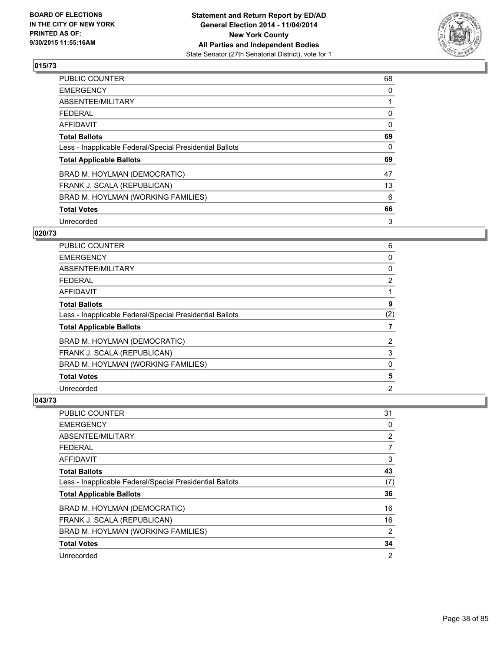

| <b>PUBLIC COUNTER</b>                                    | 68       |
|----------------------------------------------------------|----------|
| <b>EMERGENCY</b>                                         | 0        |
| ABSENTEE/MILITARY                                        |          |
| <b>FEDERAL</b>                                           | 0        |
| AFFIDAVIT                                                | $\Omega$ |
| <b>Total Ballots</b>                                     | 69       |
| Less - Inapplicable Federal/Special Presidential Ballots | 0        |
| <b>Total Applicable Ballots</b>                          | 69       |
| BRAD M. HOYLMAN (DEMOCRATIC)                             | 47       |
| FRANK J. SCALA (REPUBLICAN)                              | 13       |
| BRAD M. HOYLMAN (WORKING FAMILIES)                       | 6        |
| <b>Total Votes</b>                                       | 66       |
| Unrecorded                                               | 3        |

### **020/73**

| <b>PUBLIC COUNTER</b>                                    | 6              |
|----------------------------------------------------------|----------------|
| <b>EMERGENCY</b>                                         | 0              |
| <b>ABSENTEE/MILITARY</b>                                 | 0              |
| <b>FEDERAL</b>                                           | $\overline{2}$ |
| <b>AFFIDAVIT</b>                                         |                |
| <b>Total Ballots</b>                                     | 9              |
| Less - Inapplicable Federal/Special Presidential Ballots | (2)            |
| <b>Total Applicable Ballots</b>                          | 7              |
| BRAD M. HOYLMAN (DEMOCRATIC)                             | $\overline{2}$ |
| FRANK J. SCALA (REPUBLICAN)                              | 3              |
| BRAD M. HOYLMAN (WORKING FAMILIES)                       | 0              |
| <b>Total Votes</b>                                       | 5              |
| Unrecorded                                               | 2              |

| PUBLIC COUNTER                                           | 31             |
|----------------------------------------------------------|----------------|
| <b>EMERGENCY</b>                                         | 0              |
| ABSENTEE/MILITARY                                        | 2              |
| <b>FEDERAL</b>                                           | 7              |
| <b>AFFIDAVIT</b>                                         | 3              |
| <b>Total Ballots</b>                                     | 43             |
| Less - Inapplicable Federal/Special Presidential Ballots | (7)            |
| <b>Total Applicable Ballots</b>                          | 36             |
| BRAD M. HOYLMAN (DEMOCRATIC)                             | 16             |
| FRANK J. SCALA (REPUBLICAN)                              | 16             |
| BRAD M. HOYLMAN (WORKING FAMILIES)                       | 2              |
| <b>Total Votes</b>                                       | 34             |
| Unrecorded                                               | $\overline{2}$ |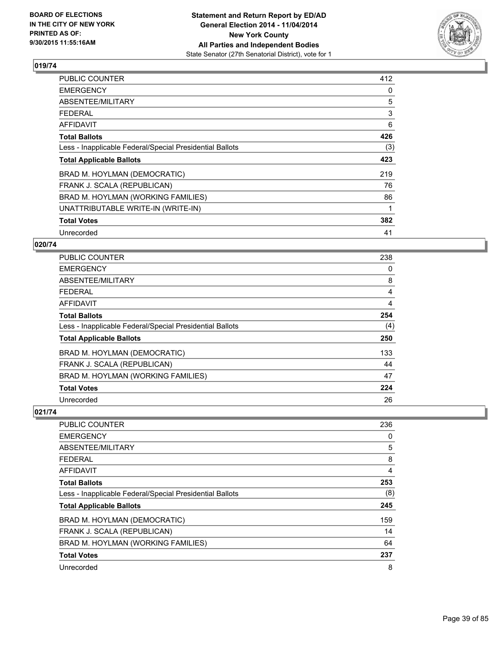

| <b>PUBLIC COUNTER</b>                                    | 412 |
|----------------------------------------------------------|-----|
| <b>EMERGENCY</b>                                         | 0   |
| ABSENTEE/MILITARY                                        | 5   |
| <b>FEDERAL</b>                                           | 3   |
| <b>AFFIDAVIT</b>                                         | 6   |
| <b>Total Ballots</b>                                     | 426 |
| Less - Inapplicable Federal/Special Presidential Ballots | (3) |
| <b>Total Applicable Ballots</b>                          | 423 |
| BRAD M. HOYLMAN (DEMOCRATIC)                             | 219 |
| FRANK J. SCALA (REPUBLICAN)                              | 76  |
| BRAD M. HOYLMAN (WORKING FAMILIES)                       | 86  |
| UNATTRIBUTABLE WRITE-IN (WRITE-IN)                       | 1   |
| <b>Total Votes</b>                                       | 382 |
| Unrecorded                                               | 41  |

# **020/74**

| PUBLIC COUNTER                                           | 238 |
|----------------------------------------------------------|-----|
| <b>EMERGENCY</b>                                         | 0   |
| ABSENTEE/MILITARY                                        | 8   |
| <b>FEDERAL</b>                                           | 4   |
| AFFIDAVIT                                                | 4   |
| <b>Total Ballots</b>                                     | 254 |
| Less - Inapplicable Federal/Special Presidential Ballots | (4) |
| <b>Total Applicable Ballots</b>                          | 250 |
| BRAD M. HOYLMAN (DEMOCRATIC)                             | 133 |
| FRANK J. SCALA (REPUBLICAN)                              | 44  |
| BRAD M. HOYLMAN (WORKING FAMILIES)                       | 47  |
| <b>Total Votes</b>                                       | 224 |
| Unrecorded                                               | 26  |

| PUBLIC COUNTER                                           | 236 |
|----------------------------------------------------------|-----|
| <b>EMERGENCY</b>                                         | 0   |
| ABSENTEE/MILITARY                                        | 5   |
| <b>FEDERAL</b>                                           | 8   |
| AFFIDAVIT                                                | 4   |
| <b>Total Ballots</b>                                     | 253 |
| Less - Inapplicable Federal/Special Presidential Ballots | (8) |
| <b>Total Applicable Ballots</b>                          | 245 |
| BRAD M. HOYLMAN (DEMOCRATIC)                             | 159 |
| FRANK J. SCALA (REPUBLICAN)                              | 14  |
| BRAD M. HOYLMAN (WORKING FAMILIES)                       | 64  |
| <b>Total Votes</b>                                       | 237 |
| Unrecorded                                               | 8   |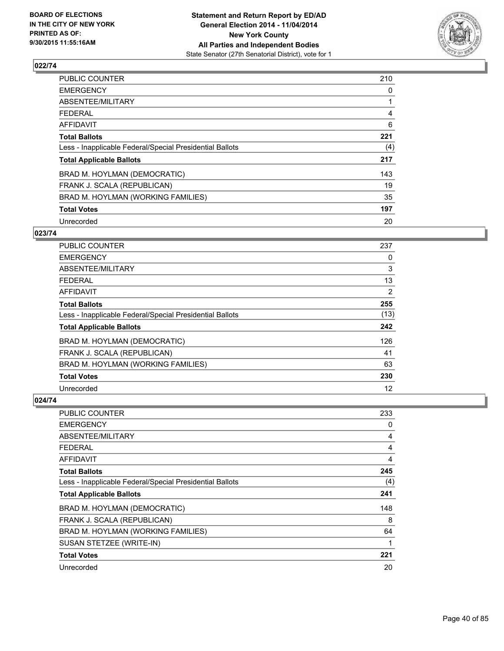

| PUBLIC COUNTER                                           | 210 |
|----------------------------------------------------------|-----|
| <b>EMERGENCY</b>                                         | 0   |
| ABSENTEE/MILITARY                                        |     |
| <b>FEDERAL</b>                                           | 4   |
| <b>AFFIDAVIT</b>                                         | 6   |
| <b>Total Ballots</b>                                     | 221 |
| Less - Inapplicable Federal/Special Presidential Ballots | (4) |
| <b>Total Applicable Ballots</b>                          | 217 |
| BRAD M. HOYLMAN (DEMOCRATIC)                             | 143 |
| FRANK J. SCALA (REPUBLICAN)                              | 19  |
| BRAD M. HOYLMAN (WORKING FAMILIES)                       | 35  |
| <b>Total Votes</b>                                       | 197 |
| Unrecorded                                               | 20  |

# **023/74**

| PUBLIC COUNTER                                           | 237  |
|----------------------------------------------------------|------|
| <b>EMERGENCY</b>                                         | 0    |
| ABSENTEE/MILITARY                                        | 3    |
| <b>FEDERAL</b>                                           | 13   |
| AFFIDAVIT                                                | 2    |
| <b>Total Ballots</b>                                     | 255  |
| Less - Inapplicable Federal/Special Presidential Ballots | (13) |
| <b>Total Applicable Ballots</b>                          | 242  |
| BRAD M. HOYLMAN (DEMOCRATIC)                             | 126  |
| FRANK J. SCALA (REPUBLICAN)                              | 41   |
| BRAD M. HOYLMAN (WORKING FAMILIES)                       | 63   |
| <b>Total Votes</b>                                       | 230  |
| Unrecorded                                               | 12   |

| PUBLIC COUNTER                                           | 233 |
|----------------------------------------------------------|-----|
| <b>EMERGENCY</b>                                         | 0   |
| ABSENTEE/MILITARY                                        | 4   |
| <b>FEDERAL</b>                                           | 4   |
| AFFIDAVIT                                                | 4   |
| <b>Total Ballots</b>                                     | 245 |
| Less - Inapplicable Federal/Special Presidential Ballots | (4) |
| <b>Total Applicable Ballots</b>                          | 241 |
| BRAD M. HOYLMAN (DEMOCRATIC)                             | 148 |
| FRANK J. SCALA (REPUBLICAN)                              | 8   |
| BRAD M. HOYLMAN (WORKING FAMILIES)                       | 64  |
| SUSAN STETZEE (WRITE-IN)                                 | 1   |
| <b>Total Votes</b>                                       | 221 |
| Unrecorded                                               | 20  |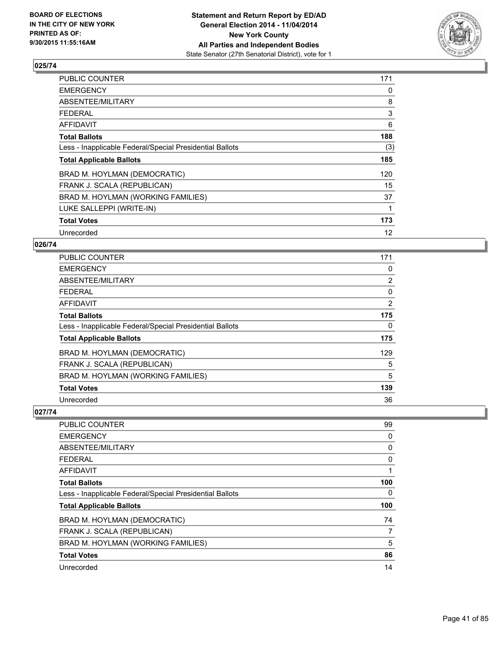

| PUBLIC COUNTER                                           | 171 |
|----------------------------------------------------------|-----|
| <b>EMERGENCY</b>                                         | 0   |
| ABSENTEE/MILITARY                                        | 8   |
| <b>FEDERAL</b>                                           | 3   |
| <b>AFFIDAVIT</b>                                         | 6   |
| <b>Total Ballots</b>                                     | 188 |
| Less - Inapplicable Federal/Special Presidential Ballots | (3) |
| <b>Total Applicable Ballots</b>                          | 185 |
| BRAD M. HOYLMAN (DEMOCRATIC)                             | 120 |
| FRANK J. SCALA (REPUBLICAN)                              | 15  |
| BRAD M. HOYLMAN (WORKING FAMILIES)                       | 37  |
| LUKE SALLEPPI (WRITE-IN)                                 | 1   |
| <b>Total Votes</b>                                       | 173 |
| Unrecorded                                               | 12  |

### **026/74**

| PUBLIC COUNTER                                           | 171 |
|----------------------------------------------------------|-----|
| <b>EMERGENCY</b>                                         | 0   |
| ABSENTEE/MILITARY                                        | 2   |
| <b>FEDERAL</b>                                           | 0   |
| <b>AFFIDAVIT</b>                                         | 2   |
| <b>Total Ballots</b>                                     | 175 |
| Less - Inapplicable Federal/Special Presidential Ballots | 0   |
| <b>Total Applicable Ballots</b>                          | 175 |
| BRAD M. HOYLMAN (DEMOCRATIC)                             | 129 |
| FRANK J. SCALA (REPUBLICAN)                              | 5   |
| BRAD M. HOYLMAN (WORKING FAMILIES)                       | 5   |
| <b>Total Votes</b>                                       | 139 |
| Unrecorded                                               | 36  |

| <b>PUBLIC COUNTER</b>                                    | 99  |
|----------------------------------------------------------|-----|
| <b>EMERGENCY</b>                                         | 0   |
| ABSENTEE/MILITARY                                        | 0   |
| <b>FEDERAL</b>                                           | 0   |
| AFFIDAVIT                                                |     |
| <b>Total Ballots</b>                                     | 100 |
| Less - Inapplicable Federal/Special Presidential Ballots | 0   |
| <b>Total Applicable Ballots</b>                          | 100 |
| BRAD M. HOYLMAN (DEMOCRATIC)                             | 74  |
| FRANK J. SCALA (REPUBLICAN)                              | 7   |
| BRAD M. HOYLMAN (WORKING FAMILIES)                       | 5   |
| <b>Total Votes</b>                                       | 86  |
| Unrecorded                                               | 14  |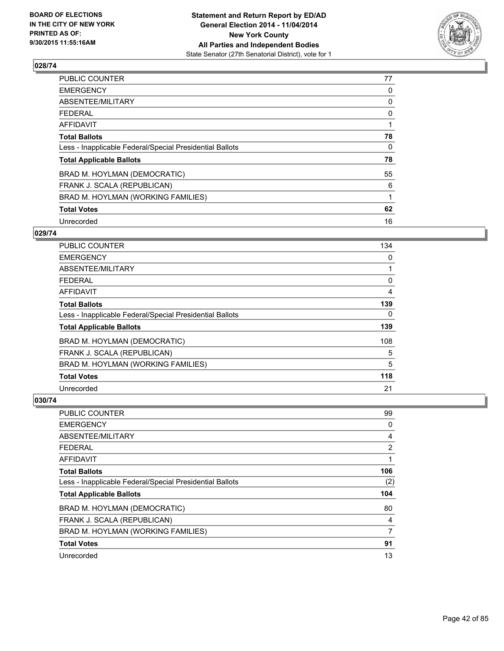

| <b>PUBLIC COUNTER</b>                                    | 77 |
|----------------------------------------------------------|----|
| <b>EMERGENCY</b>                                         | 0  |
| ABSENTEE/MILITARY                                        | 0  |
| <b>FEDERAL</b>                                           | 0  |
| AFFIDAVIT                                                |    |
| <b>Total Ballots</b>                                     | 78 |
| Less - Inapplicable Federal/Special Presidential Ballots | 0  |
| <b>Total Applicable Ballots</b>                          | 78 |
| BRAD M. HOYLMAN (DEMOCRATIC)                             | 55 |
| FRANK J. SCALA (REPUBLICAN)                              | 6  |
| BRAD M. HOYLMAN (WORKING FAMILIES)                       | 1  |
| <b>Total Votes</b>                                       | 62 |
| Unrecorded                                               | 16 |

### **029/74**

| PUBLIC COUNTER                                           | 134 |
|----------------------------------------------------------|-----|
| <b>EMERGENCY</b>                                         | 0   |
| ABSENTEE/MILITARY                                        |     |
| <b>FEDERAL</b>                                           | 0   |
| <b>AFFIDAVIT</b>                                         | 4   |
| <b>Total Ballots</b>                                     | 139 |
| Less - Inapplicable Federal/Special Presidential Ballots | 0   |
| <b>Total Applicable Ballots</b>                          | 139 |
| BRAD M. HOYLMAN (DEMOCRATIC)                             | 108 |
| FRANK J. SCALA (REPUBLICAN)                              | 5   |
| BRAD M. HOYLMAN (WORKING FAMILIES)                       | 5   |
| <b>Total Votes</b>                                       | 118 |
| Unrecorded                                               | 21  |

| PUBLIC COUNTER                                           | 99  |
|----------------------------------------------------------|-----|
| <b>EMERGENCY</b>                                         | 0   |
| ABSENTEE/MILITARY                                        | 4   |
| <b>FEDERAL</b>                                           | 2   |
| AFFIDAVIT                                                | 1   |
| <b>Total Ballots</b>                                     | 106 |
| Less - Inapplicable Federal/Special Presidential Ballots | (2) |
| <b>Total Applicable Ballots</b>                          | 104 |
| BRAD M. HOYLMAN (DEMOCRATIC)                             | 80  |
| FRANK J. SCALA (REPUBLICAN)                              | 4   |
| BRAD M. HOYLMAN (WORKING FAMILIES)                       | 7   |
| <b>Total Votes</b>                                       | 91  |
| Unrecorded                                               | 13  |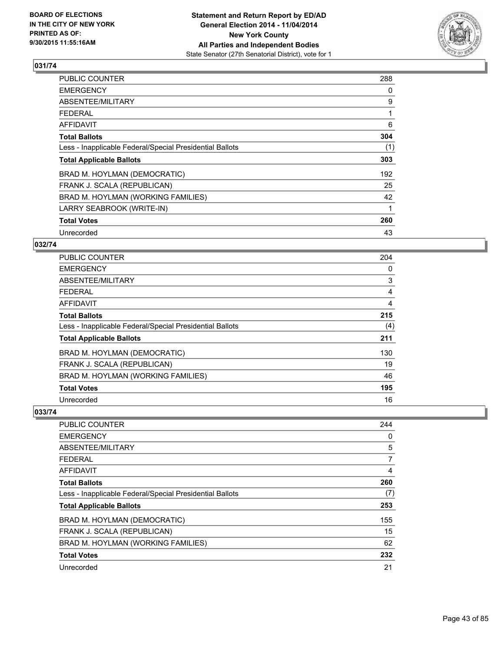

| PUBLIC COUNTER                                           | 288 |
|----------------------------------------------------------|-----|
| <b>EMERGENCY</b>                                         | 0   |
| ABSENTEE/MILITARY                                        | 9   |
| <b>FEDERAL</b>                                           |     |
| <b>AFFIDAVIT</b>                                         | 6   |
| <b>Total Ballots</b>                                     | 304 |
| Less - Inapplicable Federal/Special Presidential Ballots | (1) |
| <b>Total Applicable Ballots</b>                          | 303 |
| BRAD M. HOYLMAN (DEMOCRATIC)                             | 192 |
| FRANK J. SCALA (REPUBLICAN)                              | 25  |
| BRAD M. HOYLMAN (WORKING FAMILIES)                       | 42  |
| LARRY SEABROOK (WRITE-IN)                                | 1   |
| <b>Total Votes</b>                                       | 260 |
| Unrecorded                                               | 43  |

# **032/74**

| <b>PUBLIC COUNTER</b>                                    | 204 |
|----------------------------------------------------------|-----|
| <b>EMERGENCY</b>                                         | 0   |
| ABSENTEE/MILITARY                                        | 3   |
| <b>FEDERAL</b>                                           | 4   |
| <b>AFFIDAVIT</b>                                         | 4   |
| <b>Total Ballots</b>                                     | 215 |
| Less - Inapplicable Federal/Special Presidential Ballots | (4) |
| <b>Total Applicable Ballots</b>                          | 211 |
| BRAD M. HOYLMAN (DEMOCRATIC)                             | 130 |
| FRANK J. SCALA (REPUBLICAN)                              | 19  |
| BRAD M. HOYLMAN (WORKING FAMILIES)                       | 46  |
| <b>Total Votes</b>                                       | 195 |
| Unrecorded                                               | 16  |

| <b>PUBLIC COUNTER</b>                                    | 244 |
|----------------------------------------------------------|-----|
| <b>EMERGENCY</b>                                         | 0   |
| ABSENTEE/MILITARY                                        | 5   |
| <b>FEDERAL</b>                                           | 7   |
| AFFIDAVIT                                                | 4   |
| <b>Total Ballots</b>                                     | 260 |
| Less - Inapplicable Federal/Special Presidential Ballots | (7) |
| <b>Total Applicable Ballots</b>                          | 253 |
| BRAD M. HOYLMAN (DEMOCRATIC)                             | 155 |
| FRANK J. SCALA (REPUBLICAN)                              | 15  |
| BRAD M. HOYLMAN (WORKING FAMILIES)                       | 62  |
| <b>Total Votes</b>                                       | 232 |
| Unrecorded                                               | 21  |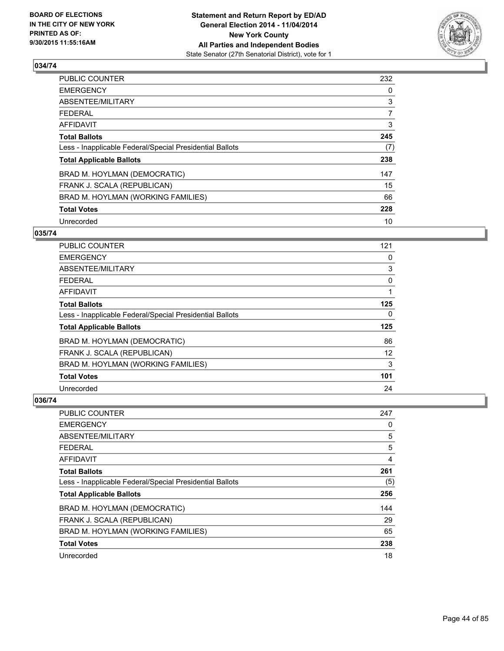

| PUBLIC COUNTER                                           | 232            |
|----------------------------------------------------------|----------------|
| <b>EMERGENCY</b>                                         | 0              |
| ABSENTEE/MILITARY                                        | 3              |
| <b>FEDERAL</b>                                           | $\overline{7}$ |
| AFFIDAVIT                                                | 3              |
| <b>Total Ballots</b>                                     | 245            |
| Less - Inapplicable Federal/Special Presidential Ballots | (7)            |
| <b>Total Applicable Ballots</b>                          | 238            |
| BRAD M. HOYLMAN (DEMOCRATIC)                             | 147            |
| FRANK J. SCALA (REPUBLICAN)                              | 15             |
| BRAD M. HOYLMAN (WORKING FAMILIES)                       | 66             |
| <b>Total Votes</b>                                       | 228            |
| Unrecorded                                               | 10             |

### **035/74**

| PUBLIC COUNTER                                           | 121 |
|----------------------------------------------------------|-----|
| <b>EMERGENCY</b>                                         | 0   |
| ABSENTEE/MILITARY                                        | 3   |
| <b>FEDERAL</b>                                           | 0   |
| <b>AFFIDAVIT</b>                                         |     |
| <b>Total Ballots</b>                                     | 125 |
| Less - Inapplicable Federal/Special Presidential Ballots | 0   |
| <b>Total Applicable Ballots</b>                          | 125 |
| BRAD M. HOYLMAN (DEMOCRATIC)                             | 86  |
| FRANK J. SCALA (REPUBLICAN)                              | 12  |
| BRAD M. HOYLMAN (WORKING FAMILIES)                       | 3   |
| <b>Total Votes</b>                                       | 101 |
| Unrecorded                                               | 24  |

| PUBLIC COUNTER                                           | 247 |
|----------------------------------------------------------|-----|
| <b>EMERGENCY</b>                                         | 0   |
| ABSENTEE/MILITARY                                        | 5   |
| <b>FEDERAL</b>                                           | 5   |
| AFFIDAVIT                                                | 4   |
| <b>Total Ballots</b>                                     | 261 |
| Less - Inapplicable Federal/Special Presidential Ballots | (5) |
| <b>Total Applicable Ballots</b>                          | 256 |
| BRAD M. HOYLMAN (DEMOCRATIC)                             | 144 |
| FRANK J. SCALA (REPUBLICAN)                              | 29  |
| BRAD M. HOYLMAN (WORKING FAMILIES)                       | 65  |
| <b>Total Votes</b>                                       | 238 |
| Unrecorded                                               | 18  |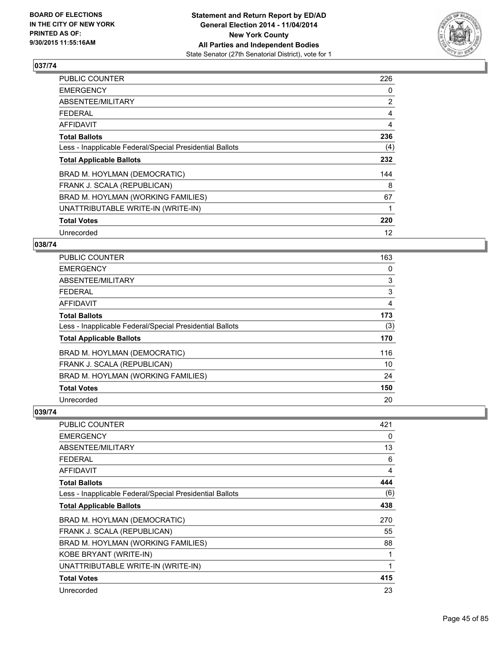

| PUBLIC COUNTER                                           | 226            |
|----------------------------------------------------------|----------------|
| <b>EMERGENCY</b>                                         | 0              |
| ABSENTEE/MILITARY                                        | $\overline{2}$ |
| <b>FEDERAL</b>                                           | 4              |
| <b>AFFIDAVIT</b>                                         | 4              |
| <b>Total Ballots</b>                                     | 236            |
| Less - Inapplicable Federal/Special Presidential Ballots | (4)            |
| <b>Total Applicable Ballots</b>                          | 232            |
| BRAD M. HOYLMAN (DEMOCRATIC)                             | 144            |
| FRANK J. SCALA (REPUBLICAN)                              | 8              |
| BRAD M. HOYLMAN (WORKING FAMILIES)                       | 67             |
| UNATTRIBUTABLE WRITE-IN (WRITE-IN)                       |                |
| <b>Total Votes</b>                                       | 220            |
| Unrecorded                                               | 12             |

# **038/74**

| PUBLIC COUNTER                                           | 163 |
|----------------------------------------------------------|-----|
| <b>EMERGENCY</b>                                         | 0   |
| ABSENTEE/MILITARY                                        | 3   |
| <b>FEDERAL</b>                                           | 3   |
| <b>AFFIDAVIT</b>                                         | 4   |
| <b>Total Ballots</b>                                     | 173 |
| Less - Inapplicable Federal/Special Presidential Ballots | (3) |
| <b>Total Applicable Ballots</b>                          | 170 |
| BRAD M. HOYLMAN (DEMOCRATIC)                             | 116 |
| FRANK J. SCALA (REPUBLICAN)                              | 10  |
| BRAD M. HOYLMAN (WORKING FAMILIES)                       | 24  |
| <b>Total Votes</b>                                       | 150 |
| Unrecorded                                               | 20  |

| PUBLIC COUNTER                                           | 421 |
|----------------------------------------------------------|-----|
| <b>EMERGENCY</b>                                         | 0   |
| ABSENTEE/MILITARY                                        | 13  |
| <b>FEDERAL</b>                                           | 6   |
| <b>AFFIDAVIT</b>                                         | 4   |
| <b>Total Ballots</b>                                     | 444 |
| Less - Inapplicable Federal/Special Presidential Ballots | (6) |
| <b>Total Applicable Ballots</b>                          | 438 |
| BRAD M. HOYLMAN (DEMOCRATIC)                             | 270 |
| FRANK J. SCALA (REPUBLICAN)                              | 55  |
| BRAD M. HOYLMAN (WORKING FAMILIES)                       | 88  |
| KOBE BRYANT (WRITE-IN)                                   |     |
| UNATTRIBUTABLE WRITE-IN (WRITE-IN)                       | 1   |
| <b>Total Votes</b>                                       | 415 |
| Unrecorded                                               | 23  |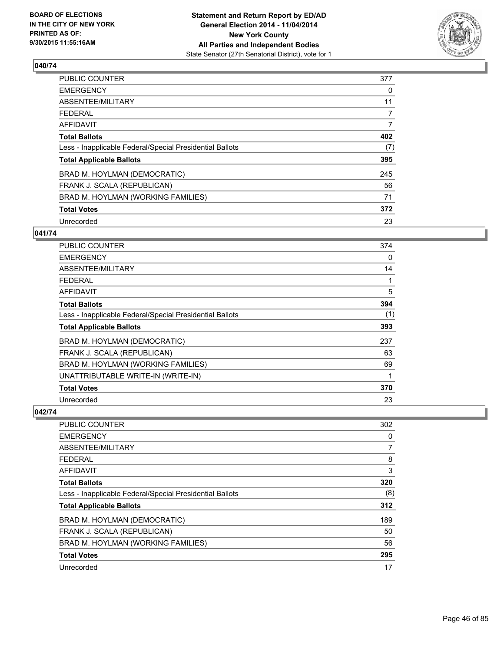

| PUBLIC COUNTER                                           | 377            |
|----------------------------------------------------------|----------------|
| <b>EMERGENCY</b>                                         | 0              |
| ABSENTEE/MILITARY                                        | 11             |
| <b>FEDERAL</b>                                           | $\overline{7}$ |
| AFFIDAVIT                                                | 7              |
| <b>Total Ballots</b>                                     | 402            |
| Less - Inapplicable Federal/Special Presidential Ballots | (7)            |
| <b>Total Applicable Ballots</b>                          | 395            |
| BRAD M. HOYLMAN (DEMOCRATIC)                             | 245            |
| FRANK J. SCALA (REPUBLICAN)                              | 56             |
| BRAD M. HOYLMAN (WORKING FAMILIES)                       | 71             |
| <b>Total Votes</b>                                       | 372            |
| Unrecorded                                               | 23             |

### **041/74**

| PUBLIC COUNTER                                           | 374 |
|----------------------------------------------------------|-----|
| <b>EMERGENCY</b>                                         | 0   |
| ABSENTEE/MILITARY                                        | 14  |
| <b>FEDERAL</b>                                           | 1   |
| AFFIDAVIT                                                | 5   |
| <b>Total Ballots</b>                                     | 394 |
| Less - Inapplicable Federal/Special Presidential Ballots | (1) |
| <b>Total Applicable Ballots</b>                          | 393 |
| BRAD M. HOYLMAN (DEMOCRATIC)                             | 237 |
| FRANK J. SCALA (REPUBLICAN)                              | 63  |
| BRAD M. HOYLMAN (WORKING FAMILIES)                       | 69  |
| UNATTRIBUTABLE WRITE-IN (WRITE-IN)                       | 1   |
| <b>Total Votes</b>                                       | 370 |
| Unrecorded                                               | 23  |

| <b>PUBLIC COUNTER</b>                                    | 302 |
|----------------------------------------------------------|-----|
| <b>EMERGENCY</b>                                         | 0   |
| ABSENTEE/MILITARY                                        | 7   |
| <b>FEDERAL</b>                                           | 8   |
| AFFIDAVIT                                                | 3   |
| <b>Total Ballots</b>                                     | 320 |
| Less - Inapplicable Federal/Special Presidential Ballots | (8) |
| <b>Total Applicable Ballots</b>                          | 312 |
| BRAD M. HOYLMAN (DEMOCRATIC)                             | 189 |
| FRANK J. SCALA (REPUBLICAN)                              | 50  |
| BRAD M. HOYLMAN (WORKING FAMILIES)                       | 56  |
| <b>Total Votes</b>                                       | 295 |
| Unrecorded                                               | 17  |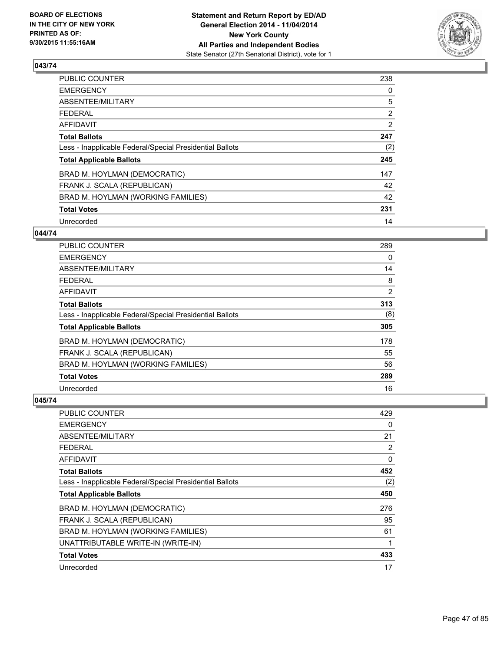

| PUBLIC COUNTER                                           | 238            |
|----------------------------------------------------------|----------------|
| <b>EMERGENCY</b>                                         | 0              |
| ABSENTEE/MILITARY                                        | 5              |
| <b>FEDERAL</b>                                           | $\overline{2}$ |
| <b>AFFIDAVIT</b>                                         | $\overline{2}$ |
| <b>Total Ballots</b>                                     | 247            |
| Less - Inapplicable Federal/Special Presidential Ballots | (2)            |
| <b>Total Applicable Ballots</b>                          | 245            |
| BRAD M. HOYLMAN (DEMOCRATIC)                             | 147            |
| FRANK J. SCALA (REPUBLICAN)                              | 42             |
| BRAD M. HOYLMAN (WORKING FAMILIES)                       | 42             |
| <b>Total Votes</b>                                       | 231            |
| Unrecorded                                               | 14             |

### **044/74**

| PUBLIC COUNTER                                           | 289 |
|----------------------------------------------------------|-----|
| <b>EMERGENCY</b>                                         | 0   |
| ABSENTEE/MILITARY                                        | 14  |
| <b>FEDERAL</b>                                           | 8   |
| <b>AFFIDAVIT</b>                                         | 2   |
| <b>Total Ballots</b>                                     | 313 |
| Less - Inapplicable Federal/Special Presidential Ballots | (8) |
| <b>Total Applicable Ballots</b>                          | 305 |
| BRAD M. HOYLMAN (DEMOCRATIC)                             | 178 |
| FRANK J. SCALA (REPUBLICAN)                              | 55  |
| BRAD M. HOYLMAN (WORKING FAMILIES)                       | 56  |
| <b>Total Votes</b>                                       | 289 |
| Unrecorded                                               | 16  |

| PUBLIC COUNTER                                           | 429 |
|----------------------------------------------------------|-----|
| <b>EMERGENCY</b>                                         | 0   |
| ABSENTEE/MILITARY                                        | 21  |
| FEDERAL                                                  | 2   |
| AFFIDAVIT                                                | 0   |
| <b>Total Ballots</b>                                     | 452 |
| Less - Inapplicable Federal/Special Presidential Ballots | (2) |
| <b>Total Applicable Ballots</b>                          | 450 |
| BRAD M. HOYLMAN (DEMOCRATIC)                             | 276 |
| FRANK J. SCALA (REPUBLICAN)                              | 95  |
| BRAD M. HOYLMAN (WORKING FAMILIES)                       | 61  |
| UNATTRIBUTABLE WRITE-IN (WRITE-IN)                       | 1   |
| <b>Total Votes</b>                                       | 433 |
| Unrecorded                                               | 17  |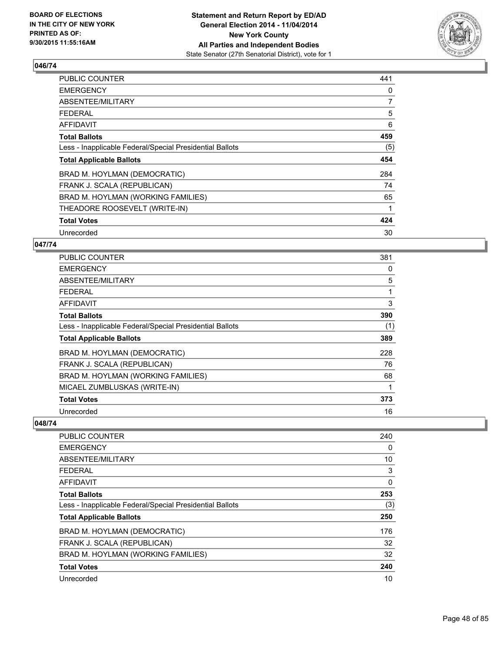

| PUBLIC COUNTER                                           | 441            |
|----------------------------------------------------------|----------------|
| <b>EMERGENCY</b>                                         | 0              |
| ABSENTEE/MILITARY                                        | $\overline{7}$ |
| <b>FEDERAL</b>                                           | 5              |
| <b>AFFIDAVIT</b>                                         | 6              |
| <b>Total Ballots</b>                                     | 459            |
| Less - Inapplicable Federal/Special Presidential Ballots | (5)            |
| <b>Total Applicable Ballots</b>                          | 454            |
| BRAD M. HOYLMAN (DEMOCRATIC)                             | 284            |
| FRANK J. SCALA (REPUBLICAN)                              | 74             |
| BRAD M. HOYLMAN (WORKING FAMILIES)                       | 65             |
| THEADORE ROOSEVELT (WRITE-IN)                            | 1              |
| <b>Total Votes</b>                                       | 424            |
| Unrecorded                                               | 30             |

### **047/74**

| <b>PUBLIC COUNTER</b>                                    | 381 |
|----------------------------------------------------------|-----|
| <b>EMERGENCY</b>                                         | 0   |
| ABSENTEE/MILITARY                                        | 5   |
| <b>FEDERAL</b>                                           | 1   |
| AFFIDAVIT                                                | 3   |
| <b>Total Ballots</b>                                     | 390 |
| Less - Inapplicable Federal/Special Presidential Ballots | (1) |
| <b>Total Applicable Ballots</b>                          | 389 |
| BRAD M. HOYLMAN (DEMOCRATIC)                             | 228 |
| FRANK J. SCALA (REPUBLICAN)                              | 76  |
| BRAD M. HOYLMAN (WORKING FAMILIES)                       | 68  |
| MICAEL ZUMBLUSKAS (WRITE-IN)                             |     |
| <b>Total Votes</b>                                       | 373 |
| Unrecorded                                               | 16  |

| PUBLIC COUNTER<br><b>EMERGENCY</b><br>ABSENTEE/MILITARY<br><b>FEDERAL</b><br>AFFIDAVIT<br><b>Total Ballots</b><br>Less - Inapplicable Federal/Special Presidential Ballots<br><b>Total Applicable Ballots</b> | 240<br>0 |
|---------------------------------------------------------------------------------------------------------------------------------------------------------------------------------------------------------------|----------|
|                                                                                                                                                                                                               |          |
|                                                                                                                                                                                                               |          |
|                                                                                                                                                                                                               | 10       |
|                                                                                                                                                                                                               | 3        |
|                                                                                                                                                                                                               | $\Omega$ |
|                                                                                                                                                                                                               | 253      |
|                                                                                                                                                                                                               | (3)      |
|                                                                                                                                                                                                               | 250      |
| BRAD M. HOYLMAN (DEMOCRATIC)                                                                                                                                                                                  | 176      |
| FRANK J. SCALA (REPUBLICAN)                                                                                                                                                                                   | 32       |
| BRAD M. HOYLMAN (WORKING FAMILIES)                                                                                                                                                                            | 32       |
| <b>Total Votes</b>                                                                                                                                                                                            | 240      |
| Unrecorded                                                                                                                                                                                                    | 10       |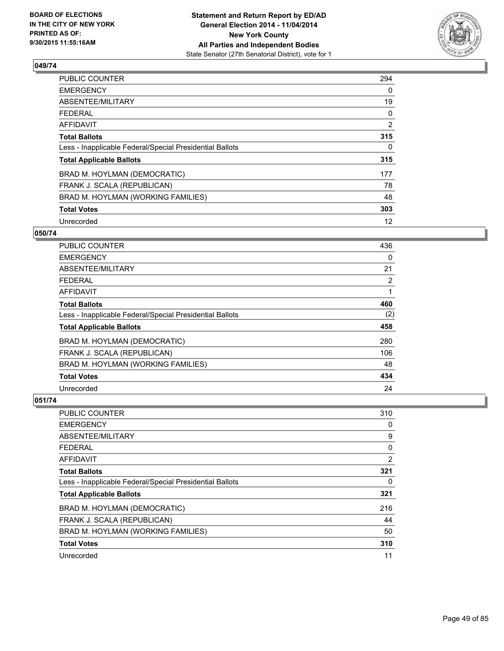

| PUBLIC COUNTER                                           | 294            |
|----------------------------------------------------------|----------------|
| <b>EMERGENCY</b>                                         | 0              |
| ABSENTEE/MILITARY                                        | 19             |
| <b>FEDERAL</b>                                           | 0              |
| <b>AFFIDAVIT</b>                                         | $\overline{2}$ |
| <b>Total Ballots</b>                                     | 315            |
| Less - Inapplicable Federal/Special Presidential Ballots | 0              |
| <b>Total Applicable Ballots</b>                          | 315            |
| BRAD M. HOYLMAN (DEMOCRATIC)                             | 177            |
| FRANK J. SCALA (REPUBLICAN)                              | 78             |
| BRAD M. HOYLMAN (WORKING FAMILIES)                       | 48             |
| <b>Total Votes</b>                                       | 303            |
| Unrecorded                                               | 12             |

### **050/74**

| PUBLIC COUNTER                                           | 436 |
|----------------------------------------------------------|-----|
| <b>EMERGENCY</b>                                         | 0   |
| ABSENTEE/MILITARY                                        | 21  |
| <b>FEDERAL</b>                                           | 2   |
| <b>AFFIDAVIT</b>                                         |     |
| <b>Total Ballots</b>                                     | 460 |
| Less - Inapplicable Federal/Special Presidential Ballots | (2) |
| <b>Total Applicable Ballots</b>                          | 458 |
| BRAD M. HOYLMAN (DEMOCRATIC)                             | 280 |
| FRANK J. SCALA (REPUBLICAN)                              | 106 |
| BRAD M. HOYLMAN (WORKING FAMILIES)                       | 48  |
| <b>Total Votes</b>                                       | 434 |
| Unrecorded                                               | 24  |

| PUBLIC COUNTER                                           | 310            |
|----------------------------------------------------------|----------------|
| <b>EMERGENCY</b>                                         | 0              |
| ABSENTEE/MILITARY                                        | 9              |
| <b>FEDERAL</b>                                           | 0              |
| <b>AFFIDAVIT</b>                                         | $\overline{2}$ |
| <b>Total Ballots</b>                                     | 321            |
| Less - Inapplicable Federal/Special Presidential Ballots | 0              |
| <b>Total Applicable Ballots</b>                          | 321            |
| BRAD M. HOYLMAN (DEMOCRATIC)                             | 216            |
| FRANK J. SCALA (REPUBLICAN)                              | 44             |
| BRAD M. HOYLMAN (WORKING FAMILIES)                       | 50             |
| <b>Total Votes</b>                                       | 310            |
| Unrecorded                                               | 11             |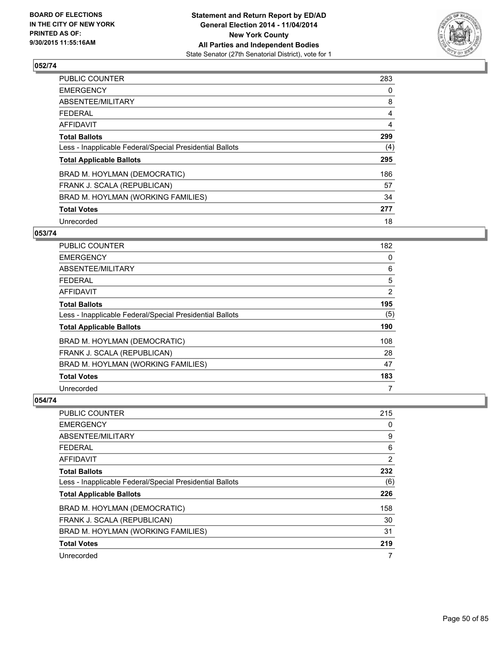

| PUBLIC COUNTER                                           | 283 |
|----------------------------------------------------------|-----|
| <b>EMERGENCY</b>                                         | 0   |
| ABSENTEE/MILITARY                                        | 8   |
| <b>FEDERAL</b>                                           | 4   |
| <b>AFFIDAVIT</b>                                         | 4   |
| <b>Total Ballots</b>                                     | 299 |
| Less - Inapplicable Federal/Special Presidential Ballots | (4) |
| <b>Total Applicable Ballots</b>                          | 295 |
| BRAD M. HOYLMAN (DEMOCRATIC)                             | 186 |
| FRANK J. SCALA (REPUBLICAN)                              | 57  |
| BRAD M. HOYLMAN (WORKING FAMILIES)                       | 34  |
| <b>Total Votes</b>                                       | 277 |
| Unrecorded                                               | 18  |

### **053/74**

| PUBLIC COUNTER                                           | 182            |
|----------------------------------------------------------|----------------|
| <b>EMERGENCY</b>                                         | 0              |
| ABSENTEE/MILITARY                                        | 6              |
| <b>FEDERAL</b>                                           | 5              |
| AFFIDAVIT                                                | $\overline{2}$ |
| <b>Total Ballots</b>                                     | 195            |
| Less - Inapplicable Federal/Special Presidential Ballots | (5)            |
| <b>Total Applicable Ballots</b>                          | 190            |
| BRAD M. HOYLMAN (DEMOCRATIC)                             | 108            |
| FRANK J. SCALA (REPUBLICAN)                              | 28             |
| BRAD M. HOYLMAN (WORKING FAMILIES)                       | 47             |
| <b>Total Votes</b>                                       | 183            |
| Unrecorded                                               | 7              |

| <b>PUBLIC COUNTER</b>                                    | 215 |
|----------------------------------------------------------|-----|
| <b>EMERGENCY</b>                                         | 0   |
| ABSENTEE/MILITARY                                        | 9   |
| <b>FEDERAL</b>                                           | 6   |
| AFFIDAVIT                                                | 2   |
| <b>Total Ballots</b>                                     | 232 |
| Less - Inapplicable Federal/Special Presidential Ballots | (6) |
| <b>Total Applicable Ballots</b>                          | 226 |
| BRAD M. HOYLMAN (DEMOCRATIC)                             | 158 |
| FRANK J. SCALA (REPUBLICAN)                              | 30  |
| BRAD M. HOYLMAN (WORKING FAMILIES)                       | 31  |
| <b>Total Votes</b>                                       | 219 |
| Unrecorded                                               | 7   |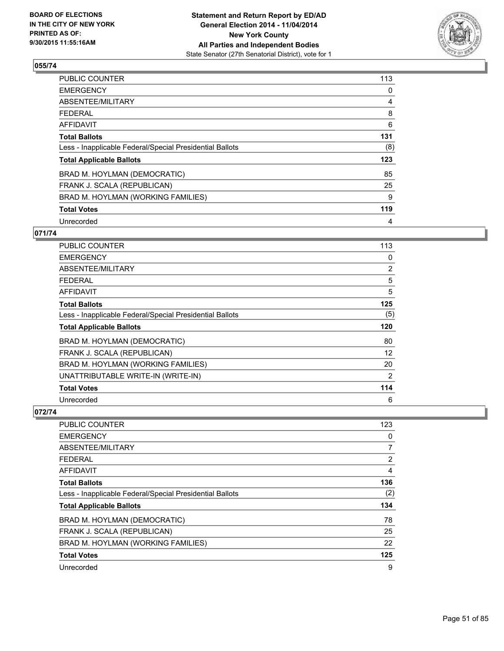

| PUBLIC COUNTER                                           | 113 |
|----------------------------------------------------------|-----|
| <b>EMERGENCY</b>                                         | 0   |
| ABSENTEE/MILITARY                                        | 4   |
| <b>FEDERAL</b>                                           | 8   |
| AFFIDAVIT                                                | 6   |
| <b>Total Ballots</b>                                     | 131 |
| Less - Inapplicable Federal/Special Presidential Ballots | (8) |
| <b>Total Applicable Ballots</b>                          | 123 |
| BRAD M. HOYLMAN (DEMOCRATIC)                             | 85  |
| FRANK J. SCALA (REPUBLICAN)                              | 25  |
| BRAD M. HOYLMAN (WORKING FAMILIES)                       | 9   |
| <b>Total Votes</b>                                       | 119 |
| Unrecorded                                               | 4   |

# **071/74**

| PUBLIC COUNTER                                           | 113 |
|----------------------------------------------------------|-----|
| <b>EMERGENCY</b>                                         | 0   |
| ABSENTEE/MILITARY                                        | 2   |
| <b>FEDERAL</b>                                           | 5   |
| AFFIDAVIT                                                | 5   |
| <b>Total Ballots</b>                                     | 125 |
| Less - Inapplicable Federal/Special Presidential Ballots | (5) |
| <b>Total Applicable Ballots</b>                          | 120 |
| BRAD M. HOYLMAN (DEMOCRATIC)                             | 80  |
| FRANK J. SCALA (REPUBLICAN)                              | 12  |
| BRAD M. HOYLMAN (WORKING FAMILIES)                       | 20  |
| UNATTRIBUTABLE WRITE-IN (WRITE-IN)                       | 2   |
| <b>Total Votes</b>                                       | 114 |
| Unrecorded                                               | 6   |

| <b>PUBLIC COUNTER</b>                                    | 123            |
|----------------------------------------------------------|----------------|
| <b>EMERGENCY</b>                                         | 0              |
| ABSENTEE/MILITARY                                        | 7              |
| <b>FEDERAL</b>                                           | $\overline{2}$ |
| AFFIDAVIT                                                | 4              |
| <b>Total Ballots</b>                                     | 136            |
| Less - Inapplicable Federal/Special Presidential Ballots | (2)            |
| <b>Total Applicable Ballots</b>                          | 134            |
| BRAD M. HOYLMAN (DEMOCRATIC)                             | 78             |
| FRANK J. SCALA (REPUBLICAN)                              | 25             |
| BRAD M. HOYLMAN (WORKING FAMILIES)                       | 22             |
| <b>Total Votes</b>                                       | 125            |
| Unrecorded                                               | 9              |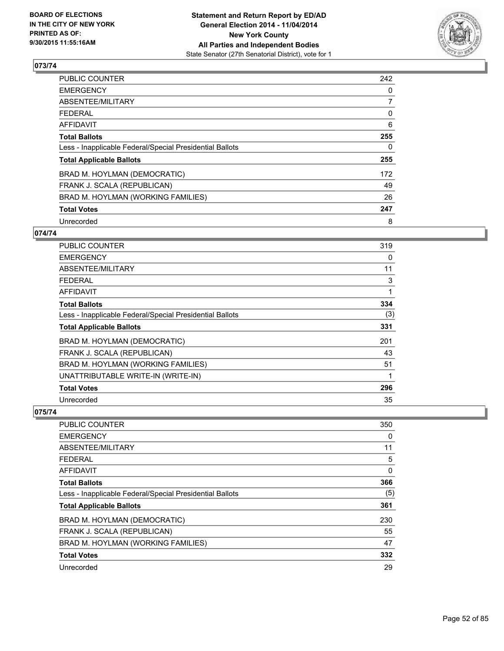

| PUBLIC COUNTER                                           | 242          |
|----------------------------------------------------------|--------------|
| <b>EMERGENCY</b>                                         | 0            |
| ABSENTEE/MILITARY                                        | 7            |
| <b>FEDERAL</b>                                           | 0            |
| <b>AFFIDAVIT</b>                                         | 6            |
| <b>Total Ballots</b>                                     | 255          |
| Less - Inapplicable Federal/Special Presidential Ballots | $\mathbf{0}$ |
| <b>Total Applicable Ballots</b>                          | 255          |
| BRAD M. HOYLMAN (DEMOCRATIC)                             | 172          |
| FRANK J. SCALA (REPUBLICAN)                              | 49           |
| BRAD M. HOYLMAN (WORKING FAMILIES)                       | 26           |
| <b>Total Votes</b>                                       | 247          |
| Unrecorded                                               | 8            |

# **074/74**

| PUBLIC COUNTER                                           | 319 |
|----------------------------------------------------------|-----|
| <b>EMERGENCY</b>                                         | 0   |
| ABSENTEE/MILITARY                                        | 11  |
| <b>FEDERAL</b>                                           | 3   |
| AFFIDAVIT                                                | 1   |
| <b>Total Ballots</b>                                     | 334 |
| Less - Inapplicable Federal/Special Presidential Ballots | (3) |
| <b>Total Applicable Ballots</b>                          | 331 |
| BRAD M. HOYLMAN (DEMOCRATIC)                             | 201 |
| FRANK J. SCALA (REPUBLICAN)                              | 43  |
| BRAD M. HOYLMAN (WORKING FAMILIES)                       | 51  |
| UNATTRIBUTABLE WRITE-IN (WRITE-IN)                       | 1   |
| <b>Total Votes</b>                                       | 296 |
| Unrecorded                                               | 35  |

| <b>PUBLIC COUNTER</b>                                    | 350 |
|----------------------------------------------------------|-----|
| <b>EMERGENCY</b>                                         | 0   |
| ABSENTEE/MILITARY                                        | 11  |
| <b>FEDERAL</b>                                           | 5   |
| AFFIDAVIT                                                | 0   |
| <b>Total Ballots</b>                                     | 366 |
| Less - Inapplicable Federal/Special Presidential Ballots | (5) |
| <b>Total Applicable Ballots</b>                          | 361 |
| BRAD M. HOYLMAN (DEMOCRATIC)                             | 230 |
| FRANK J. SCALA (REPUBLICAN)                              | 55  |
| BRAD M. HOYLMAN (WORKING FAMILIES)                       | 47  |
| <b>Total Votes</b>                                       | 332 |
| Unrecorded                                               | 29  |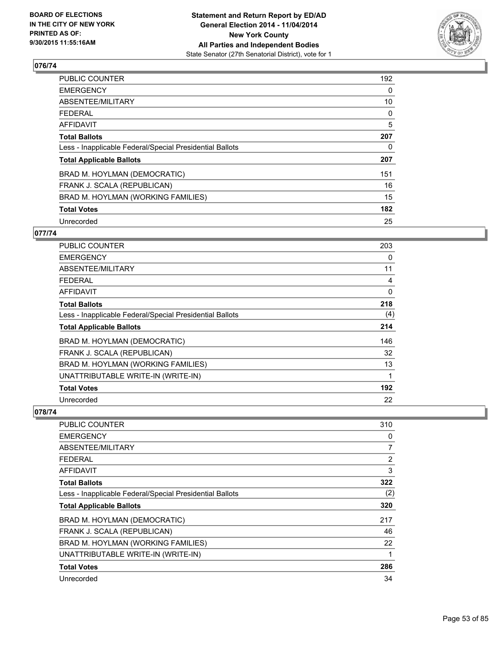

| PUBLIC COUNTER                                           | 192 |
|----------------------------------------------------------|-----|
| <b>EMERGENCY</b>                                         | 0   |
| ABSENTEE/MILITARY                                        | 10  |
| <b>FEDERAL</b>                                           | 0   |
| AFFIDAVIT                                                | 5   |
| <b>Total Ballots</b>                                     | 207 |
| Less - Inapplicable Federal/Special Presidential Ballots | 0   |
| <b>Total Applicable Ballots</b>                          | 207 |
| BRAD M. HOYLMAN (DEMOCRATIC)                             | 151 |
| FRANK J. SCALA (REPUBLICAN)                              | 16  |
| BRAD M. HOYLMAN (WORKING FAMILIES)                       | 15  |
| <b>Total Votes</b>                                       | 182 |
| Unrecorded                                               | 25  |

# **077/74**

| <b>PUBLIC COUNTER</b>                                    | 203 |
|----------------------------------------------------------|-----|
| <b>EMERGENCY</b>                                         | 0   |
| ABSENTEE/MILITARY                                        | 11  |
| FEDERAL                                                  | 4   |
| AFFIDAVIT                                                | 0   |
| <b>Total Ballots</b>                                     | 218 |
| Less - Inapplicable Federal/Special Presidential Ballots | (4) |
| <b>Total Applicable Ballots</b>                          | 214 |
| BRAD M. HOYLMAN (DEMOCRATIC)                             | 146 |
| FRANK J. SCALA (REPUBLICAN)                              | 32  |
| BRAD M. HOYLMAN (WORKING FAMILIES)                       | 13  |
| UNATTRIBUTABLE WRITE-IN (WRITE-IN)                       | 1   |
| <b>Total Votes</b>                                       | 192 |
| Unrecorded                                               | 22  |

| PUBLIC COUNTER                                           | 310 |
|----------------------------------------------------------|-----|
| <b>EMERGENCY</b>                                         | 0   |
| ABSENTEE/MILITARY                                        | 7   |
| <b>FEDERAL</b>                                           | 2   |
| AFFIDAVIT                                                | 3   |
| <b>Total Ballots</b>                                     | 322 |
| Less - Inapplicable Federal/Special Presidential Ballots | (2) |
| <b>Total Applicable Ballots</b>                          | 320 |
| BRAD M. HOYLMAN (DEMOCRATIC)                             | 217 |
| FRANK J. SCALA (REPUBLICAN)                              | 46  |
| BRAD M. HOYLMAN (WORKING FAMILIES)                       | 22  |
| UNATTRIBUTABLE WRITE-IN (WRITE-IN)                       | 1   |
| <b>Total Votes</b>                                       | 286 |
| Unrecorded                                               | 34  |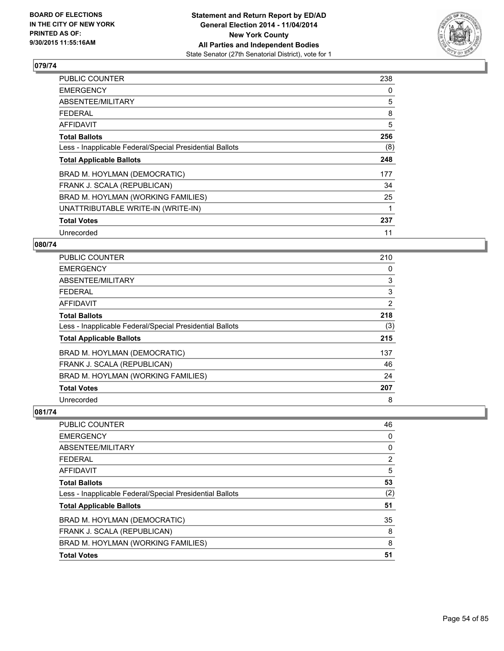

| <b>PUBLIC COUNTER</b>                                    | 238 |
|----------------------------------------------------------|-----|
| <b>EMERGENCY</b>                                         | 0   |
| ABSENTEE/MILITARY                                        | 5   |
| <b>FEDERAL</b>                                           | 8   |
| <b>AFFIDAVIT</b>                                         | 5   |
| <b>Total Ballots</b>                                     | 256 |
| Less - Inapplicable Federal/Special Presidential Ballots | (8) |
| <b>Total Applicable Ballots</b>                          | 248 |
| BRAD M. HOYLMAN (DEMOCRATIC)                             | 177 |
| FRANK J. SCALA (REPUBLICAN)                              | 34  |
| BRAD M. HOYLMAN (WORKING FAMILIES)                       | 25  |
| UNATTRIBUTABLE WRITE-IN (WRITE-IN)                       | 1   |
| <b>Total Votes</b>                                       | 237 |
| Unrecorded                                               | 11  |

# **080/74**

| PUBLIC COUNTER                                           | 210 |
|----------------------------------------------------------|-----|
| <b>EMERGENCY</b>                                         | 0   |
| ABSENTEE/MILITARY                                        | 3   |
| <b>FEDERAL</b>                                           | 3   |
| <b>AFFIDAVIT</b>                                         | 2   |
| <b>Total Ballots</b>                                     | 218 |
| Less - Inapplicable Federal/Special Presidential Ballots | (3) |
| <b>Total Applicable Ballots</b>                          | 215 |
| BRAD M. HOYLMAN (DEMOCRATIC)                             | 137 |
| FRANK J. SCALA (REPUBLICAN)                              | 46  |
| BRAD M. HOYLMAN (WORKING FAMILIES)                       | 24  |
| <b>Total Votes</b>                                       | 207 |
| Unrecorded                                               | 8   |

| <b>PUBLIC COUNTER</b>                                    | 46  |
|----------------------------------------------------------|-----|
| <b>EMERGENCY</b>                                         | 0   |
| ABSENTEE/MILITARY                                        | 0   |
| <b>FEDERAL</b>                                           | 2   |
| <b>AFFIDAVIT</b>                                         | 5   |
| <b>Total Ballots</b>                                     | 53  |
| Less - Inapplicable Federal/Special Presidential Ballots | (2) |
| <b>Total Applicable Ballots</b>                          | 51  |
| BRAD M. HOYLMAN (DEMOCRATIC)                             | 35  |
| FRANK J. SCALA (REPUBLICAN)                              | 8   |
| BRAD M. HOYLMAN (WORKING FAMILIES)                       | 8   |
| <b>Total Votes</b>                                       | 51  |
|                                                          |     |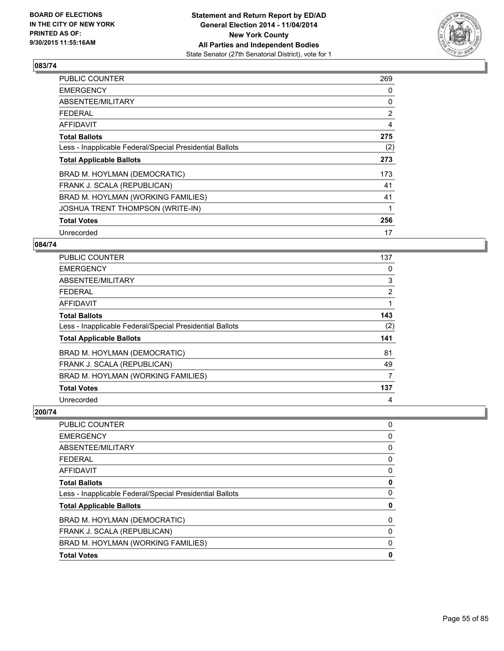

| <b>PUBLIC COUNTER</b>                                    | 269            |
|----------------------------------------------------------|----------------|
| <b>EMERGENCY</b>                                         | 0              |
| ABSENTEE/MILITARY                                        | 0              |
| <b>FEDERAL</b>                                           | $\overline{2}$ |
| <b>AFFIDAVIT</b>                                         | 4              |
| <b>Total Ballots</b>                                     | 275            |
| Less - Inapplicable Federal/Special Presidential Ballots | (2)            |
| <b>Total Applicable Ballots</b>                          | 273            |
| BRAD M. HOYLMAN (DEMOCRATIC)                             | 173            |
| FRANK J. SCALA (REPUBLICAN)                              | 41             |
| BRAD M. HOYLMAN (WORKING FAMILIES)                       | 41             |
| <b>JOSHUA TRENT THOMPSON (WRITE-IN)</b>                  |                |
| <b>Total Votes</b>                                       | 256            |
| Unrecorded                                               | 17             |

### **084/74**

| <b>PUBLIC COUNTER</b>                                    | 137 |
|----------------------------------------------------------|-----|
| <b>EMERGENCY</b>                                         | 0   |
| ABSENTEE/MILITARY                                        | 3   |
| <b>FEDERAL</b>                                           | 2   |
| <b>AFFIDAVIT</b>                                         | 1   |
| <b>Total Ballots</b>                                     | 143 |
| Less - Inapplicable Federal/Special Presidential Ballots | (2) |
| <b>Total Applicable Ballots</b>                          | 141 |
| BRAD M. HOYLMAN (DEMOCRATIC)                             | 81  |
| FRANK J. SCALA (REPUBLICAN)                              | 49  |
| BRAD M. HOYLMAN (WORKING FAMILIES)                       | 7   |
| <b>Total Votes</b>                                       | 137 |
| Unrecorded                                               | 4   |

| PUBLIC COUNTER                                           | 0 |
|----------------------------------------------------------|---|
| <b>EMERGENCY</b>                                         | 0 |
| ABSENTEE/MILITARY                                        | 0 |
| <b>FEDERAL</b>                                           | 0 |
| <b>AFFIDAVIT</b>                                         | 0 |
| <b>Total Ballots</b>                                     | 0 |
| Less - Inapplicable Federal/Special Presidential Ballots | 0 |
| <b>Total Applicable Ballots</b>                          | 0 |
| BRAD M. HOYLMAN (DEMOCRATIC)                             | 0 |
| FRANK J. SCALA (REPUBLICAN)                              | 0 |
| BRAD M. HOYLMAN (WORKING FAMILIES)                       | 0 |
| <b>Total Votes</b>                                       | 0 |
|                                                          |   |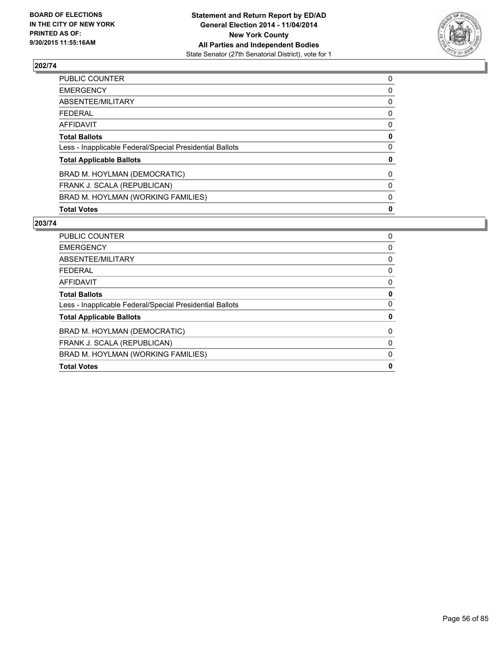

| <b>Total Votes</b>                                       | 0 |
|----------------------------------------------------------|---|
| BRAD M. HOYLMAN (WORKING FAMILIES)                       | 0 |
| FRANK J. SCALA (REPUBLICAN)                              | 0 |
| BRAD M. HOYLMAN (DEMOCRATIC)                             | 0 |
| <b>Total Applicable Ballots</b>                          | 0 |
| Less - Inapplicable Federal/Special Presidential Ballots | 0 |
| <b>Total Ballots</b>                                     | 0 |
| <b>AFFIDAVIT</b>                                         | 0 |
| <b>FEDERAL</b>                                           | 0 |
| ABSENTEE/MILITARY                                        | 0 |
| <b>EMERGENCY</b>                                         | 0 |
| PUBLIC COUNTER                                           | 0 |

| <b>PUBLIC COUNTER</b>                                    | 0            |
|----------------------------------------------------------|--------------|
| <b>EMERGENCY</b>                                         | 0            |
| ABSENTEE/MILITARY                                        | 0            |
| <b>FEDERAL</b>                                           | 0            |
| <b>AFFIDAVIT</b>                                         | 0            |
| <b>Total Ballots</b>                                     | 0            |
| Less - Inapplicable Federal/Special Presidential Ballots | 0            |
| <b>Total Applicable Ballots</b>                          | 0            |
| BRAD M. HOYLMAN (DEMOCRATIC)                             | 0            |
| FRANK J. SCALA (REPUBLICAN)                              | 0            |
| BRAD M. HOYLMAN (WORKING FAMILIES)                       | $\mathbf{0}$ |
| <b>Total Votes</b>                                       | 0            |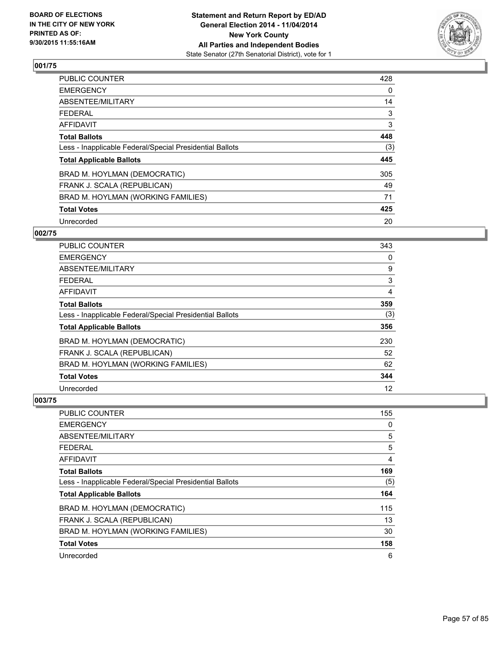

| PUBLIC COUNTER                                           | 428 |
|----------------------------------------------------------|-----|
| <b>EMERGENCY</b>                                         | 0   |
| ABSENTEE/MILITARY                                        | 14  |
| <b>FEDERAL</b>                                           | 3   |
| <b>AFFIDAVIT</b>                                         | 3   |
| <b>Total Ballots</b>                                     | 448 |
| Less - Inapplicable Federal/Special Presidential Ballots | (3) |
| <b>Total Applicable Ballots</b>                          | 445 |
| BRAD M. HOYLMAN (DEMOCRATIC)                             | 305 |
| FRANK J. SCALA (REPUBLICAN)                              | 49  |
| BRAD M. HOYLMAN (WORKING FAMILIES)                       | 71  |
| <b>Total Votes</b>                                       | 425 |
| Unrecorded                                               | 20  |

### **002/75**

| PUBLIC COUNTER                                           | 343 |
|----------------------------------------------------------|-----|
| <b>EMERGENCY</b>                                         | 0   |
| ABSENTEE/MILITARY                                        | 9   |
| <b>FEDERAL</b>                                           | 3   |
| <b>AFFIDAVIT</b>                                         | 4   |
| <b>Total Ballots</b>                                     | 359 |
| Less - Inapplicable Federal/Special Presidential Ballots | (3) |
| <b>Total Applicable Ballots</b>                          | 356 |
| BRAD M. HOYLMAN (DEMOCRATIC)                             | 230 |
| FRANK J. SCALA (REPUBLICAN)                              | 52  |
| BRAD M. HOYLMAN (WORKING FAMILIES)                       | 62  |
| <b>Total Votes</b>                                       | 344 |
| Unrecorded                                               | 12  |

| PUBLIC COUNTER                                           | 155 |
|----------------------------------------------------------|-----|
| <b>EMERGENCY</b>                                         | 0   |
| ABSENTEE/MILITARY                                        | 5   |
| <b>FEDERAL</b>                                           | 5   |
| <b>AFFIDAVIT</b>                                         | 4   |
| <b>Total Ballots</b>                                     | 169 |
| Less - Inapplicable Federal/Special Presidential Ballots | (5) |
| <b>Total Applicable Ballots</b>                          | 164 |
| BRAD M. HOYLMAN (DEMOCRATIC)                             | 115 |
| FRANK J. SCALA (REPUBLICAN)                              | 13  |
| BRAD M. HOYLMAN (WORKING FAMILIES)                       | 30  |
| <b>Total Votes</b>                                       | 158 |
| Unrecorded                                               | 6   |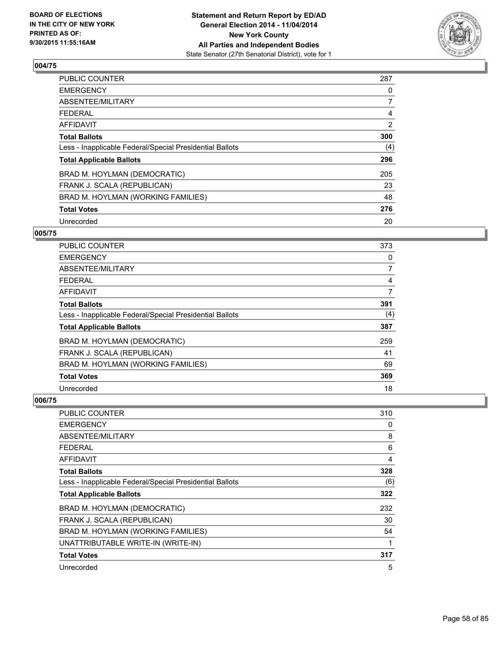

| PUBLIC COUNTER                                           | 287            |
|----------------------------------------------------------|----------------|
| <b>EMERGENCY</b>                                         | 0              |
| ABSENTEE/MILITARY                                        | 7              |
| <b>FEDERAL</b>                                           | 4              |
| AFFIDAVIT                                                | $\overline{2}$ |
| <b>Total Ballots</b>                                     | 300            |
| Less - Inapplicable Federal/Special Presidential Ballots | (4)            |
| <b>Total Applicable Ballots</b>                          | 296            |
| BRAD M. HOYLMAN (DEMOCRATIC)                             | 205            |
| FRANK J. SCALA (REPUBLICAN)                              | 23             |
| BRAD M. HOYLMAN (WORKING FAMILIES)                       | 48             |
| <b>Total Votes</b>                                       | 276            |
| Unrecorded                                               | 20             |

### **005/75**

| <b>PUBLIC COUNTER</b>                                    | 373            |
|----------------------------------------------------------|----------------|
| <b>EMERGENCY</b>                                         | 0              |
| ABSENTEE/MILITARY                                        | $\overline{7}$ |
| <b>FEDERAL</b>                                           | 4              |
| AFFIDAVIT                                                | 7              |
| <b>Total Ballots</b>                                     | 391            |
| Less - Inapplicable Federal/Special Presidential Ballots | (4)            |
| <b>Total Applicable Ballots</b>                          | 387            |
| BRAD M. HOYLMAN (DEMOCRATIC)                             | 259            |
| FRANK J. SCALA (REPUBLICAN)                              | 41             |
| BRAD M. HOYLMAN (WORKING FAMILIES)                       | 69             |
| <b>Total Votes</b>                                       | 369            |
| Unrecorded                                               | 18             |

| <b>PUBLIC COUNTER</b>                                    | 310 |
|----------------------------------------------------------|-----|
| <b>EMERGENCY</b>                                         | 0   |
| ABSENTEE/MILITARY                                        | 8   |
| FEDERAL                                                  | 6   |
| AFFIDAVIT                                                | 4   |
| <b>Total Ballots</b>                                     | 328 |
| Less - Inapplicable Federal/Special Presidential Ballots | (6) |
| <b>Total Applicable Ballots</b>                          | 322 |
| BRAD M. HOYLMAN (DEMOCRATIC)                             | 232 |
| FRANK J. SCALA (REPUBLICAN)                              | 30  |
| BRAD M. HOYLMAN (WORKING FAMILIES)                       | 54  |
| UNATTRIBUTABLE WRITE-IN (WRITE-IN)                       | 1   |
| <b>Total Votes</b>                                       | 317 |
| Unrecorded                                               | 5   |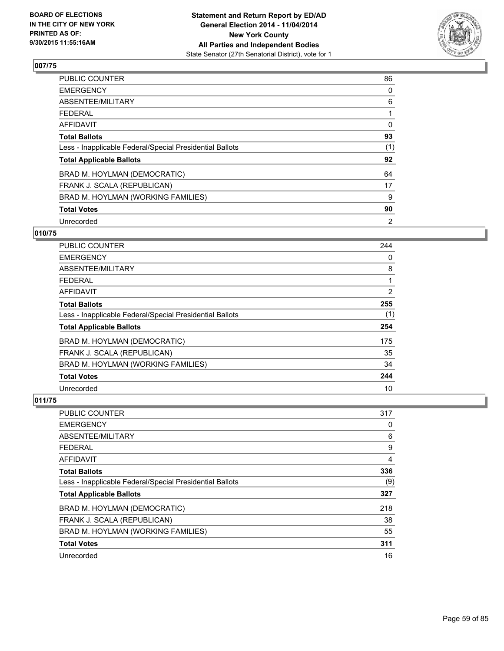

| PUBLIC COUNTER                                           | 86       |
|----------------------------------------------------------|----------|
| <b>EMERGENCY</b>                                         | 0        |
| ABSENTEE/MILITARY                                        | 6        |
| <b>FEDERAL</b>                                           |          |
| AFFIDAVIT                                                | $\Omega$ |
| <b>Total Ballots</b>                                     | 93       |
| Less - Inapplicable Federal/Special Presidential Ballots | (1)      |
| <b>Total Applicable Ballots</b>                          | 92       |
| BRAD M. HOYLMAN (DEMOCRATIC)                             | 64       |
| FRANK J. SCALA (REPUBLICAN)                              | 17       |
| BRAD M. HOYLMAN (WORKING FAMILIES)                       | 9        |
| <b>Total Votes</b>                                       | 90       |
| Unrecorded                                               | 2        |

# **010/75**

| <b>PUBLIC COUNTER</b>                                    | 244            |
|----------------------------------------------------------|----------------|
| <b>EMERGENCY</b>                                         | 0              |
| ABSENTEE/MILITARY                                        | 8              |
| <b>FEDERAL</b>                                           |                |
| AFFIDAVIT                                                | $\overline{2}$ |
| <b>Total Ballots</b>                                     | 255            |
| Less - Inapplicable Federal/Special Presidential Ballots | (1)            |
| <b>Total Applicable Ballots</b>                          | 254            |
| BRAD M. HOYLMAN (DEMOCRATIC)                             | 175            |
| FRANK J. SCALA (REPUBLICAN)                              | 35             |
| BRAD M. HOYLMAN (WORKING FAMILIES)                       | 34             |
| <b>Total Votes</b>                                       | 244            |
| Unrecorded                                               | 10             |

| PUBLIC COUNTER                                           | 317 |
|----------------------------------------------------------|-----|
| <b>EMERGENCY</b>                                         | 0   |
| ABSENTEE/MILITARY                                        | 6   |
| <b>FEDERAL</b>                                           | 9   |
| <b>AFFIDAVIT</b>                                         | 4   |
| <b>Total Ballots</b>                                     | 336 |
| Less - Inapplicable Federal/Special Presidential Ballots | (9) |
| <b>Total Applicable Ballots</b>                          | 327 |
| BRAD M. HOYLMAN (DEMOCRATIC)                             | 218 |
| FRANK J. SCALA (REPUBLICAN)                              | 38  |
| BRAD M. HOYLMAN (WORKING FAMILIES)                       | 55  |
| <b>Total Votes</b>                                       | 311 |
| Unrecorded                                               | 16  |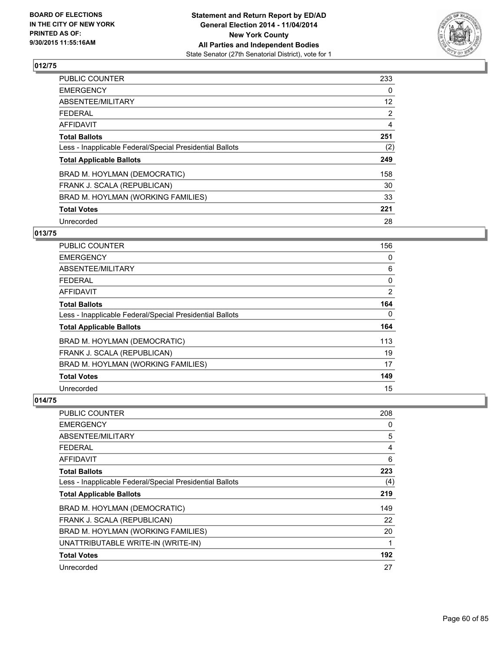

| PUBLIC COUNTER                                           | 233               |
|----------------------------------------------------------|-------------------|
| <b>EMERGENCY</b>                                         | 0                 |
| ABSENTEE/MILITARY                                        | $12 \overline{ }$ |
| <b>FEDERAL</b>                                           | $\overline{2}$    |
| <b>AFFIDAVIT</b>                                         | 4                 |
| <b>Total Ballots</b>                                     | 251               |
| Less - Inapplicable Federal/Special Presidential Ballots | (2)               |
| <b>Total Applicable Ballots</b>                          | 249               |
| BRAD M. HOYLMAN (DEMOCRATIC)                             | 158               |
| FRANK J. SCALA (REPUBLICAN)                              | 30                |
| BRAD M. HOYLMAN (WORKING FAMILIES)                       | 33                |
| <b>Total Votes</b>                                       | 221               |
| Unrecorded                                               | 28                |

# **013/75**

| <b>PUBLIC COUNTER</b>                                    | 156            |
|----------------------------------------------------------|----------------|
| <b>EMERGENCY</b>                                         | 0              |
| ABSENTEE/MILITARY                                        | 6              |
| <b>FEDERAL</b>                                           | 0              |
| AFFIDAVIT                                                | $\overline{2}$ |
| <b>Total Ballots</b>                                     | 164            |
| Less - Inapplicable Federal/Special Presidential Ballots | 0              |
| <b>Total Applicable Ballots</b>                          | 164            |
| BRAD M. HOYLMAN (DEMOCRATIC)                             | 113            |
| FRANK J. SCALA (REPUBLICAN)                              | 19             |
| BRAD M. HOYLMAN (WORKING FAMILIES)                       | 17             |
| <b>Total Votes</b>                                       | 149            |
| Unrecorded                                               | 15             |

| <b>PUBLIC COUNTER</b>                                    | 208 |
|----------------------------------------------------------|-----|
| <b>EMERGENCY</b>                                         | 0   |
| ABSENTEE/MILITARY                                        | 5   |
| <b>FEDERAL</b>                                           | 4   |
| AFFIDAVIT                                                | 6   |
| <b>Total Ballots</b>                                     | 223 |
| Less - Inapplicable Federal/Special Presidential Ballots | (4) |
| <b>Total Applicable Ballots</b>                          | 219 |
| BRAD M. HOYLMAN (DEMOCRATIC)                             | 149 |
| FRANK J. SCALA (REPUBLICAN)                              | 22  |
| BRAD M. HOYLMAN (WORKING FAMILIES)                       | 20  |
| UNATTRIBUTABLE WRITE-IN (WRITE-IN)                       | 1   |
| <b>Total Votes</b>                                       | 192 |
| Unrecorded                                               | 27  |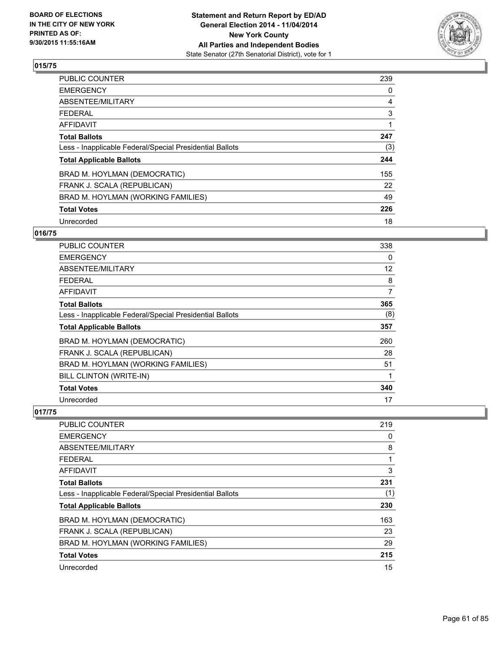

| PUBLIC COUNTER                                           | 239 |
|----------------------------------------------------------|-----|
| <b>EMERGENCY</b>                                         | 0   |
| ABSENTEE/MILITARY                                        | 4   |
| <b>FEDERAL</b>                                           | 3   |
| <b>AFFIDAVIT</b>                                         |     |
| <b>Total Ballots</b>                                     | 247 |
| Less - Inapplicable Federal/Special Presidential Ballots | (3) |
| <b>Total Applicable Ballots</b>                          | 244 |
| BRAD M. HOYLMAN (DEMOCRATIC)                             | 155 |
| FRANK J. SCALA (REPUBLICAN)                              | 22  |
| BRAD M. HOYLMAN (WORKING FAMILIES)                       | 49  |
| <b>Total Votes</b>                                       | 226 |
| Unrecorded                                               | 18  |

# **016/75**

| <b>PUBLIC COUNTER</b>                                    | 338 |
|----------------------------------------------------------|-----|
| <b>EMERGENCY</b>                                         | 0   |
| ABSENTEE/MILITARY                                        | 12  |
| <b>FEDERAL</b>                                           | 8   |
| AFFIDAVIT                                                | 7   |
| <b>Total Ballots</b>                                     | 365 |
| Less - Inapplicable Federal/Special Presidential Ballots | (8) |
| <b>Total Applicable Ballots</b>                          | 357 |
| BRAD M. HOYLMAN (DEMOCRATIC)                             | 260 |
| FRANK J. SCALA (REPUBLICAN)                              | 28  |
| BRAD M. HOYLMAN (WORKING FAMILIES)                       | 51  |
| BILL CLINTON (WRITE-IN)                                  | 1   |
| <b>Total Votes</b>                                       | 340 |
| Unrecorded                                               | 17  |

| <b>PUBLIC COUNTER</b>                                    | 219 |
|----------------------------------------------------------|-----|
| <b>EMERGENCY</b>                                         | 0   |
| ABSENTEE/MILITARY                                        | 8   |
| <b>FEDERAL</b>                                           | 1   |
| AFFIDAVIT                                                | 3   |
| <b>Total Ballots</b>                                     | 231 |
| Less - Inapplicable Federal/Special Presidential Ballots | (1) |
| <b>Total Applicable Ballots</b>                          | 230 |
| BRAD M. HOYLMAN (DEMOCRATIC)                             | 163 |
| FRANK J. SCALA (REPUBLICAN)                              | 23  |
| BRAD M. HOYLMAN (WORKING FAMILIES)                       | 29  |
| <b>Total Votes</b>                                       | 215 |
| Unrecorded                                               | 15  |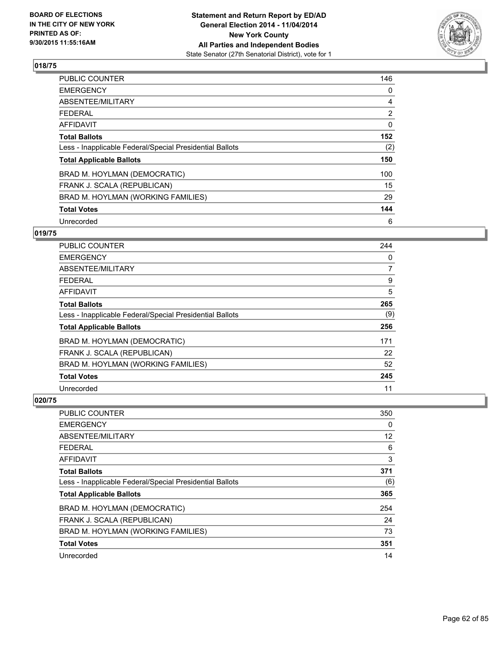

| <b>PUBLIC COUNTER</b>                                    | 146            |
|----------------------------------------------------------|----------------|
| <b>EMERGENCY</b>                                         | 0              |
| ABSENTEE/MILITARY                                        | 4              |
| <b>FEDERAL</b>                                           | $\overline{2}$ |
| AFFIDAVIT                                                | 0              |
| <b>Total Ballots</b>                                     | 152            |
| Less - Inapplicable Federal/Special Presidential Ballots | (2)            |
| <b>Total Applicable Ballots</b>                          | 150            |
| BRAD M. HOYLMAN (DEMOCRATIC)                             | 100            |
| FRANK J. SCALA (REPUBLICAN)                              | 15             |
| BRAD M. HOYLMAN (WORKING FAMILIES)                       | 29             |
| <b>Total Votes</b>                                       | 144            |
| Unrecorded                                               | 6              |

# **019/75**

| <b>PUBLIC COUNTER</b>                                    | 244            |
|----------------------------------------------------------|----------------|
| <b>EMERGENCY</b>                                         | 0              |
| ABSENTEE/MILITARY                                        | $\overline{7}$ |
| <b>FEDERAL</b>                                           | 9              |
| AFFIDAVIT                                                | 5              |
| <b>Total Ballots</b>                                     | 265            |
| Less - Inapplicable Federal/Special Presidential Ballots | (9)            |
| <b>Total Applicable Ballots</b>                          | 256            |
| BRAD M. HOYLMAN (DEMOCRATIC)                             | 171            |
| FRANK J. SCALA (REPUBLICAN)                              | 22             |
| BRAD M. HOYLMAN (WORKING FAMILIES)                       | 52             |
| <b>Total Votes</b>                                       | 245            |
| Unrecorded                                               | 11             |

| PUBLIC COUNTER                                           | 350 |
|----------------------------------------------------------|-----|
| <b>EMERGENCY</b>                                         | 0   |
| ABSENTEE/MILITARY                                        | 12  |
| <b>FEDERAL</b>                                           | 6   |
| <b>AFFIDAVIT</b>                                         | 3   |
| <b>Total Ballots</b>                                     | 371 |
| Less - Inapplicable Federal/Special Presidential Ballots | (6) |
| <b>Total Applicable Ballots</b>                          | 365 |
| BRAD M. HOYLMAN (DEMOCRATIC)                             | 254 |
| FRANK J. SCALA (REPUBLICAN)                              | 24  |
| BRAD M. HOYLMAN (WORKING FAMILIES)                       | 73  |
| <b>Total Votes</b>                                       | 351 |
| Unrecorded                                               | 14  |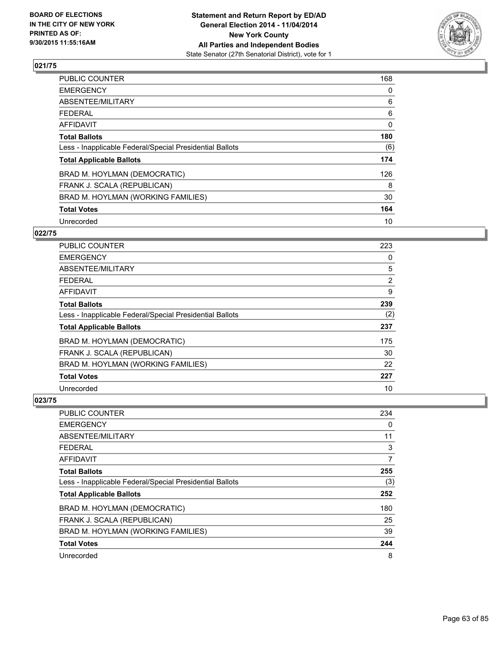

| PUBLIC COUNTER                                           | 168          |
|----------------------------------------------------------|--------------|
| <b>EMERGENCY</b>                                         | 0            |
| ABSENTEE/MILITARY                                        | 6            |
| <b>FEDERAL</b>                                           | 6            |
| <b>AFFIDAVIT</b>                                         | $\mathbf{0}$ |
| <b>Total Ballots</b>                                     | 180          |
| Less - Inapplicable Federal/Special Presidential Ballots | (6)          |
| <b>Total Applicable Ballots</b>                          | 174          |
| BRAD M. HOYLMAN (DEMOCRATIC)                             | 126          |
| FRANK J. SCALA (REPUBLICAN)                              | 8            |
| BRAD M. HOYLMAN (WORKING FAMILIES)                       | 30           |
| <b>Total Votes</b>                                       | 164          |
| Unrecorded                                               | 10           |

# **022/75**

| PUBLIC COUNTER                                           | 223 |
|----------------------------------------------------------|-----|
| <b>EMERGENCY</b>                                         | 0   |
| ABSENTEE/MILITARY                                        | 5   |
| <b>FEDERAL</b>                                           | 2   |
| <b>AFFIDAVIT</b>                                         | 9   |
| <b>Total Ballots</b>                                     | 239 |
| Less - Inapplicable Federal/Special Presidential Ballots | (2) |
| <b>Total Applicable Ballots</b>                          | 237 |
| BRAD M. HOYLMAN (DEMOCRATIC)                             | 175 |
| FRANK J. SCALA (REPUBLICAN)                              | 30  |
| BRAD M. HOYLMAN (WORKING FAMILIES)                       | 22  |
| <b>Total Votes</b>                                       | 227 |
| Unrecorded                                               | 10  |

| PUBLIC COUNTER                                           | 234 |
|----------------------------------------------------------|-----|
| <b>EMERGENCY</b>                                         | 0   |
| ABSENTEE/MILITARY                                        | 11  |
| <b>FEDERAL</b>                                           | 3   |
| AFFIDAVIT                                                | 7   |
| <b>Total Ballots</b>                                     | 255 |
| Less - Inapplicable Federal/Special Presidential Ballots | (3) |
| <b>Total Applicable Ballots</b>                          | 252 |
| BRAD M. HOYLMAN (DEMOCRATIC)                             | 180 |
| FRANK J. SCALA (REPUBLICAN)                              | 25  |
| BRAD M. HOYLMAN (WORKING FAMILIES)                       | 39  |
| <b>Total Votes</b>                                       | 244 |
| Unrecorded                                               | 8   |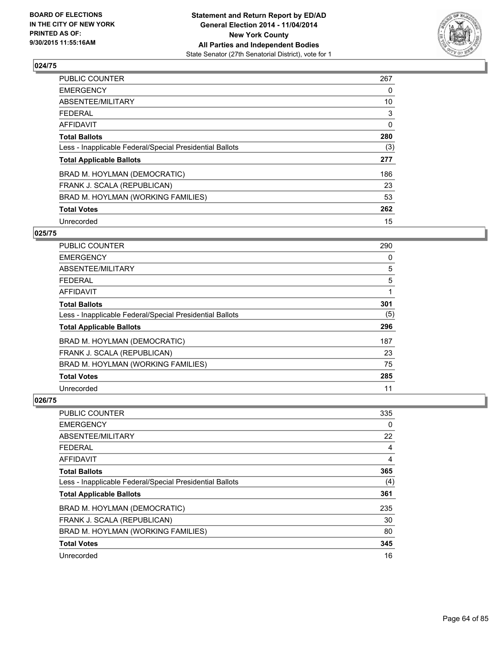

| PUBLIC COUNTER                                           | 267          |
|----------------------------------------------------------|--------------|
| <b>EMERGENCY</b>                                         | 0            |
| ABSENTEE/MILITARY                                        | 10           |
| <b>FEDERAL</b>                                           | 3            |
| <b>AFFIDAVIT</b>                                         | $\mathbf{0}$ |
| <b>Total Ballots</b>                                     | 280          |
| Less - Inapplicable Federal/Special Presidential Ballots | (3)          |
| <b>Total Applicable Ballots</b>                          | 277          |
| BRAD M. HOYLMAN (DEMOCRATIC)                             | 186          |
| FRANK J. SCALA (REPUBLICAN)                              | 23           |
| BRAD M. HOYLMAN (WORKING FAMILIES)                       | 53           |
| <b>Total Votes</b>                                       | 262          |
| Unrecorded                                               | 15           |

# **025/75**

| PUBLIC COUNTER                                           | 290 |
|----------------------------------------------------------|-----|
| <b>EMERGENCY</b>                                         | 0   |
| ABSENTEE/MILITARY                                        | 5   |
| <b>FEDERAL</b>                                           | 5   |
| <b>AFFIDAVIT</b>                                         |     |
| <b>Total Ballots</b>                                     | 301 |
| Less - Inapplicable Federal/Special Presidential Ballots | (5) |
| <b>Total Applicable Ballots</b>                          | 296 |
| BRAD M. HOYLMAN (DEMOCRATIC)                             | 187 |
| FRANK J. SCALA (REPUBLICAN)                              | 23  |
| BRAD M. HOYLMAN (WORKING FAMILIES)                       | 75  |
| <b>Total Votes</b>                                       | 285 |
| Unrecorded                                               | 11  |

| PUBLIC COUNTER                                           | 335 |
|----------------------------------------------------------|-----|
| <b>EMERGENCY</b>                                         | 0   |
| ABSENTEE/MILITARY                                        | 22  |
| <b>FEDERAL</b>                                           | 4   |
| <b>AFFIDAVIT</b>                                         | 4   |
| <b>Total Ballots</b>                                     | 365 |
| Less - Inapplicable Federal/Special Presidential Ballots | (4) |
| <b>Total Applicable Ballots</b>                          | 361 |
| BRAD M. HOYLMAN (DEMOCRATIC)                             | 235 |
| FRANK J. SCALA (REPUBLICAN)                              | 30  |
| BRAD M. HOYLMAN (WORKING FAMILIES)                       | 80  |
| <b>Total Votes</b>                                       | 345 |
| Unrecorded                                               | 16  |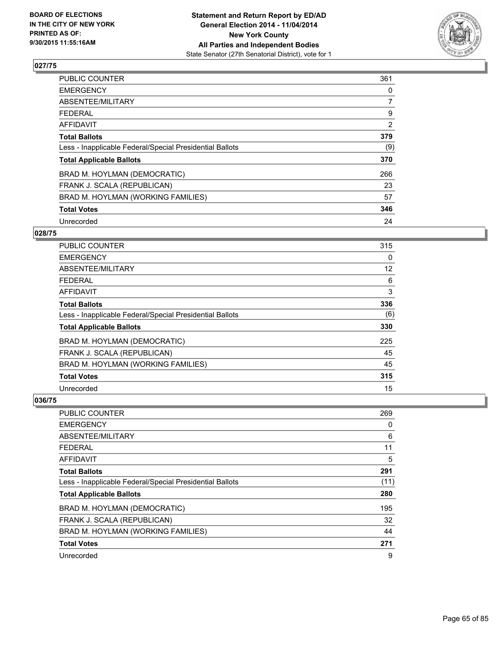

| PUBLIC COUNTER                                           | 361            |
|----------------------------------------------------------|----------------|
| <b>EMERGENCY</b>                                         | 0              |
| ABSENTEE/MILITARY                                        | $\overline{7}$ |
| <b>FEDERAL</b>                                           | 9              |
| <b>AFFIDAVIT</b>                                         | $\overline{2}$ |
| <b>Total Ballots</b>                                     | 379            |
| Less - Inapplicable Federal/Special Presidential Ballots | (9)            |
| <b>Total Applicable Ballots</b>                          | 370            |
| BRAD M. HOYLMAN (DEMOCRATIC)                             | 266            |
| FRANK J. SCALA (REPUBLICAN)                              | 23             |
| BRAD M. HOYLMAN (WORKING FAMILIES)                       | 57             |
| <b>Total Votes</b>                                       | 346            |
| Unrecorded                                               | 24             |

# **028/75**

| PUBLIC COUNTER                                           | 315 |
|----------------------------------------------------------|-----|
| <b>EMERGENCY</b>                                         | 0   |
| ABSENTEE/MILITARY                                        | 12  |
| <b>FEDERAL</b>                                           | 6   |
| <b>AFFIDAVIT</b>                                         | 3   |
| <b>Total Ballots</b>                                     | 336 |
| Less - Inapplicable Federal/Special Presidential Ballots | (6) |
| <b>Total Applicable Ballots</b>                          | 330 |
| BRAD M. HOYLMAN (DEMOCRATIC)                             | 225 |
| FRANK J. SCALA (REPUBLICAN)                              | 45  |
| BRAD M. HOYLMAN (WORKING FAMILIES)                       | 45  |
| <b>Total Votes</b>                                       | 315 |
| Unrecorded                                               | 15  |

| PUBLIC COUNTER                                           | 269  |
|----------------------------------------------------------|------|
| <b>EMERGENCY</b>                                         | 0    |
| ABSENTEE/MILITARY                                        | 6    |
| <b>FEDERAL</b>                                           | 11   |
| <b>AFFIDAVIT</b>                                         | 5    |
| <b>Total Ballots</b>                                     | 291  |
| Less - Inapplicable Federal/Special Presidential Ballots | (11) |
| <b>Total Applicable Ballots</b>                          | 280  |
| BRAD M. HOYLMAN (DEMOCRATIC)                             | 195  |
| FRANK J. SCALA (REPUBLICAN)                              | 32   |
| BRAD M. HOYLMAN (WORKING FAMILIES)                       | 44   |
| <b>Total Votes</b>                                       | 271  |
| Unrecorded                                               | 9    |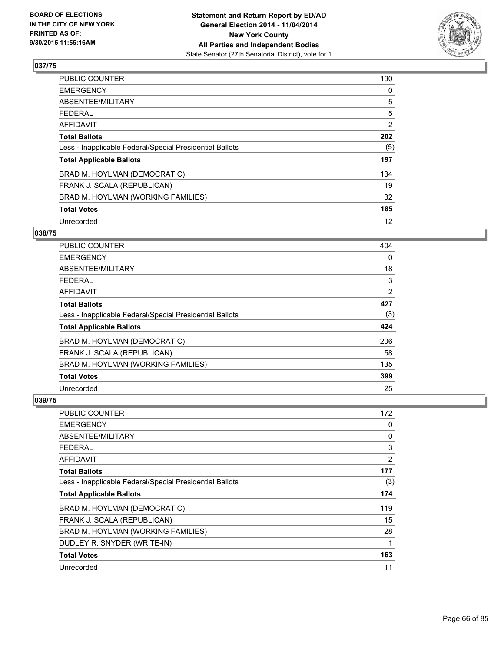

| <b>PUBLIC COUNTER</b>                                    | 190 |
|----------------------------------------------------------|-----|
| <b>EMERGENCY</b>                                         | 0   |
| ABSENTEE/MILITARY                                        | 5   |
| <b>FEDERAL</b>                                           | 5   |
| AFFIDAVIT                                                | 2   |
| <b>Total Ballots</b>                                     | 202 |
| Less - Inapplicable Federal/Special Presidential Ballots | (5) |
| <b>Total Applicable Ballots</b>                          | 197 |
| BRAD M. HOYLMAN (DEMOCRATIC)                             | 134 |
| FRANK J. SCALA (REPUBLICAN)                              | 19  |
| BRAD M. HOYLMAN (WORKING FAMILIES)                       | 32  |
| <b>Total Votes</b>                                       | 185 |
| Unrecorded                                               | 12  |

# **038/75**

| PUBLIC COUNTER                                           | 404            |
|----------------------------------------------------------|----------------|
| <b>EMERGENCY</b>                                         | 0              |
| ABSENTEE/MILITARY                                        | 18             |
| <b>FEDERAL</b>                                           | 3              |
| <b>AFFIDAVIT</b>                                         | $\overline{2}$ |
| <b>Total Ballots</b>                                     | 427            |
| Less - Inapplicable Federal/Special Presidential Ballots | (3)            |
| <b>Total Applicable Ballots</b>                          | 424            |
| BRAD M. HOYLMAN (DEMOCRATIC)                             | 206            |
| FRANK J. SCALA (REPUBLICAN)                              | 58             |
| BRAD M. HOYLMAN (WORKING FAMILIES)                       | 135            |
| <b>Total Votes</b>                                       | 399            |
| Unrecorded                                               | 25             |

| PUBLIC COUNTER                                           | 172            |
|----------------------------------------------------------|----------------|
| <b>EMERGENCY</b>                                         | 0              |
| ABSENTEE/MILITARY                                        | 0              |
| <b>FEDERAL</b>                                           | 3              |
| AFFIDAVIT                                                | $\overline{2}$ |
| <b>Total Ballots</b>                                     | 177            |
| Less - Inapplicable Federal/Special Presidential Ballots | (3)            |
| <b>Total Applicable Ballots</b>                          | 174            |
| BRAD M. HOYLMAN (DEMOCRATIC)                             | 119            |
| FRANK J. SCALA (REPUBLICAN)                              | 15             |
| BRAD M. HOYLMAN (WORKING FAMILIES)                       | 28             |
| DUDLEY R. SNYDER (WRITE-IN)                              | 1              |
| <b>Total Votes</b>                                       | 163            |
| Unrecorded                                               | 11             |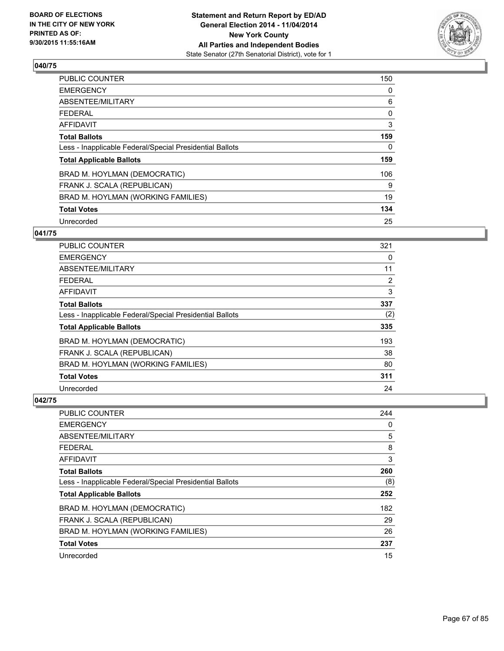

| PUBLIC COUNTER                                           | 150 |
|----------------------------------------------------------|-----|
| <b>EMERGENCY</b>                                         | 0   |
| ABSENTEE/MILITARY                                        | 6   |
| <b>FEDERAL</b>                                           | 0   |
| AFFIDAVIT                                                | 3   |
| <b>Total Ballots</b>                                     | 159 |
| Less - Inapplicable Federal/Special Presidential Ballots | 0   |
| <b>Total Applicable Ballots</b>                          | 159 |
| BRAD M. HOYLMAN (DEMOCRATIC)                             | 106 |
| FRANK J. SCALA (REPUBLICAN)                              | 9   |
| BRAD M. HOYLMAN (WORKING FAMILIES)                       | 19  |
| <b>Total Votes</b>                                       | 134 |
| Unrecorded                                               | 25  |

### **041/75**

| <b>PUBLIC COUNTER</b>                                    | 321 |
|----------------------------------------------------------|-----|
| <b>EMERGENCY</b>                                         | 0   |
| ABSENTEE/MILITARY                                        | 11  |
| <b>FEDERAL</b>                                           | 2   |
| <b>AFFIDAVIT</b>                                         | 3   |
| <b>Total Ballots</b>                                     | 337 |
| Less - Inapplicable Federal/Special Presidential Ballots | (2) |
| <b>Total Applicable Ballots</b>                          | 335 |
| BRAD M. HOYLMAN (DEMOCRATIC)                             | 193 |
| FRANK J. SCALA (REPUBLICAN)                              | 38  |
| BRAD M. HOYLMAN (WORKING FAMILIES)                       | 80  |
| <b>Total Votes</b>                                       | 311 |
| Unrecorded                                               | 24  |

| PUBLIC COUNTER                                           | 244 |
|----------------------------------------------------------|-----|
| <b>EMERGENCY</b>                                         | 0   |
| ABSENTEE/MILITARY                                        | 5   |
| <b>FEDERAL</b>                                           | 8   |
| <b>AFFIDAVIT</b>                                         | 3   |
| <b>Total Ballots</b>                                     | 260 |
| Less - Inapplicable Federal/Special Presidential Ballots | (8) |
| <b>Total Applicable Ballots</b>                          | 252 |
| BRAD M. HOYLMAN (DEMOCRATIC)                             | 182 |
| FRANK J. SCALA (REPUBLICAN)                              | 29  |
| BRAD M. HOYLMAN (WORKING FAMILIES)                       | 26  |
| <b>Total Votes</b>                                       | 237 |
| Unrecorded                                               | 15  |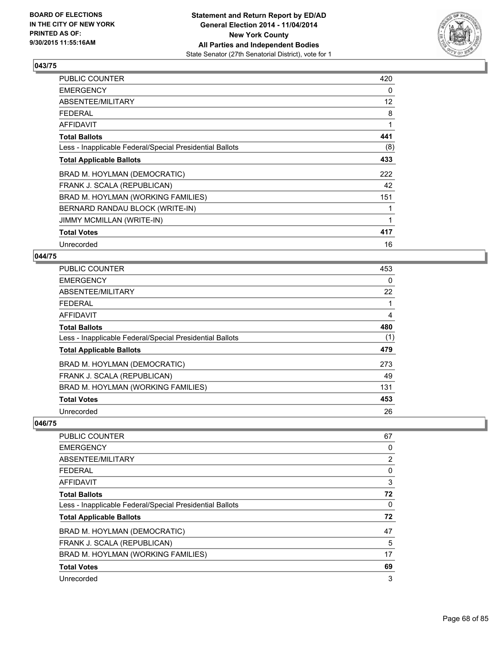

| PUBLIC COUNTER                                           | 420 |
|----------------------------------------------------------|-----|
| <b>EMERGENCY</b>                                         | 0   |
| ABSENTEE/MILITARY                                        | 12  |
| <b>FEDERAL</b>                                           | 8   |
| <b>AFFIDAVIT</b>                                         | 1   |
| <b>Total Ballots</b>                                     | 441 |
| Less - Inapplicable Federal/Special Presidential Ballots | (8) |
| <b>Total Applicable Ballots</b>                          | 433 |
| BRAD M. HOYLMAN (DEMOCRATIC)                             | 222 |
| FRANK J. SCALA (REPUBLICAN)                              | 42  |
| BRAD M. HOYLMAN (WORKING FAMILIES)                       | 151 |
| BERNARD RANDAU BLOCK (WRITE-IN)                          |     |
| <b>JIMMY MCMILLAN (WRITE-IN)</b>                         | 1   |
| <b>Total Votes</b>                                       | 417 |
| Unrecorded                                               | 16  |

## **044/75**

| PUBLIC COUNTER                                           | 453 |
|----------------------------------------------------------|-----|
| <b>EMERGENCY</b>                                         | 0   |
| ABSENTEE/MILITARY                                        | 22  |
| <b>FEDERAL</b>                                           |     |
| <b>AFFIDAVIT</b>                                         | 4   |
| <b>Total Ballots</b>                                     | 480 |
| Less - Inapplicable Federal/Special Presidential Ballots | (1) |
| <b>Total Applicable Ballots</b>                          | 479 |
| BRAD M. HOYLMAN (DEMOCRATIC)                             | 273 |
| FRANK J. SCALA (REPUBLICAN)                              | 49  |
| BRAD M. HOYLMAN (WORKING FAMILIES)                       | 131 |
| <b>Total Votes</b>                                       | 453 |
| Unrecorded                                               | 26  |

| 67 |
|----|
| 0  |
| 2  |
| 0  |
| 3  |
| 72 |
| 0  |
| 72 |
| 47 |
| 5  |
| 17 |
| 69 |
| 3  |
|    |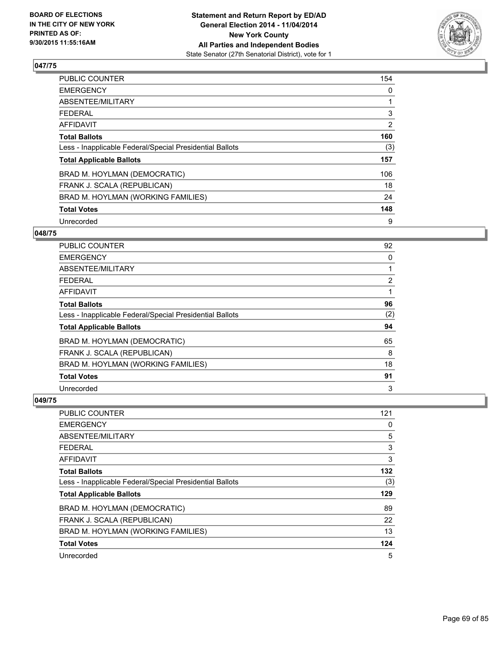

| PUBLIC COUNTER                                           | 154            |
|----------------------------------------------------------|----------------|
| <b>EMERGENCY</b>                                         | 0              |
| ABSENTEE/MILITARY                                        |                |
| <b>FEDERAL</b>                                           | 3              |
| <b>AFFIDAVIT</b>                                         | $\overline{2}$ |
| <b>Total Ballots</b>                                     | 160            |
| Less - Inapplicable Federal/Special Presidential Ballots | (3)            |
| <b>Total Applicable Ballots</b>                          | 157            |
| BRAD M. HOYLMAN (DEMOCRATIC)                             | 106            |
| FRANK J. SCALA (REPUBLICAN)                              | 18             |
| BRAD M. HOYLMAN (WORKING FAMILIES)                       | 24             |
| <b>Total Votes</b>                                       | 148            |
| Unrecorded                                               | 9              |

### **048/75**

| PUBLIC COUNTER                                           | 92             |
|----------------------------------------------------------|----------------|
| <b>EMERGENCY</b>                                         | 0              |
| ABSENTEE/MILITARY                                        |                |
| <b>FEDERAL</b>                                           | $\overline{2}$ |
| <b>AFFIDAVIT</b>                                         |                |
| <b>Total Ballots</b>                                     | 96             |
| Less - Inapplicable Federal/Special Presidential Ballots | (2)            |
| <b>Total Applicable Ballots</b>                          | 94             |
| BRAD M. HOYLMAN (DEMOCRATIC)                             | 65             |
| FRANK J. SCALA (REPUBLICAN)                              | 8              |
| BRAD M. HOYLMAN (WORKING FAMILIES)                       | 18             |
| <b>Total Votes</b>                                       | 91             |
| Unrecorded                                               | 3              |

| PUBLIC COUNTER                                           | 121 |
|----------------------------------------------------------|-----|
| <b>EMERGENCY</b>                                         | 0   |
| ABSENTEE/MILITARY                                        | 5   |
| <b>FEDERAL</b>                                           | 3   |
| <b>AFFIDAVIT</b>                                         | 3   |
| <b>Total Ballots</b>                                     | 132 |
| Less - Inapplicable Federal/Special Presidential Ballots | (3) |
| <b>Total Applicable Ballots</b>                          | 129 |
| BRAD M. HOYLMAN (DEMOCRATIC)                             | 89  |
| FRANK J. SCALA (REPUBLICAN)                              | 22  |
| BRAD M. HOYLMAN (WORKING FAMILIES)                       | 13  |
| <b>Total Votes</b>                                       | 124 |
| Unrecorded                                               | 5   |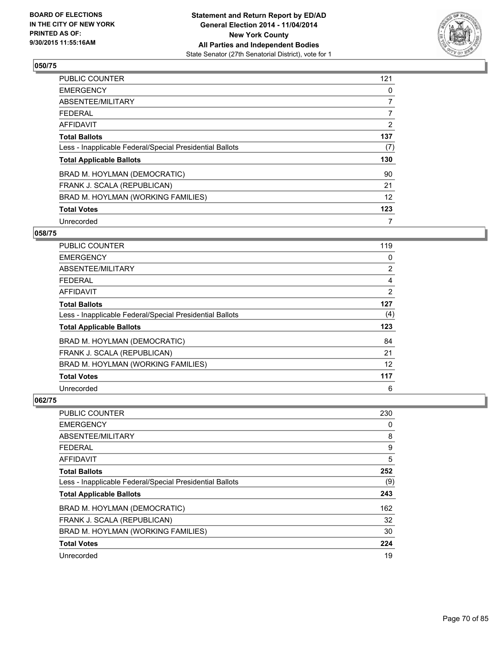

| <b>PUBLIC COUNTER</b>                                    | 121            |
|----------------------------------------------------------|----------------|
| <b>EMERGENCY</b>                                         | 0              |
| ABSENTEE/MILITARY                                        | 7              |
| <b>FEDERAL</b>                                           | $\overline{7}$ |
| AFFIDAVIT                                                | 2              |
| <b>Total Ballots</b>                                     | 137            |
| Less - Inapplicable Federal/Special Presidential Ballots | (7)            |
| <b>Total Applicable Ballots</b>                          | 130            |
| BRAD M. HOYLMAN (DEMOCRATIC)                             | 90             |
| FRANK J. SCALA (REPUBLICAN)                              | 21             |
| BRAD M. HOYLMAN (WORKING FAMILIES)                       | 12             |
| <b>Total Votes</b>                                       | 123            |
| Unrecorded                                               | 7              |

## **058/75**

| PUBLIC COUNTER                                           | 119            |
|----------------------------------------------------------|----------------|
| <b>EMERGENCY</b>                                         | 0              |
| ABSENTEE/MILITARY                                        | $\overline{2}$ |
| <b>FEDERAL</b>                                           | 4              |
| AFFIDAVIT                                                | $\overline{2}$ |
| <b>Total Ballots</b>                                     | 127            |
| Less - Inapplicable Federal/Special Presidential Ballots | (4)            |
| <b>Total Applicable Ballots</b>                          | 123            |
| BRAD M. HOYLMAN (DEMOCRATIC)                             | 84             |
| FRANK J. SCALA (REPUBLICAN)                              | 21             |
| BRAD M. HOYLMAN (WORKING FAMILIES)                       | 12             |
| <b>Total Votes</b>                                       | 117            |
| Unrecorded                                               | 6              |

| PUBLIC COUNTER                                           | 230 |
|----------------------------------------------------------|-----|
| <b>EMERGENCY</b>                                         | 0   |
| ABSENTEE/MILITARY                                        | 8   |
| <b>FEDERAL</b>                                           | 9   |
| AFFIDAVIT                                                | 5   |
| <b>Total Ballots</b>                                     | 252 |
| Less - Inapplicable Federal/Special Presidential Ballots | (9) |
| <b>Total Applicable Ballots</b>                          | 243 |
| BRAD M. HOYLMAN (DEMOCRATIC)                             | 162 |
| FRANK J. SCALA (REPUBLICAN)                              | 32  |
| BRAD M. HOYLMAN (WORKING FAMILIES)                       | 30  |
| <b>Total Votes</b>                                       | 224 |
| Unrecorded                                               | 19  |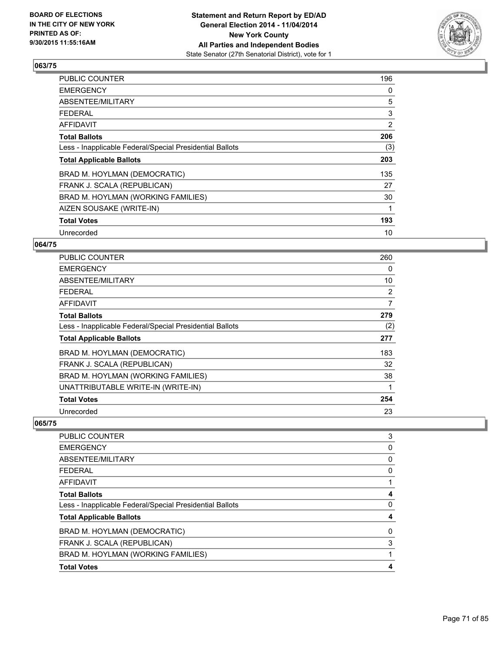

| PUBLIC COUNTER                                           | 196 |
|----------------------------------------------------------|-----|
| <b>EMERGENCY</b>                                         | 0   |
| ABSENTEE/MILITARY                                        | 5   |
| <b>FEDERAL</b>                                           | 3   |
| AFFIDAVIT                                                | 2   |
| <b>Total Ballots</b>                                     | 206 |
| Less - Inapplicable Federal/Special Presidential Ballots | (3) |
| <b>Total Applicable Ballots</b>                          | 203 |
| BRAD M. HOYLMAN (DEMOCRATIC)                             | 135 |
| FRANK J. SCALA (REPUBLICAN)                              | 27  |
| BRAD M. HOYLMAN (WORKING FAMILIES)                       | 30  |
| AIZEN SOUSAKE (WRITE-IN)                                 | 1   |
| <b>Total Votes</b>                                       | 193 |
| Unrecorded                                               | 10  |

# **064/75**

| <b>PUBLIC COUNTER</b>                                    | 260 |
|----------------------------------------------------------|-----|
| <b>EMERGENCY</b>                                         | 0   |
| ABSENTEE/MILITARY                                        | 10  |
| <b>FEDERAL</b>                                           | 2   |
| AFFIDAVIT                                                | 7   |
| <b>Total Ballots</b>                                     | 279 |
| Less - Inapplicable Federal/Special Presidential Ballots | (2) |
| <b>Total Applicable Ballots</b>                          | 277 |
| BRAD M. HOYLMAN (DEMOCRATIC)                             | 183 |
| FRANK J. SCALA (REPUBLICAN)                              | 32  |
| BRAD M. HOYLMAN (WORKING FAMILIES)                       | 38  |
| UNATTRIBUTABLE WRITE-IN (WRITE-IN)                       | 1   |
| <b>Total Votes</b>                                       | 254 |
| Unrecorded                                               | 23  |

| <b>PUBLIC COUNTER</b>                                    | 3 |
|----------------------------------------------------------|---|
| <b>EMERGENCY</b>                                         | 0 |
| ABSENTEE/MILITARY                                        | 0 |
| <b>FEDERAL</b>                                           | 0 |
| <b>AFFIDAVIT</b>                                         |   |
| <b>Total Ballots</b>                                     | 4 |
| Less - Inapplicable Federal/Special Presidential Ballots | 0 |
| <b>Total Applicable Ballots</b>                          | 4 |
| BRAD M. HOYLMAN (DEMOCRATIC)                             | 0 |
| FRANK J. SCALA (REPUBLICAN)                              | 3 |
| BRAD M. HOYLMAN (WORKING FAMILIES)                       |   |
| <b>Total Votes</b>                                       | 4 |
|                                                          |   |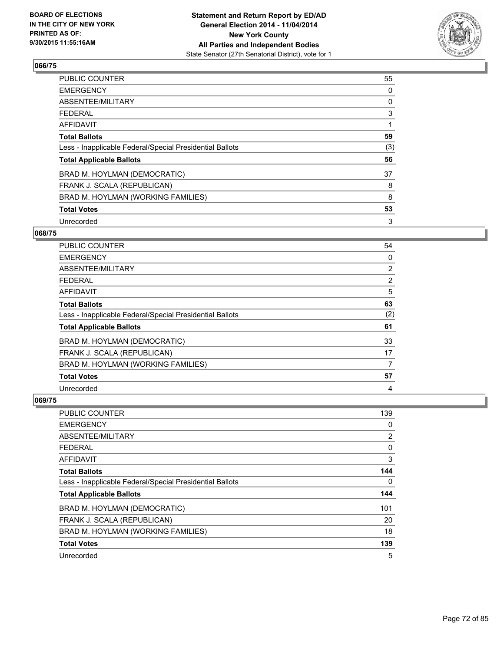

| PUBLIC COUNTER                                           | 55  |
|----------------------------------------------------------|-----|
| <b>EMERGENCY</b>                                         | 0   |
| ABSENTEE/MILITARY                                        | 0   |
| <b>FEDERAL</b>                                           | 3   |
| AFFIDAVIT                                                |     |
| <b>Total Ballots</b>                                     | 59  |
| Less - Inapplicable Federal/Special Presidential Ballots | (3) |
| <b>Total Applicable Ballots</b>                          | 56  |
| BRAD M. HOYLMAN (DEMOCRATIC)                             | 37  |
| FRANK J. SCALA (REPUBLICAN)                              | 8   |
| BRAD M. HOYLMAN (WORKING FAMILIES)                       | 8   |
| <b>Total Votes</b>                                       | 53  |
| Unrecorded                                               | 3   |

### **068/75**

| PUBLIC COUNTER                                           | 54             |
|----------------------------------------------------------|----------------|
| <b>EMERGENCY</b>                                         | 0              |
| ABSENTEE/MILITARY                                        | $\overline{2}$ |
| <b>FEDERAL</b>                                           | $\overline{2}$ |
| <b>AFFIDAVIT</b>                                         | 5              |
| <b>Total Ballots</b>                                     | 63             |
| Less - Inapplicable Federal/Special Presidential Ballots | (2)            |
| <b>Total Applicable Ballots</b>                          | 61             |
| BRAD M. HOYLMAN (DEMOCRATIC)                             | 33             |
| FRANK J. SCALA (REPUBLICAN)                              | 17             |
| BRAD M. HOYLMAN (WORKING FAMILIES)                       | 7              |
| <b>Total Votes</b>                                       | 57             |
| Unrecorded                                               | 4              |

| PUBLIC COUNTER                                           | 139            |
|----------------------------------------------------------|----------------|
| <b>EMERGENCY</b>                                         | 0              |
| ABSENTEE/MILITARY                                        | $\overline{2}$ |
| <b>FEDERAL</b>                                           | 0              |
| AFFIDAVIT                                                | 3              |
| <b>Total Ballots</b>                                     | 144            |
| Less - Inapplicable Federal/Special Presidential Ballots | 0              |
| <b>Total Applicable Ballots</b>                          | 144            |
| BRAD M. HOYLMAN (DEMOCRATIC)                             | 101            |
| FRANK J. SCALA (REPUBLICAN)                              | 20             |
| BRAD M. HOYLMAN (WORKING FAMILIES)                       | 18             |
| <b>Total Votes</b>                                       | 139            |
| Unrecorded                                               | 5              |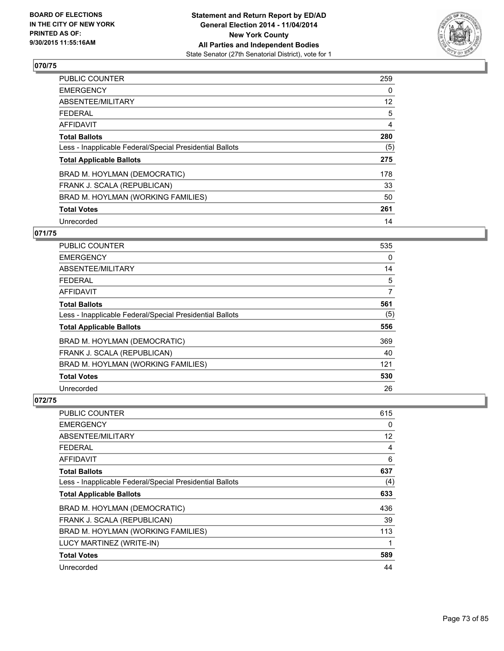

| <b>PUBLIC COUNTER</b>                                    | 259               |
|----------------------------------------------------------|-------------------|
| <b>EMERGENCY</b>                                         | 0                 |
| ABSENTEE/MILITARY                                        | $12 \overline{ }$ |
| <b>FEDERAL</b>                                           | 5                 |
| <b>AFFIDAVIT</b>                                         | 4                 |
| <b>Total Ballots</b>                                     | 280               |
| Less - Inapplicable Federal/Special Presidential Ballots | (5)               |
| <b>Total Applicable Ballots</b>                          | 275               |
| BRAD M. HOYLMAN (DEMOCRATIC)                             | 178               |
| FRANK J. SCALA (REPUBLICAN)                              | 33                |
| BRAD M. HOYLMAN (WORKING FAMILIES)                       | 50                |
| <b>Total Votes</b>                                       | 261               |
| Unrecorded                                               | 14                |

# **071/75**

| <b>PUBLIC COUNTER</b>                                    | 535 |
|----------------------------------------------------------|-----|
| <b>EMERGENCY</b>                                         | 0   |
| ABSENTEE/MILITARY                                        | 14  |
| FFDFRAI                                                  | 5   |
| AFFIDAVIT                                                | 7   |
| <b>Total Ballots</b>                                     | 561 |
| Less - Inapplicable Federal/Special Presidential Ballots | (5) |
| <b>Total Applicable Ballots</b>                          | 556 |
| BRAD M. HOYLMAN (DEMOCRATIC)                             | 369 |
| FRANK J. SCALA (REPUBLICAN)                              | 40  |
| BRAD M. HOYLMAN (WORKING FAMILIES)                       | 121 |
| <b>Total Votes</b>                                       | 530 |
| Unrecorded                                               | 26  |

| <b>PUBLIC COUNTER</b>                                    | 615               |
|----------------------------------------------------------|-------------------|
| <b>EMERGENCY</b>                                         | 0                 |
| ABSENTEE/MILITARY                                        | $12 \overline{ }$ |
| <b>FEDERAL</b>                                           | 4                 |
| AFFIDAVIT                                                | 6                 |
| <b>Total Ballots</b>                                     | 637               |
| Less - Inapplicable Federal/Special Presidential Ballots | (4)               |
| <b>Total Applicable Ballots</b>                          | 633               |
| BRAD M. HOYLMAN (DEMOCRATIC)                             | 436               |
| FRANK J. SCALA (REPUBLICAN)                              | 39                |
| BRAD M. HOYLMAN (WORKING FAMILIES)                       | 113               |
| LUCY MARTINEZ (WRITE-IN)                                 | 1                 |
| <b>Total Votes</b>                                       | 589               |
| Unrecorded                                               | 44                |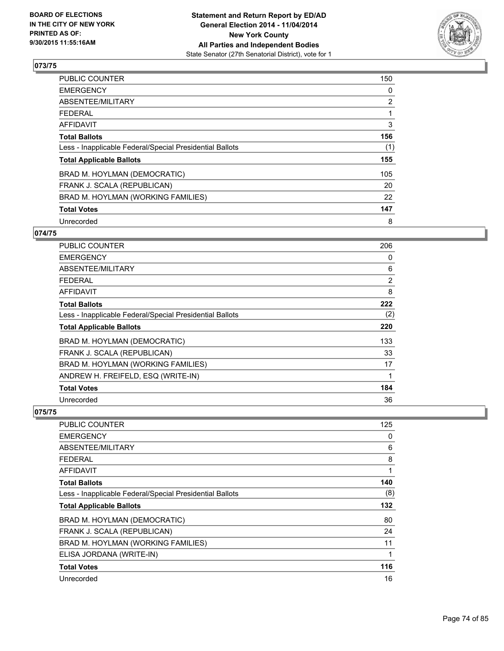

| <b>PUBLIC COUNTER</b>                                    | 150            |
|----------------------------------------------------------|----------------|
| <b>EMERGENCY</b>                                         | 0              |
| ABSENTEE/MILITARY                                        | $\overline{2}$ |
| <b>FEDERAL</b>                                           |                |
| <b>AFFIDAVIT</b>                                         | 3              |
| <b>Total Ballots</b>                                     | 156            |
| Less - Inapplicable Federal/Special Presidential Ballots | (1)            |
| <b>Total Applicable Ballots</b>                          | 155            |
| BRAD M. HOYLMAN (DEMOCRATIC)                             | 105            |
| FRANK J. SCALA (REPUBLICAN)                              | 20             |
| BRAD M. HOYLMAN (WORKING FAMILIES)                       | 22             |
| <b>Total Votes</b>                                       | 147            |
| Unrecorded                                               | 8              |

## **074/75**

| PUBLIC COUNTER                                           | 206 |
|----------------------------------------------------------|-----|
| <b>EMERGENCY</b>                                         | 0   |
| ABSENTEE/MILITARY                                        | 6   |
| <b>FEDERAL</b>                                           | 2   |
| <b>AFFIDAVIT</b>                                         | 8   |
| <b>Total Ballots</b>                                     | 222 |
| Less - Inapplicable Federal/Special Presidential Ballots | (2) |
| <b>Total Applicable Ballots</b>                          | 220 |
| BRAD M. HOYLMAN (DEMOCRATIC)                             | 133 |
| FRANK J. SCALA (REPUBLICAN)                              | 33  |
| BRAD M. HOYLMAN (WORKING FAMILIES)                       | 17  |
| ANDREW H. FREIFELD, ESQ (WRITE-IN)                       | 1   |
| <b>Total Votes</b>                                       | 184 |
| Unrecorded                                               | 36  |

| <b>PUBLIC COUNTER</b>                                    | 125 |
|----------------------------------------------------------|-----|
| <b>EMERGENCY</b>                                         | 0   |
| ABSENTEE/MILITARY                                        | 6   |
| <b>FEDERAL</b>                                           | 8   |
| <b>AFFIDAVIT</b>                                         | 1   |
| <b>Total Ballots</b>                                     | 140 |
| Less - Inapplicable Federal/Special Presidential Ballots | (8) |
| <b>Total Applicable Ballots</b>                          | 132 |
| BRAD M. HOYLMAN (DEMOCRATIC)                             | 80  |
| FRANK J. SCALA (REPUBLICAN)                              | 24  |
| BRAD M. HOYLMAN (WORKING FAMILIES)                       | 11  |
| ELISA JORDANA (WRITE-IN)                                 | 1   |
| <b>Total Votes</b>                                       | 116 |
| Unrecorded                                               | 16  |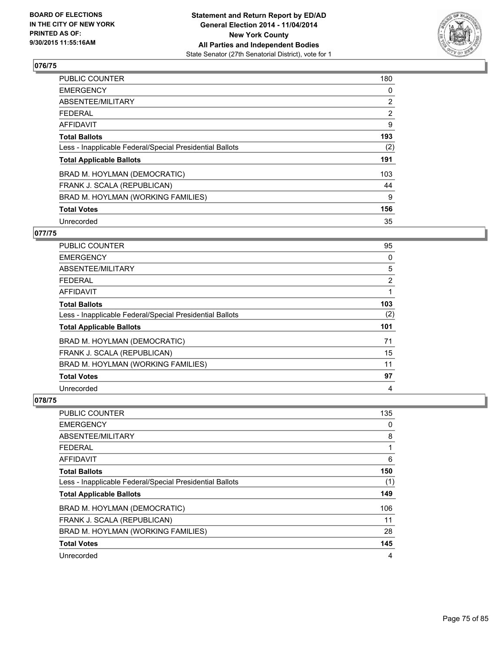

| <b>PUBLIC COUNTER</b>                                    | 180            |
|----------------------------------------------------------|----------------|
| <b>EMERGENCY</b>                                         | 0              |
| ABSENTEE/MILITARY                                        | $\overline{2}$ |
| <b>FEDERAL</b>                                           | $\overline{2}$ |
| <b>AFFIDAVIT</b>                                         | 9              |
| <b>Total Ballots</b>                                     | 193            |
| Less - Inapplicable Federal/Special Presidential Ballots | (2)            |
| <b>Total Applicable Ballots</b>                          | 191            |
| BRAD M. HOYLMAN (DEMOCRATIC)                             | 103            |
| FRANK J. SCALA (REPUBLICAN)                              | 44             |
| BRAD M. HOYLMAN (WORKING FAMILIES)                       | 9              |
| <b>Total Votes</b>                                       | 156            |
| Unrecorded                                               | 35             |

# **077/75**

| <b>PUBLIC COUNTER</b>                                    | 95             |
|----------------------------------------------------------|----------------|
| <b>EMERGENCY</b>                                         | 0              |
| ABSENTEE/MILITARY                                        | 5              |
| <b>FEDERAL</b>                                           | $\overline{2}$ |
| AFFIDAVIT                                                |                |
| <b>Total Ballots</b>                                     | 103            |
| Less - Inapplicable Federal/Special Presidential Ballots | (2)            |
| <b>Total Applicable Ballots</b>                          | 101            |
| BRAD M. HOYLMAN (DEMOCRATIC)                             | 71             |
| FRANK J. SCALA (REPUBLICAN)                              | 15             |
| BRAD M. HOYLMAN (WORKING FAMILIES)                       | 11             |
| <b>Total Votes</b>                                       | 97             |
| Unrecorded                                               | 4              |

| <b>PUBLIC COUNTER</b>                                    | 135 |
|----------------------------------------------------------|-----|
| <b>EMERGENCY</b>                                         | 0   |
| ABSENTEE/MILITARY                                        | 8   |
| <b>FEDERAL</b>                                           | 1   |
| <b>AFFIDAVIT</b>                                         | 6   |
| <b>Total Ballots</b>                                     | 150 |
| Less - Inapplicable Federal/Special Presidential Ballots | (1) |
| <b>Total Applicable Ballots</b>                          | 149 |
| BRAD M. HOYLMAN (DEMOCRATIC)                             | 106 |
| FRANK J. SCALA (REPUBLICAN)                              | 11  |
| BRAD M. HOYLMAN (WORKING FAMILIES)                       | 28  |
| <b>Total Votes</b>                                       | 145 |
| Unrecorded                                               | 4   |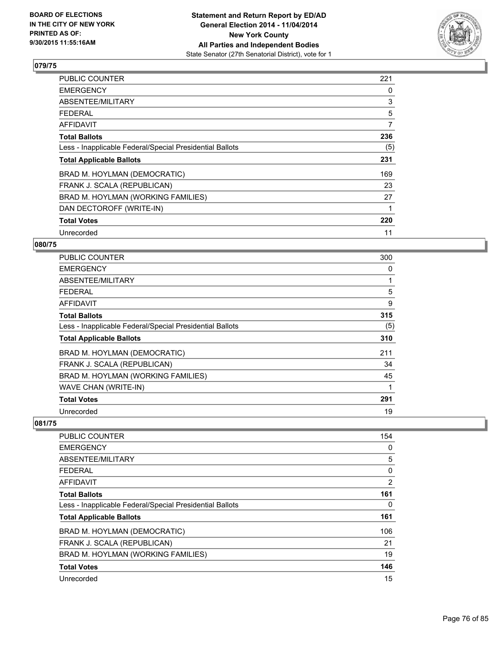

| <b>PUBLIC COUNTER</b>                                    | 221 |
|----------------------------------------------------------|-----|
| <b>EMERGENCY</b>                                         | 0   |
| ABSENTEE/MILITARY                                        | 3   |
| <b>FEDERAL</b>                                           | 5   |
| AFFIDAVIT                                                | 7   |
| <b>Total Ballots</b>                                     | 236 |
| Less - Inapplicable Federal/Special Presidential Ballots | (5) |
| <b>Total Applicable Ballots</b>                          | 231 |
| BRAD M. HOYLMAN (DEMOCRATIC)                             | 169 |
| FRANK J. SCALA (REPUBLICAN)                              | 23  |
| BRAD M. HOYLMAN (WORKING FAMILIES)                       | 27  |
| DAN DECTOROFF (WRITE-IN)                                 |     |
| <b>Total Votes</b>                                       | 220 |
| Unrecorded                                               | 11  |

## **080/75**

| <b>PUBLIC COUNTER</b>                                    | 300 |
|----------------------------------------------------------|-----|
| <b>EMERGENCY</b>                                         | 0   |
| ABSENTEE/MILITARY                                        | 1   |
| <b>FEDERAL</b>                                           | 5   |
| <b>AFFIDAVIT</b>                                         | 9   |
| <b>Total Ballots</b>                                     | 315 |
| Less - Inapplicable Federal/Special Presidential Ballots | (5) |
| <b>Total Applicable Ballots</b>                          | 310 |
| BRAD M. HOYLMAN (DEMOCRATIC)                             | 211 |
| FRANK J. SCALA (REPUBLICAN)                              | 34  |
| BRAD M. HOYLMAN (WORKING FAMILIES)                       | 45  |
| WAVE CHAN (WRITE-IN)                                     |     |
| <b>Total Votes</b>                                       | 291 |
| Unrecorded                                               | 19  |

| <b>PUBLIC COUNTER</b>                                    | 154 |
|----------------------------------------------------------|-----|
| <b>EMERGENCY</b>                                         | 0   |
| ABSENTEE/MILITARY                                        | 5   |
| <b>FEDERAL</b>                                           | 0   |
| AFFIDAVIT                                                | 2   |
| <b>Total Ballots</b>                                     | 161 |
| Less - Inapplicable Federal/Special Presidential Ballots | 0   |
| <b>Total Applicable Ballots</b>                          | 161 |
| BRAD M. HOYLMAN (DEMOCRATIC)                             | 106 |
| FRANK J. SCALA (REPUBLICAN)                              | 21  |
| BRAD M. HOYLMAN (WORKING FAMILIES)                       | 19  |
| <b>Total Votes</b>                                       | 146 |
| Unrecorded                                               | 15  |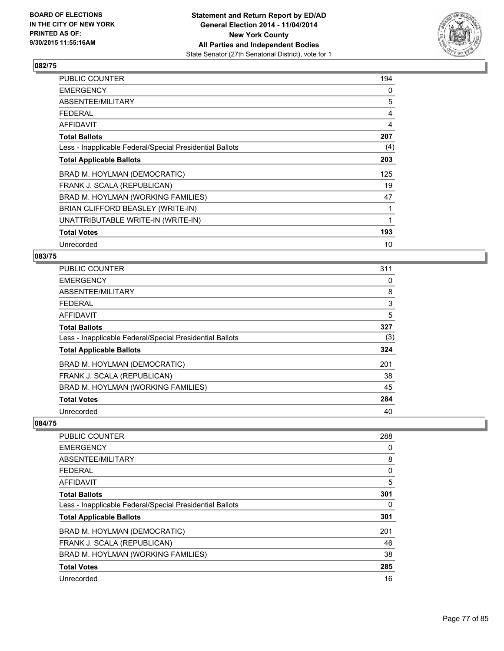

| PUBLIC COUNTER                                           | 194 |
|----------------------------------------------------------|-----|
| <b>EMERGENCY</b>                                         | 0   |
| ABSENTEE/MILITARY                                        | 5   |
| <b>FEDERAL</b>                                           | 4   |
| <b>AFFIDAVIT</b>                                         | 4   |
| <b>Total Ballots</b>                                     | 207 |
| Less - Inapplicable Federal/Special Presidential Ballots | (4) |
| <b>Total Applicable Ballots</b>                          | 203 |
| BRAD M. HOYLMAN (DEMOCRATIC)                             | 125 |
| FRANK J. SCALA (REPUBLICAN)                              | 19  |
| BRAD M. HOYLMAN (WORKING FAMILIES)                       | 47  |
| BRIAN CLIFFORD BEASLEY (WRITE-IN)                        | 1   |
| UNATTRIBUTABLE WRITE-IN (WRITE-IN)                       | 1   |
| <b>Total Votes</b>                                       | 193 |
| Unrecorded                                               | 10  |

#### **083/75**

| <b>PUBLIC COUNTER</b>                                    | 311 |
|----------------------------------------------------------|-----|
| <b>EMERGENCY</b>                                         | 0   |
| ABSENTEE/MILITARY                                        | 8   |
| <b>FEDERAL</b>                                           | 3   |
| <b>AFFIDAVIT</b>                                         | 5   |
| <b>Total Ballots</b>                                     | 327 |
| Less - Inapplicable Federal/Special Presidential Ballots | (3) |
| <b>Total Applicable Ballots</b>                          | 324 |
| BRAD M. HOYLMAN (DEMOCRATIC)                             | 201 |
| FRANK J. SCALA (REPUBLICAN)                              | 38  |
| BRAD M. HOYLMAN (WORKING FAMILIES)                       | 45  |
| <b>Total Votes</b>                                       | 284 |
| Unrecorded                                               | 40  |

| <b>PUBLIC COUNTER</b>                                    | 288 |
|----------------------------------------------------------|-----|
| <b>EMERGENCY</b>                                         | 0   |
| ABSENTEE/MILITARY                                        | 8   |
| <b>FFDFRAL</b>                                           | 0   |
| AFFIDAVIT                                                | 5   |
| <b>Total Ballots</b>                                     | 301 |
| Less - Inapplicable Federal/Special Presidential Ballots | 0   |
| <b>Total Applicable Ballots</b>                          | 301 |
| BRAD M. HOYLMAN (DEMOCRATIC)                             | 201 |
| FRANK J. SCALA (REPUBLICAN)                              | 46  |
| BRAD M. HOYLMAN (WORKING FAMILIES)                       | 38  |
| <b>Total Votes</b>                                       | 285 |
| Unrecorded                                               | 16  |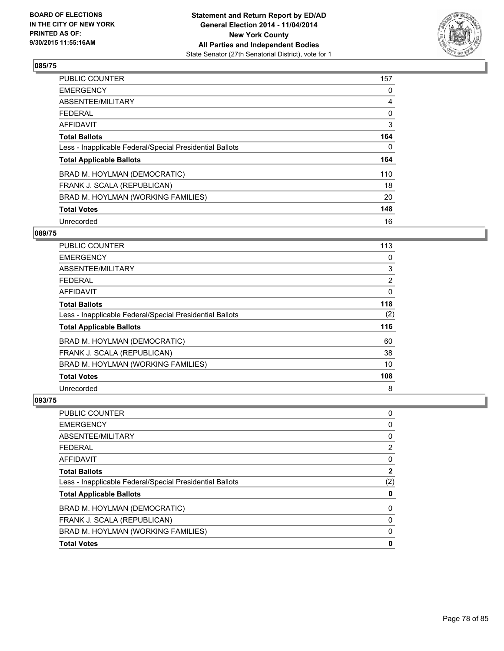

| <b>PUBLIC COUNTER</b>                                    | 157 |
|----------------------------------------------------------|-----|
| <b>EMERGENCY</b>                                         | 0   |
| ABSENTEE/MILITARY                                        | 4   |
| <b>FEDERAL</b>                                           | 0   |
| AFFIDAVIT                                                | 3   |
| <b>Total Ballots</b>                                     | 164 |
| Less - Inapplicable Federal/Special Presidential Ballots | 0   |
| <b>Total Applicable Ballots</b>                          | 164 |
| BRAD M. HOYLMAN (DEMOCRATIC)                             | 110 |
| FRANK J. SCALA (REPUBLICAN)                              | 18  |
| BRAD M. HOYLMAN (WORKING FAMILIES)                       | 20  |
| <b>Total Votes</b>                                       | 148 |
| Unrecorded                                               | 16  |

#### **089/75**

| PUBLIC COUNTER                                           | 113            |
|----------------------------------------------------------|----------------|
| <b>EMERGENCY</b>                                         | 0              |
| ABSENTEE/MILITARY                                        | 3              |
| <b>FEDERAL</b>                                           | $\overline{2}$ |
| AFFIDAVIT                                                | 0              |
| <b>Total Ballots</b>                                     | 118            |
| Less - Inapplicable Federal/Special Presidential Ballots | (2)            |
| <b>Total Applicable Ballots</b>                          | 116            |
| BRAD M. HOYLMAN (DEMOCRATIC)                             | 60             |
| FRANK J. SCALA (REPUBLICAN)                              | 38             |
| BRAD M. HOYLMAN (WORKING FAMILIES)                       | 10             |
| <b>Total Votes</b>                                       | 108            |
| Unrecorded                                               | 8              |

| <b>PUBLIC COUNTER</b>                                    | 0            |
|----------------------------------------------------------|--------------|
| <b>EMERGENCY</b>                                         | 0            |
| ABSENTEE/MILITARY                                        | 0            |
| <b>FEDERAL</b>                                           | 2            |
| AFFIDAVIT                                                | 0            |
| <b>Total Ballots</b>                                     | $\mathbf{2}$ |
| Less - Inapplicable Federal/Special Presidential Ballots | (2)          |
| <b>Total Applicable Ballots</b>                          | 0            |
| BRAD M. HOYLMAN (DEMOCRATIC)                             | 0            |
| FRANK J. SCALA (REPUBLICAN)                              | 0            |
| BRAD M. HOYLMAN (WORKING FAMILIES)                       | 0            |
| <b>Total Votes</b>                                       | 0            |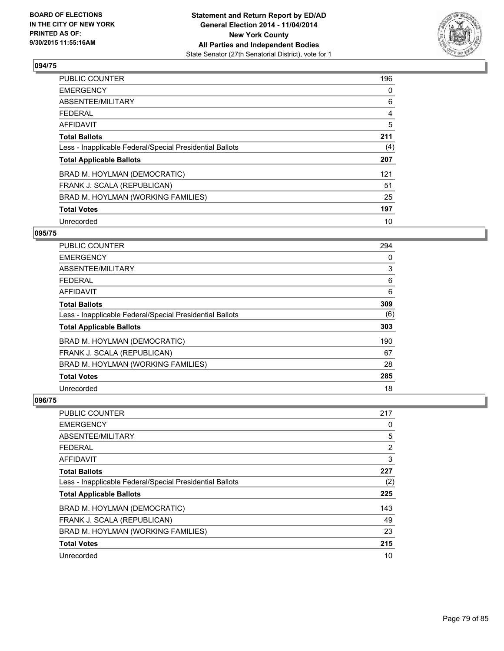

| <b>PUBLIC COUNTER</b>                                    | 196 |
|----------------------------------------------------------|-----|
| <b>EMERGENCY</b>                                         | 0   |
| ABSENTEE/MILITARY                                        | 6   |
| <b>FEDERAL</b>                                           | 4   |
| <b>AFFIDAVIT</b>                                         | 5   |
| <b>Total Ballots</b>                                     | 211 |
| Less - Inapplicable Federal/Special Presidential Ballots | (4) |
| <b>Total Applicable Ballots</b>                          | 207 |
| BRAD M. HOYLMAN (DEMOCRATIC)                             | 121 |
| FRANK J. SCALA (REPUBLICAN)                              | 51  |
| BRAD M. HOYLMAN (WORKING FAMILIES)                       | 25  |
| <b>Total Votes</b>                                       | 197 |
| Unrecorded                                               | 10  |

#### **095/75**

| PUBLIC COUNTER                                           | 294 |
|----------------------------------------------------------|-----|
| <b>EMERGENCY</b>                                         | 0   |
| ABSENTEE/MILITARY                                        | 3   |
| <b>FEDERAL</b>                                           | 6   |
| <b>AFFIDAVIT</b>                                         | 6   |
| <b>Total Ballots</b>                                     | 309 |
| Less - Inapplicable Federal/Special Presidential Ballots | (6) |
| <b>Total Applicable Ballots</b>                          | 303 |
| BRAD M. HOYLMAN (DEMOCRATIC)                             | 190 |
| FRANK J. SCALA (REPUBLICAN)                              | 67  |
| BRAD M. HOYLMAN (WORKING FAMILIES)                       | 28  |
| <b>Total Votes</b>                                       | 285 |
| Unrecorded                                               | 18  |

| <b>PUBLIC COUNTER</b>                                    | 217 |
|----------------------------------------------------------|-----|
| <b>EMERGENCY</b>                                         | 0   |
| ABSENTEE/MILITARY                                        | 5   |
| <b>FEDERAL</b>                                           | 2   |
| <b>AFFIDAVIT</b>                                         | 3   |
| <b>Total Ballots</b>                                     | 227 |
| Less - Inapplicable Federal/Special Presidential Ballots | (2) |
| <b>Total Applicable Ballots</b>                          | 225 |
| BRAD M. HOYLMAN (DEMOCRATIC)                             | 143 |
| FRANK J. SCALA (REPUBLICAN)                              | 49  |
| BRAD M. HOYLMAN (WORKING FAMILIES)                       | 23  |
| <b>Total Votes</b>                                       | 215 |
| Unrecorded                                               | 10  |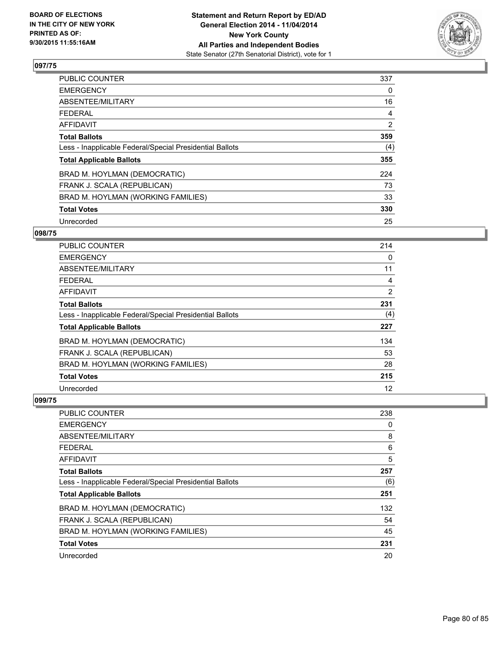

| <b>PUBLIC COUNTER</b>                                    | 337            |
|----------------------------------------------------------|----------------|
| <b>EMERGENCY</b>                                         | 0              |
| ABSENTEE/MILITARY                                        | 16             |
| <b>FEDERAL</b>                                           | 4              |
| <b>AFFIDAVIT</b>                                         | $\overline{2}$ |
| <b>Total Ballots</b>                                     | 359            |
| Less - Inapplicable Federal/Special Presidential Ballots | (4)            |
| <b>Total Applicable Ballots</b>                          | 355            |
| BRAD M. HOYLMAN (DEMOCRATIC)                             | 224            |
| FRANK J. SCALA (REPUBLICAN)                              | 73             |
| BRAD M. HOYLMAN (WORKING FAMILIES)                       | 33             |
| <b>Total Votes</b>                                       | 330            |
| Unrecorded                                               | 25             |

#### **098/75**

| PUBLIC COUNTER                                           | 214 |
|----------------------------------------------------------|-----|
| <b>EMERGENCY</b>                                         | 0   |
| ABSENTEE/MILITARY                                        | 11  |
| <b>FEDERAL</b>                                           | 4   |
| <b>AFFIDAVIT</b>                                         | 2   |
| <b>Total Ballots</b>                                     | 231 |
| Less - Inapplicable Federal/Special Presidential Ballots | (4) |
| <b>Total Applicable Ballots</b>                          | 227 |
| BRAD M. HOYLMAN (DEMOCRATIC)                             | 134 |
| FRANK J. SCALA (REPUBLICAN)                              | 53  |
| BRAD M. HOYLMAN (WORKING FAMILIES)                       | 28  |
| <b>Total Votes</b>                                       | 215 |
| Unrecorded                                               | 12  |

| <b>PUBLIC COUNTER</b>                                    | 238 |
|----------------------------------------------------------|-----|
| <b>EMERGENCY</b>                                         | 0   |
| ABSENTEE/MILITARY                                        | 8   |
| <b>FEDERAL</b>                                           | 6   |
| AFFIDAVIT                                                | 5   |
| <b>Total Ballots</b>                                     | 257 |
| Less - Inapplicable Federal/Special Presidential Ballots | (6) |
| <b>Total Applicable Ballots</b>                          | 251 |
| BRAD M. HOYLMAN (DEMOCRATIC)                             | 132 |
| FRANK J. SCALA (REPUBLICAN)                              | 54  |
| BRAD M. HOYLMAN (WORKING FAMILIES)                       | 45  |
| <b>Total Votes</b>                                       | 231 |
| Unrecorded                                               | 20  |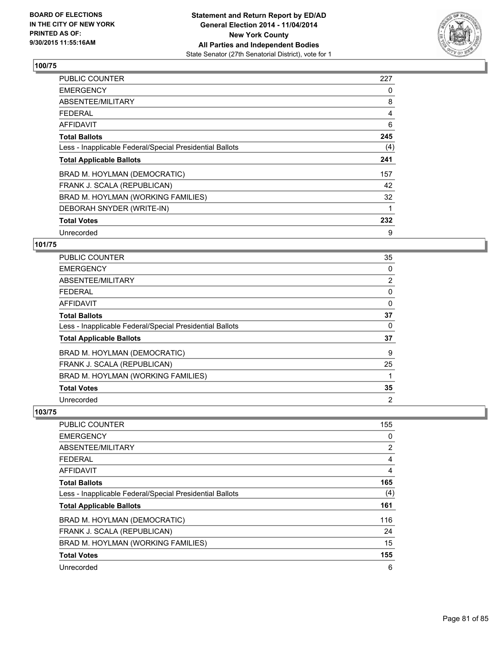

| PUBLIC COUNTER                                           | 227 |
|----------------------------------------------------------|-----|
| <b>EMERGENCY</b>                                         | 0   |
| ABSENTEE/MILITARY                                        | 8   |
| <b>FEDERAL</b>                                           | 4   |
| AFFIDAVIT                                                | 6   |
| <b>Total Ballots</b>                                     | 245 |
| Less - Inapplicable Federal/Special Presidential Ballots | (4) |
| <b>Total Applicable Ballots</b>                          | 241 |
| BRAD M. HOYLMAN (DEMOCRATIC)                             | 157 |
| FRANK J. SCALA (REPUBLICAN)                              | 42  |
| BRAD M. HOYLMAN (WORKING FAMILIES)                       | 32  |
| DEBORAH SNYDER (WRITE-IN)                                | 1   |
| <b>Total Votes</b>                                       | 232 |
| Unrecorded                                               | 9   |

#### **101/75**

| PUBLIC COUNTER                                           | 35 |
|----------------------------------------------------------|----|
| <b>EMERGENCY</b>                                         | 0  |
| ABSENTEE/MILITARY                                        | 2  |
| <b>FEDERAL</b>                                           | 0  |
| <b>AFFIDAVIT</b>                                         | 0  |
| <b>Total Ballots</b>                                     | 37 |
| Less - Inapplicable Federal/Special Presidential Ballots | 0  |
| <b>Total Applicable Ballots</b>                          | 37 |
| BRAD M. HOYLMAN (DEMOCRATIC)                             | 9  |
| FRANK J. SCALA (REPUBLICAN)                              | 25 |
| BRAD M. HOYLMAN (WORKING FAMILIES)                       |    |
| <b>Total Votes</b>                                       | 35 |
| Unrecorded                                               | 2  |

| <b>PUBLIC COUNTER</b>                                    | 155            |
|----------------------------------------------------------|----------------|
| <b>EMERGENCY</b>                                         | 0              |
| ABSENTEE/MILITARY                                        | $\overline{2}$ |
| <b>FEDERAL</b>                                           | 4              |
| AFFIDAVIT                                                | 4              |
| <b>Total Ballots</b>                                     | 165            |
| Less - Inapplicable Federal/Special Presidential Ballots | (4)            |
| <b>Total Applicable Ballots</b>                          | 161            |
| BRAD M. HOYLMAN (DEMOCRATIC)                             | 116            |
| FRANK J. SCALA (REPUBLICAN)                              | 24             |
| BRAD M. HOYLMAN (WORKING FAMILIES)                       | 15             |
| <b>Total Votes</b>                                       | 155            |
| Unrecorded                                               | 6              |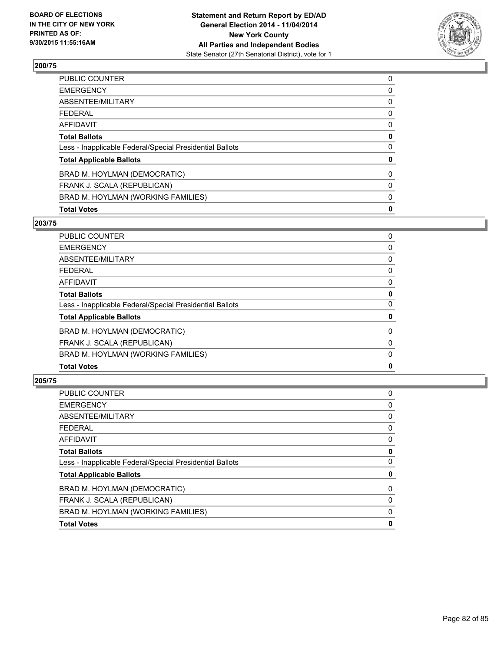

| <b>Total Votes</b>                                       | 0 |
|----------------------------------------------------------|---|
| BRAD M. HOYLMAN (WORKING FAMILIES)                       | 0 |
| FRANK J. SCALA (REPUBLICAN)                              | 0 |
| BRAD M. HOYLMAN (DEMOCRATIC)                             | 0 |
| <b>Total Applicable Ballots</b>                          | 0 |
| Less - Inapplicable Federal/Special Presidential Ballots | 0 |
| <b>Total Ballots</b>                                     | 0 |
| <b>AFFIDAVIT</b>                                         | 0 |
| <b>FEDERAL</b>                                           | 0 |
| ABSENTEE/MILITARY                                        | 0 |
| <b>EMERGENCY</b>                                         | 0 |
| <b>PUBLIC COUNTER</b>                                    | 0 |

#### **203/75**

| <b>PUBLIC COUNTER</b>                                    | 0           |
|----------------------------------------------------------|-------------|
| <b>EMERGENCY</b>                                         | 0           |
| ABSENTEE/MILITARY                                        | 0           |
| <b>FEDERAL</b>                                           | 0           |
| <b>AFFIDAVIT</b>                                         | 0           |
| <b>Total Ballots</b>                                     | 0           |
| Less - Inapplicable Federal/Special Presidential Ballots | 0           |
| <b>Total Applicable Ballots</b>                          | 0           |
| BRAD M. HOYLMAN (DEMOCRATIC)                             | 0           |
| FRANK J. SCALA (REPUBLICAN)                              | 0           |
| BRAD M. HOYLMAN (WORKING FAMILIES)                       | 0           |
| <b>Total Votes</b>                                       | $\mathbf 0$ |

| PUBLIC COUNTER                                           | 0 |
|----------------------------------------------------------|---|
| <b>EMERGENCY</b>                                         | 0 |
| <b>ABSENTEE/MILITARY</b>                                 | 0 |
| <b>FEDERAL</b>                                           | 0 |
| AFFIDAVIT                                                | 0 |
| <b>Total Ballots</b>                                     | 0 |
| Less - Inapplicable Federal/Special Presidential Ballots | 0 |
| <b>Total Applicable Ballots</b>                          | 0 |
| BRAD M. HOYLMAN (DEMOCRATIC)                             | 0 |
| FRANK J. SCALA (REPUBLICAN)                              | 0 |
| BRAD M. HOYLMAN (WORKING FAMILIES)                       | 0 |
| <b>Total Votes</b>                                       | 0 |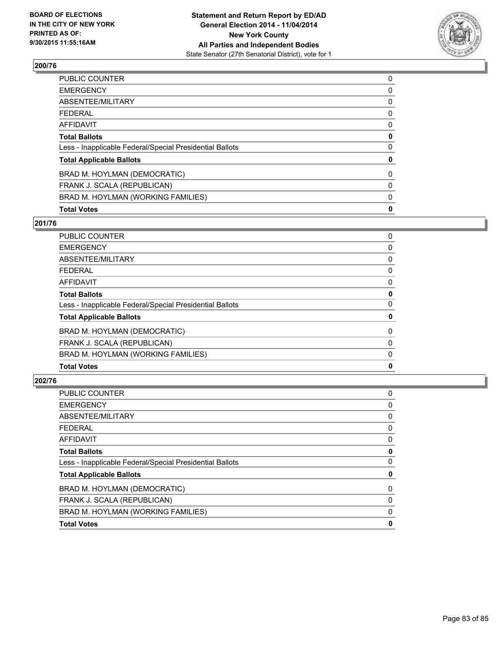

| <b>Total Votes</b>                                       | 0 |
|----------------------------------------------------------|---|
| BRAD M. HOYLMAN (WORKING FAMILIES)                       | 0 |
| FRANK J. SCALA (REPUBLICAN)                              | 0 |
| BRAD M. HOYLMAN (DEMOCRATIC)                             | 0 |
| <b>Total Applicable Ballots</b>                          | 0 |
| Less - Inapplicable Federal/Special Presidential Ballots | 0 |
| <b>Total Ballots</b>                                     | 0 |
| <b>AFFIDAVIT</b>                                         | 0 |
| <b>FEDERAL</b>                                           | 0 |
| ABSENTEE/MILITARY                                        | 0 |
| <b>EMERGENCY</b>                                         | 0 |
| <b>PUBLIC COUNTER</b>                                    | 0 |

# **201/76**

| PUBLIC COUNTER                                           | 0           |
|----------------------------------------------------------|-------------|
| <b>EMERGENCY</b>                                         | 0           |
| ABSENTEE/MILITARY                                        | 0           |
| <b>FEDERAL</b>                                           | 0           |
| <b>AFFIDAVIT</b>                                         | 0           |
| <b>Total Ballots</b>                                     | 0           |
| Less - Inapplicable Federal/Special Presidential Ballots | 0           |
| <b>Total Applicable Ballots</b>                          | 0           |
| BRAD M. HOYLMAN (DEMOCRATIC)                             | 0           |
| FRANK J. SCALA (REPUBLICAN)                              | 0           |
| BRAD M. HOYLMAN (WORKING FAMILIES)                       | 0           |
| <b>Total Votes</b>                                       | $\mathbf 0$ |

| PUBLIC COUNTER                                           | 0 |
|----------------------------------------------------------|---|
| <b>EMERGENCY</b>                                         | 0 |
| ABSENTEE/MILITARY                                        | 0 |
| <b>FEDERAL</b>                                           | 0 |
| <b>AFFIDAVIT</b>                                         | 0 |
| <b>Total Ballots</b>                                     | 0 |
| Less - Inapplicable Federal/Special Presidential Ballots | 0 |
| <b>Total Applicable Ballots</b>                          | 0 |
| BRAD M. HOYLMAN (DEMOCRATIC)                             | 0 |
| FRANK J. SCALA (REPUBLICAN)                              | 0 |
| BRAD M. HOYLMAN (WORKING FAMILIES)                       | 0 |
| <b>Total Votes</b>                                       | 0 |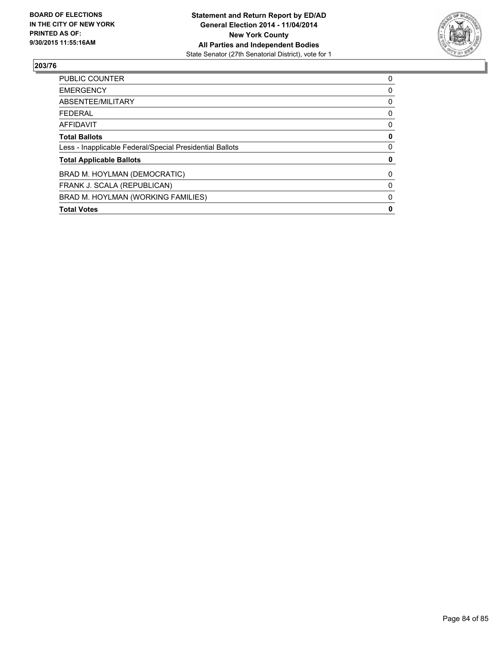

| <b>PUBLIC COUNTER</b>                                    | 0 |
|----------------------------------------------------------|---|
| <b>EMERGENCY</b>                                         | 0 |
| ABSENTEE/MILITARY                                        | 0 |
| <b>FEDERAL</b>                                           | 0 |
| <b>AFFIDAVIT</b>                                         | 0 |
| <b>Total Ballots</b>                                     | 0 |
| Less - Inapplicable Federal/Special Presidential Ballots | 0 |
| <b>Total Applicable Ballots</b>                          | 0 |
| BRAD M. HOYLMAN (DEMOCRATIC)                             | 0 |
| FRANK J. SCALA (REPUBLICAN)                              | 0 |
| BRAD M. HOYLMAN (WORKING FAMILIES)                       | 0 |
| <b>Total Votes</b>                                       | 0 |